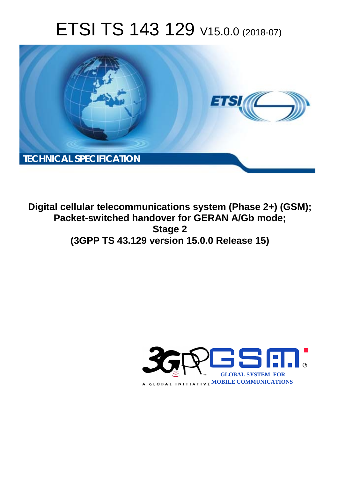# ETSI TS 143 129 V15.0.0 (2018-07)



**Digital cellular telecommunications system (Phase 2+) (GSM); Packet-switched handover for GERAN A/Gb mode; Stage 2 (3GPP TS 43.129 version 15.0.0 Release 15)** 

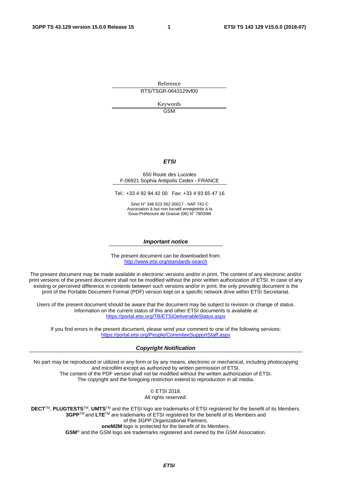Reference RTS/TSGR-0643129vf00

> Keywords GSM

#### *ETSI*

#### 650 Route des Lucioles F-06921 Sophia Antipolis Cedex - FRANCE

Tel.: +33 4 92 94 42 00 Fax: +33 4 93 65 47 16

Siret N° 348 623 562 00017 - NAF 742 C Association à but non lucratif enregistrée à la Sous-Préfecture de Grasse (06) N° 7803/88

#### *Important notice*

The present document can be downloaded from: <http://www.etsi.org/standards-search>

The present document may be made available in electronic versions and/or in print. The content of any electronic and/or print versions of the present document shall not be modified without the prior written authorization of ETSI. In case of any existing or perceived difference in contents between such versions and/or in print, the only prevailing document is the print of the Portable Document Format (PDF) version kept on a specific network drive within ETSI Secretariat.

Users of the present document should be aware that the document may be subject to revision or change of status. Information on the current status of this and other ETSI documents is available at <https://portal.etsi.org/TB/ETSIDeliverableStatus.aspx>

If you find errors in the present document, please send your comment to one of the following services: <https://portal.etsi.org/People/CommiteeSupportStaff.aspx>

#### *Copyright Notification*

No part may be reproduced or utilized in any form or by any means, electronic or mechanical, including photocopying and microfilm except as authorized by written permission of ETSI. The content of the PDF version shall not be modified without the written authorization of ETSI. The copyright and the foregoing restriction extend to reproduction in all media.

> © ETSI 2018. All rights reserved.

**DECT**TM, **PLUGTESTS**TM, **UMTS**TM and the ETSI logo are trademarks of ETSI registered for the benefit of its Members. **3GPP**TM and **LTE**TM are trademarks of ETSI registered for the benefit of its Members and of the 3GPP Organizational Partners. **oneM2M** logo is protected for the benefit of its Members.

**GSM**® and the GSM logo are trademarks registered and owned by the GSM Association.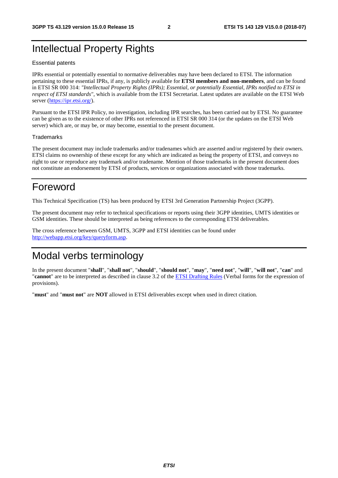## Intellectual Property Rights

#### Essential patents

IPRs essential or potentially essential to normative deliverables may have been declared to ETSI. The information pertaining to these essential IPRs, if any, is publicly available for **ETSI members and non-members**, and can be found in ETSI SR 000 314: *"Intellectual Property Rights (IPRs); Essential, or potentially Essential, IPRs notified to ETSI in respect of ETSI standards"*, which is available from the ETSI Secretariat. Latest updates are available on the ETSI Web server ([https://ipr.etsi.org/\)](https://ipr.etsi.org/).

Pursuant to the ETSI IPR Policy, no investigation, including IPR searches, has been carried out by ETSI. No guarantee can be given as to the existence of other IPRs not referenced in ETSI SR 000 314 (or the updates on the ETSI Web server) which are, or may be, or may become, essential to the present document.

#### **Trademarks**

The present document may include trademarks and/or tradenames which are asserted and/or registered by their owners. ETSI claims no ownership of these except for any which are indicated as being the property of ETSI, and conveys no right to use or reproduce any trademark and/or tradename. Mention of those trademarks in the present document does not constitute an endorsement by ETSI of products, services or organizations associated with those trademarks.

## Foreword

This Technical Specification (TS) has been produced by ETSI 3rd Generation Partnership Project (3GPP).

The present document may refer to technical specifications or reports using their 3GPP identities, UMTS identities or GSM identities. These should be interpreted as being references to the corresponding ETSI deliverables.

The cross reference between GSM, UMTS, 3GPP and ETSI identities can be found under [http://webapp.etsi.org/key/queryform.asp.](http://webapp.etsi.org/key/queryform.asp)

## Modal verbs terminology

In the present document "**shall**", "**shall not**", "**should**", "**should not**", "**may**", "**need not**", "**will**", "**will not**", "**can**" and "**cannot**" are to be interpreted as described in clause 3.2 of the [ETSI Drafting Rules](https://portal.etsi.org/Services/editHelp!/Howtostart/ETSIDraftingRules.aspx) (Verbal forms for the expression of provisions).

"**must**" and "**must not**" are **NOT** allowed in ETSI deliverables except when used in direct citation.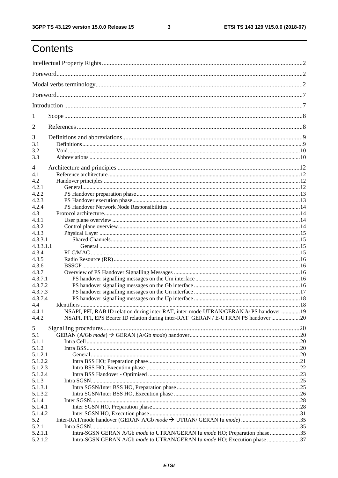ETSI TS 143 129 V15.0.0 (2018-07)

## Contents

| 1                  |                                                                                        |  |
|--------------------|----------------------------------------------------------------------------------------|--|
| 2                  |                                                                                        |  |
| 3                  |                                                                                        |  |
| 3.1                |                                                                                        |  |
| 3.2                |                                                                                        |  |
| 3.3                |                                                                                        |  |
| 4                  |                                                                                        |  |
| 4.1                |                                                                                        |  |
| 4.2<br>4.2.1       |                                                                                        |  |
| 4.2.2              |                                                                                        |  |
| 4.2.3              |                                                                                        |  |
| 4.2.4              |                                                                                        |  |
| 4.3                |                                                                                        |  |
| 4.3.1              |                                                                                        |  |
| 4.3.2              |                                                                                        |  |
| 4.3.3              |                                                                                        |  |
| 4.3.3.1            |                                                                                        |  |
| 4.3.3.1.1          |                                                                                        |  |
| 4.3.4              |                                                                                        |  |
| 4.3.5              |                                                                                        |  |
| 4.3.6              |                                                                                        |  |
| 4.3.7              |                                                                                        |  |
| 4.3.7.1            |                                                                                        |  |
| 4.3.7.2<br>4.3.7.3 |                                                                                        |  |
| 4.3.7.4            |                                                                                        |  |
| 4.4                |                                                                                        |  |
| 4.4.1              | NSAPI, PFI, RAB ID relation during inter-RAT, inter-mode UTRAN/GERAN Iu PS handover 19 |  |
| 4.4.2              | NSAPI, PFI, EPS Bearer ID relation during inter-RAT GERAN / E-UTRAN PS handover  20    |  |
| 5                  |                                                                                        |  |
| 5.1                |                                                                                        |  |
| 5.1.1              |                                                                                        |  |
| 5.1.2              |                                                                                        |  |
| 5.1.2.1            |                                                                                        |  |
| 5.1.2.2            |                                                                                        |  |
| 5.1.2.3            |                                                                                        |  |
| 5.1.2.4            |                                                                                        |  |
| 5.1.3              |                                                                                        |  |
| 5.1.3.1            |                                                                                        |  |
| 5.1.3.2            |                                                                                        |  |
| 5.1.4              |                                                                                        |  |
| 5.1.4.1            |                                                                                        |  |
| 5.1.4.2            |                                                                                        |  |
| 5.2<br>5.2.1       |                                                                                        |  |
| 5.2.1.1            | Intra-SGSN GERAN A/Gb mode to UTRAN/GERAN Iu mode HO; Preparation phase 35             |  |
| 5.2.1.2            | Intra-SGSN GERAN A/Gb mode to UTRAN/GERAN Iu mode HO; Execution phase 37               |  |
|                    |                                                                                        |  |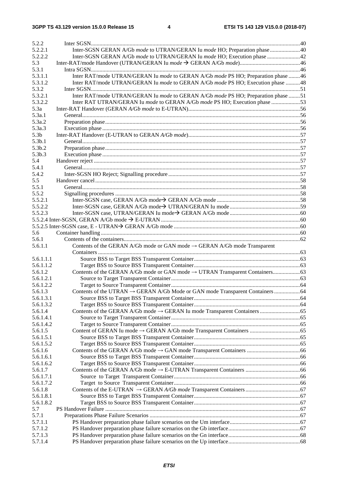| 5.2.2              |                                                                                       |  |
|--------------------|---------------------------------------------------------------------------------------|--|
| 5.2.2.1            | Inter-SGSN GERAN A/Gb mode to UTRAN/GERAN Iu mode HO; Preparation phase 40            |  |
| 5.2.2.2            | Inter-SGSN GERAN A/Gb mode to UTRAN/GERAN Iu mode HO; Execution phase 42              |  |
| 5.3                |                                                                                       |  |
| 5.3.1              |                                                                                       |  |
| 5.3.1.1            | Inter RAT/mode UTRAN/GERAN Iu mode to GERAN A/Gb mode PS HO; Preparation phase 46     |  |
| 5.3.1.2            | Inter RAT/mode UTRAN/GERAN Iu mode to GERAN A/Gb mode PS HO; Execution phase 48       |  |
| 5.3.2              |                                                                                       |  |
| 5.3.2.1            | Inter RAT/mode UTRAN/GERAN Iu mode to GERAN A/Gb mode PS HO; Preparation phase 51     |  |
| 5.3.2.2            | Inter RAT UTRAN/GERAN Iu mode to GERAN A/Gb mode PS HO; Execution phase 53            |  |
| 5.3a               |                                                                                       |  |
| 5.3a.1             |                                                                                       |  |
| 5.3a.2             |                                                                                       |  |
| 5.3a.3             |                                                                                       |  |
| 5.3 <sub>b</sub>   |                                                                                       |  |
| 5.3 <sub>b.1</sub> |                                                                                       |  |
| 5.3 <sub>b.2</sub> |                                                                                       |  |
| 5.3 <sub>b.3</sub> |                                                                                       |  |
| 5.4                |                                                                                       |  |
| 5.4.1              |                                                                                       |  |
| 5.4.2              |                                                                                       |  |
| 5.5                |                                                                                       |  |
| 5.5.1              |                                                                                       |  |
| 5.5.2              |                                                                                       |  |
| 5.5.2.1            |                                                                                       |  |
| 5.5.2.2            |                                                                                       |  |
| 5.5.2.3            |                                                                                       |  |
|                    |                                                                                       |  |
|                    |                                                                                       |  |
|                    |                                                                                       |  |
| 5.6                |                                                                                       |  |
| 5.6.1              |                                                                                       |  |
| 5.6.1.1            | Contents of the GERAN A/Gb mode or GAN mode $\rightarrow$ GERAN A/Gb mode Transparent |  |
|                    |                                                                                       |  |
| 5.6.1.1.1          |                                                                                       |  |
| 5.6.1.1.2          |                                                                                       |  |
| 5.6.1.2            |                                                                                       |  |
| 5.6.1.2.1          |                                                                                       |  |
| 5.6.1.2.2          |                                                                                       |  |
| 5.6.1.3            | Contents of the UTRAN → GERAN A/Gb Mode or GAN mode Transparent Containers  64        |  |
| 5.6.1.3.1          |                                                                                       |  |
| 5.6.1.3.2          |                                                                                       |  |
| 5.6.1.4            |                                                                                       |  |
| 5.6.1.4.1          |                                                                                       |  |
| 5.6.1.4.2          |                                                                                       |  |
| 5.6.1.5            |                                                                                       |  |
| 5.6.1.5.1          |                                                                                       |  |
| 5.6.1.5.2          |                                                                                       |  |
| 5.6.1.6            |                                                                                       |  |
| 5.6.1.6.1          |                                                                                       |  |
| 5.6.1.6.2          |                                                                                       |  |
| 5.6.1.7            |                                                                                       |  |
| 5.6.1.7.1          |                                                                                       |  |
| 5.6.1.7.2          |                                                                                       |  |
| 5.6.1.8            |                                                                                       |  |
| 5.6.1.8.1          |                                                                                       |  |
| 5.6.1.8.2          |                                                                                       |  |
| 5.7                |                                                                                       |  |
| 5.7.1              |                                                                                       |  |
| 5.7.1.1            |                                                                                       |  |
| 5.7.1.2            |                                                                                       |  |
| 5.7.1.3            |                                                                                       |  |
| 5.7.1.4            |                                                                                       |  |
|                    |                                                                                       |  |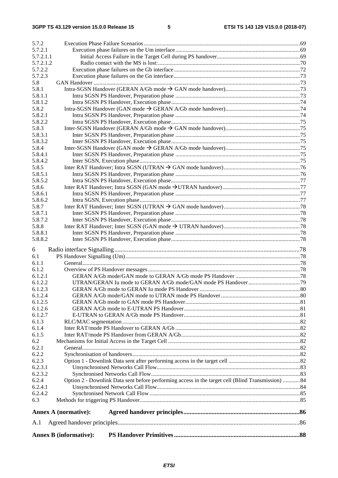| 5.7.2              |                                                                                                   |  |
|--------------------|---------------------------------------------------------------------------------------------------|--|
| 5.7.2.1            |                                                                                                   |  |
| 5.7.2.1.1          |                                                                                                   |  |
| 5.7.2.1.2          |                                                                                                   |  |
| 5.7.2.2            |                                                                                                   |  |
| 5.7.2.3            |                                                                                                   |  |
| 5.8                |                                                                                                   |  |
| 5.8.1              |                                                                                                   |  |
| 5.8.1.1            |                                                                                                   |  |
| 5.8.1.2            |                                                                                                   |  |
| 5.8.2              |                                                                                                   |  |
| 5.8.2.1            |                                                                                                   |  |
| 5.8.2.2            |                                                                                                   |  |
| 5.8.3              |                                                                                                   |  |
| 5.8.3.1<br>5.8.3.2 |                                                                                                   |  |
| 5.8.4              |                                                                                                   |  |
| 5.8.4.1            |                                                                                                   |  |
| 5.8.4.2            |                                                                                                   |  |
| 5.8.5              |                                                                                                   |  |
| 5.8.5.1            |                                                                                                   |  |
| 5.8.5.2            |                                                                                                   |  |
| 5.8.6              |                                                                                                   |  |
| 5.8.6.1            |                                                                                                   |  |
| 5.8.6.2            |                                                                                                   |  |
| 5.8.7              |                                                                                                   |  |
| 5.8.7.1            |                                                                                                   |  |
| 5.8.7.2            |                                                                                                   |  |
| 5.8.8              |                                                                                                   |  |
| 5.8.8.1            |                                                                                                   |  |
| 5.8.8.2            |                                                                                                   |  |
|                    |                                                                                                   |  |
| 6                  |                                                                                                   |  |
| 6.1                |                                                                                                   |  |
| 6.1.1              |                                                                                                   |  |
| 6.1.2              |                                                                                                   |  |
| 6.1.2.1<br>6.1.2.2 |                                                                                                   |  |
| 6.1.2.3            |                                                                                                   |  |
| 6.1.2.4            |                                                                                                   |  |
| 6.1.2.5            |                                                                                                   |  |
| 6.1.2.6            |                                                                                                   |  |
| 6.1.2.7            |                                                                                                   |  |
| 6.1.3              |                                                                                                   |  |
| 6.1.4              |                                                                                                   |  |
| 6.1.5              |                                                                                                   |  |
| 6.2                |                                                                                                   |  |
| 6.2.1              |                                                                                                   |  |
| 6.2.2              |                                                                                                   |  |
| 6.2.3              |                                                                                                   |  |
| 6.2.3.1            |                                                                                                   |  |
| 6.2.3.2            |                                                                                                   |  |
| 6.2.4              | Option 2 - Downlink Data sent before performing access in the target cell (Blind Transmission) 84 |  |
| 6.2.4.1            |                                                                                                   |  |
| 6.2.4.2            |                                                                                                   |  |
| 6.3                |                                                                                                   |  |
|                    |                                                                                                   |  |
|                    | <b>Annex A (normative):</b>                                                                       |  |
| A.1                |                                                                                                   |  |
|                    | <b>Annex B</b> (informative):                                                                     |  |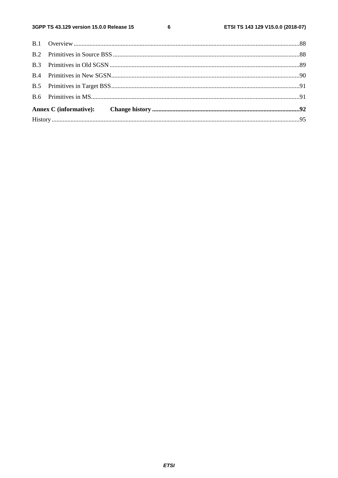$\bf 6$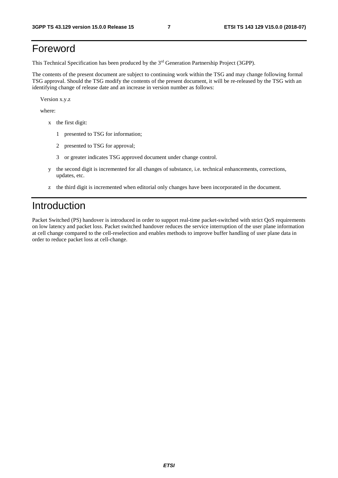## Foreword

This Technical Specification has been produced by the 3rd Generation Partnership Project (3GPP).

The contents of the present document are subject to continuing work within the TSG and may change following formal TSG approval. Should the TSG modify the contents of the present document, it will be re-released by the TSG with an identifying change of release date and an increase in version number as follows:

Version x.y.z

where:

- x the first digit:
	- 1 presented to TSG for information;
	- 2 presented to TSG for approval;
	- 3 or greater indicates TSG approved document under change control.
- y the second digit is incremented for all changes of substance, i.e. technical enhancements, corrections, updates, etc.
- z the third digit is incremented when editorial only changes have been incorporated in the document.

## Introduction

Packet Switched (PS) handover is introduced in order to support real-time packet-switched with strict QoS requirements on low latency and packet loss. Packet switched handover reduces the service interruption of the user plane information at cell change compared to the cell-reselection and enables methods to improve buffer handling of user plane data in order to reduce packet loss at cell-change.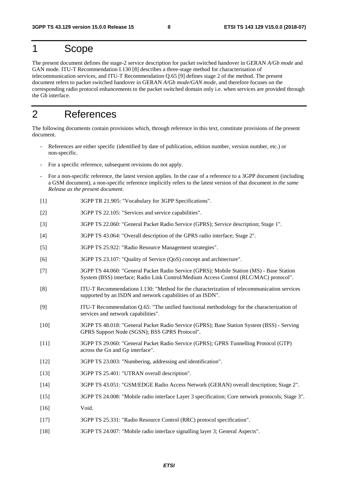## 1 Scope

The present document defines the stage-2 service description for packet switched handover in GERAN *A/Gb mode* and GAN mode. ITU-T Recommendation I.130 [8] describes a three-stage method for characterisation of telecommunication services, and ITU-T Recommendation Q.65 [9] defines stage 2 of the method. The present document refers to packet switched handover in GERAN *A/Gb mode/GAN mode*, and therefore focuses on the corresponding radio protocol enhancements to the packet switched domain only i.e. when services are provided through the Gb interface.

## 2 References

The following documents contain provisions which, through reference in this text, constitute provisions of the present document.

- References are either specific (identified by date of publication, edition number, version number, etc.) or non-specific.
- For a specific reference, subsequent revisions do not apply.
- For a non-specific reference, the latest version applies. In the case of a reference to a 3GPP document (including a GSM document), a non-specific reference implicitly refers to the latest version of that document *in the same Release as the present document*.
- [1] 3GPP TR 21.905: "Vocabulary for 3GPP Specifications".
- [2] 3GPP TS 22.105: "Services and service capabilities".
- [3] 3GPP TS 22.060: "General Packet Radio Service (GPRS); Service description; Stage 1".
- [4] 3GPP TS 43.064: "Overall description of the GPRS radio interface; Stage 2".
- [5] 3GPP TS 25.922: "Radio Resource Management strategies".
- [6] 3GPP TS 23.107: "Quality of Service (QoS) concept and architecture".
- [7] 3GPP TS 44.060: "General Packet Radio Service (GPRS); Mobile Station (MS) Base Station System (BSS) interface; Radio Link Control/Medium Access Control (RLC/MAC) protocol".
- [8] ITU-T Recommendations I.130: "Method for the characterization of telecommunication services supported by an ISDN and network capabilities of an ISDN".
- [9] ITU-T Recommendation Q.65: "The unified functional methodology for the characterization of services and network capabilities".
- [10] 3GPP TS 48.018: "General Packet Radio Service (GPRS); Base Station System (BSS) Serving GPRS Support Node (SGSN); BSS GPRS Protocol".
- [11] 3GPP TS 29.060: "General Packet Radio Service (GPRS); GPRS Tunnelling Protocol (GTP) across the Gn and Gp interface".
- [12] 3GPP TS 23.003: "Numbering, addressing and identification".
- [13] 3GPP TS 25.401: "UTRAN overall description".
- [14] 3GPP TS 43.051: "GSM/EDGE Radio Access Network (GERAN) overall description; Stage 2".
- [15] 3GPP TS 24.008: "Mobile radio interface Layer 3 specification; Core network protocols; Stage 3".
- [16] Void.
- [17] 3GPP TS 25.331: "Radio Resource Control (RRC) protocol specification".
- [18] 3GPP TS 24.007: "Mobile radio interface signalling layer 3; General Aspects".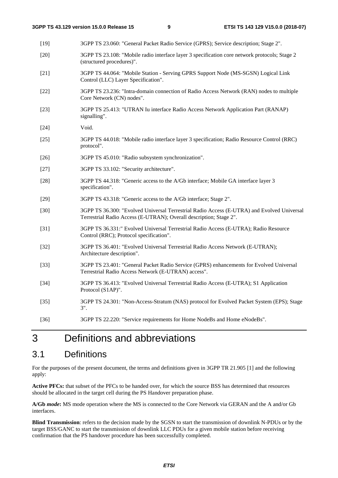- [19] 3GPP TS 23.060: "General Packet Radio Service (GPRS); Service description; Stage 2". [20] 3GPP TS 23.108: "Mobile radio interface layer 3 specification core network protocols; Stage 2 (structured procedures)". [21] 3GPP TS 44.064: "Mobile Station - Serving GPRS Support Node (MS-SGSN) Logical Link Control (LLC) Layer Specification". [22] 3GPP TS 23.236: "Intra-domain connection of Radio Access Network (RAN) nodes to multiple Core Network (CN) nodes". [23] 3GPP TS 25.413: "UTRAN Iu interface Radio Access Network Application Part (RANAP) signalling". [24] **Void.** [25] 3GPP TS 44.018: "Mobile radio interface layer 3 specification; Radio Resource Control (RRC) protocol". [26] 3GPP TS 45.010: "Radio subsystem synchronization". [27] 3GPP TS 33.102: "Security architecture". [28] 3GPP TS 44.318: "Generic access to the A/Gb interface; Mobile GA interface layer 3 specification".
- [29] 3GPP TS 43.318: "Generic access to the A/Gb interface; Stage 2".
- [30] 3GPP TS 36.300: "Evolved Universal Terrestrial Radio Access (E-UTRA) and Evolved Universal Terrestrial Radio Access (E-UTRAN); Overall description; Stage 2".
- [31] 3GPP TS 36.331:" Evolved Universal Terrestrial Radio Access (E-UTRA); Radio Resource Control (RRC); Protocol specification".
- [32] 3GPP TS 36.401: "Evolved Universal Terrestrial Radio Access Network (E-UTRAN); Architecture description".
- [33] 3GPP TS 23.401: "General Packet Radio Service (GPRS) enhancements for Evolved Universal Terrestrial Radio Access Network (E-UTRAN) access".
- [34] 3GPP TS 36.413: "Evolved Universal Terrestrial Radio Access (E-UTRA); S1 Application Protocol (S1AP)".
- [35] 3GPP TS 24.301: "Non-Access-Stratum (NAS) protocol for Evolved Packet System (EPS); Stage 3".

[36] 3GPP TS 22.220: "Service requirements for Home NodeBs and Home eNodeBs".

## 3 Definitions and abbreviations

## 3.1 Definitions

For the purposes of the present document, the terms and definitions given in 3GPP TR 21.905 [1] and the following apply:

**Active PFCs:** that subset of the PFCs to be handed over, for which the source BSS has determined that resources should be allocated in the target cell during the PS Handover preparation phase.

**A/Gb** *mode***:** MS mode operation where the MS is connected to the Core Network via GERAN and the A and/or Gb interfaces.

**Blind Transmission**: refers to the decision made by the SGSN to start the transmission of downlink N-PDUs or by the target BSS/GANC to start the transmission of downlink LLC PDUs for a given mobile station before receiving confirmation that the PS handover procedure has been successfully completed.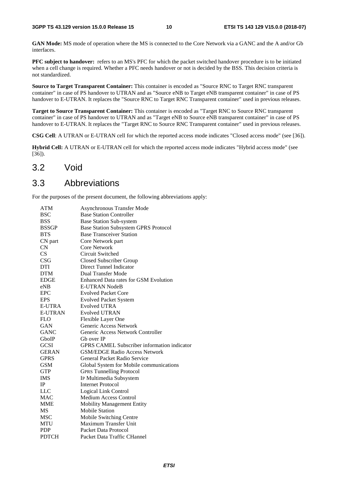**GAN Mode:** MS mode of operation where the MS is connected to the Core Network via a GANC and the A and/or Gb interfaces.

**PFC subject to handover:** refers to an MS's PFC for which the packet switched handover procedure is to be initiated when a cell change is required. Whether a PFC needs handover or not is decided by the BSS. This decision criteria is not standardized.

**Source to Target Transparent Container:** This container is encoded as "Source RNC to Target RNC transparent container" in case of PS handover to UTRAN and as "Source eNB to Target eNB transparent container" in case of PS handover to E-UTRAN. It replaces the "Source RNC to Target RNC Transparent container" used in previous releases.

**Target to Source Transparent Container:** This container is encoded as "Target RNC to Source RNC transparent container" in case of PS handover to UTRAN and as "Target eNB to Source eNB transparent container" in case of PS handover to E-UTRAN. It replaces the "Target RNC to Source RNC Transparent container" used in previous releases.

**CSG Cell**: A UTRAN or E-UTRAN cell for which the reported access mode indicates "Closed access mode" (see [36]).

**Hybrid Cell:** A UTRAN or E-UTRAN cell for which the reported access mode indicates "Hybrid access mode" (see [36]).

#### 3.2 Void

## 3.3 Abbreviations

For the purposes of the present document, the following abbreviations apply:

| ATM            | Asynchronous Transfer Mode                  |
|----------------|---------------------------------------------|
| <b>BSC</b>     | <b>Base Station Controller</b>              |
| <b>BSS</b>     | <b>Base Station Sub-system</b>              |
| <b>BSSGP</b>   | <b>Base Station Subsystem GPRS Protocol</b> |
| <b>BTS</b>     | <b>Base Transceiver Station</b>             |
| CN part        | Core Network part                           |
| CN             | Core Network                                |
| CS             | Circuit Switched                            |
| <b>CSG</b>     | Closed Subscriber Group                     |
| <b>DTI</b>     | Direct Tunnel Indicator                     |
| <b>DTM</b>     | <b>Dual Transfer Mode</b>                   |
| <b>EDGE</b>    | Enhanced Data rates for GSM Evolution       |
| eNB            | <b>E-UTRAN NodeB</b>                        |
| <b>EPC</b>     | <b>Evolved Packet Core</b>                  |
| <b>EPS</b>     | <b>Evolved Packet System</b>                |
| <b>E-UTRA</b>  | Evolved UTRA                                |
| <b>E-UTRAN</b> | <b>Evolved UTRAN</b>                        |
| <b>FLO</b>     | Flexible Layer One                          |
| <b>GAN</b>     | Generic Access Network                      |
| <b>GANC</b>    | Generic Access Network Controller           |
| GboIP          | Gb over IP                                  |
| <b>GCSI</b>    | GPRS CAMEL Subscriber information indicator |
| <b>GERAN</b>   | <b>GSM/EDGE Radio Access Network</b>        |
| <b>GPRS</b>    | General Packet Radio Service                |
| <b>GSM</b>     | Global System for Mobile communications     |
| GTP            | <b>GPRS Tunnelling Protocol</b>             |
| <b>IMS</b>     | IP Multimedia Subsystem                     |
| <b>IP</b>      | <b>Internet Protocol</b>                    |
| <b>LLC</b>     | Logical Link Control                        |
| MAC            | Medium Access Control                       |
| <b>MME</b>     | <b>Mobility Management Entity</b>           |
| MS             | <b>Mobile Station</b>                       |
| <b>MSC</b>     | Mobile Switching Centre                     |
| <b>MTU</b>     | Maximum Transfer Unit                       |
| <b>PDP</b>     | Packet Data Protocol                        |
| <b>PDTCH</b>   | Packet Data Traffic CHannel                 |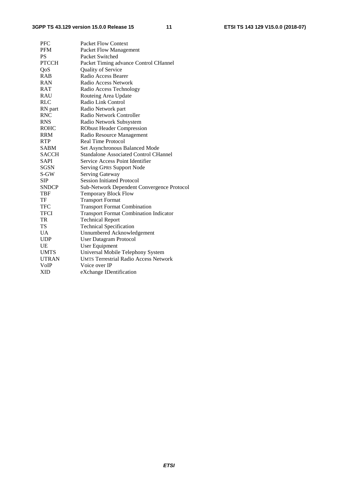#### **3GPP TS 43.129 version 15.0.0 Release 15 11 ETSI TS 143 129 V15.0.0 (2018-07)**

| <b>Packet Flow Context</b>                    |
|-----------------------------------------------|
| Packet Flow Management                        |
| Packet Switched                               |
| Packet Timing advance Control CHannel         |
| Quality of Service                            |
| Radio Access Bearer                           |
| Radio Access Network                          |
| Radio Access Technology                       |
| Routeing Area Update                          |
| Radio Link Control                            |
| Radio Network part                            |
| Radio Network Controller                      |
| Radio Network Subsystem                       |
| <b>RObust Header Compression</b>              |
| Radio Resource Management                     |
| Real Time Protocol                            |
| Set Asynchronous Balanced Mode                |
| <b>Standalone Associated Control CHannel</b>  |
| Service Access Point Identifier               |
| <b>Serving GPRS Support Node</b>              |
| Serving Gateway                               |
| <b>Session Initiated Protocol</b>             |
| Sub-Network Dependent Convergence Protocol    |
| <b>Temporary Block Flow</b>                   |
| <b>Transport Format</b>                       |
| <b>Transport Format Combination</b>           |
| <b>Transport Format Combination Indicator</b> |
| <b>Technical Report</b>                       |
| <b>Technical Specification</b>                |
| Unnumbered Acknowledgement                    |
| <b>User Datagram Protocol</b>                 |
| <b>User Equipment</b>                         |
| Universal Mobile Telephony System             |
| <b>UMTS Terrestrial Radio Access Network</b>  |
| Voice over IP                                 |
| eXchange IDentification                       |
|                                               |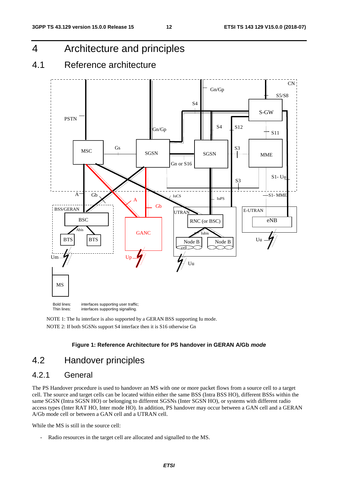4 Architecture and principles

## 4.1 Reference architecture



NOTE 1: The Iu interface is also supported by a GERAN BSS supporting Iu mode. NOTE 2: If both SGSNs support S4 interface then it is S16 otherwise Gn

#### **Figure 1: Reference Architecture for PS handover in GERAN A/Gb** *mode*

## 4.2 Handover principles

#### 4.2.1 General

The PS Handover procedure is used to handover an MS with one or more packet flows from a source cell to a target cell. The source and target cells can be located within either the same BSS (Intra BSS HO), different BSSs within the same SGSN (Intra SGSN HO) or belonging to different SGSNs (Inter SGSN HO), or systems with different radio access types (Inter RAT HO, Inter mode HO). In addition, PS handover may occur between a GAN cell and a GERAN A/Gb mode cell or between a GAN cell and a UTRAN cell.

While the MS is still in the source cell:

Radio resources in the target cell are allocated and signalled to the MS.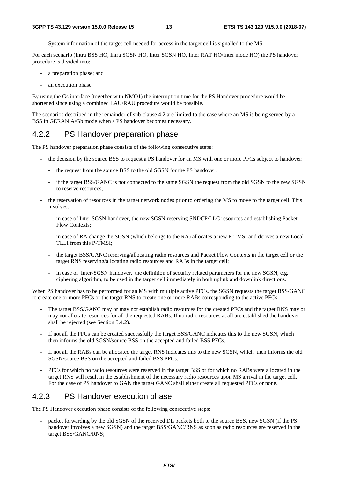System information of the target cell needed for access in the target cell is signalled to the MS.

For each scenario (Intra BSS HO, Intra SGSN HO, Inter SGSN HO, Inter RAT HO/Inter mode HO) the PS handover procedure is divided into:

- a preparation phase; and
- an execution phase.

By using the Gs interface (together with NMO1) the interruption time for the PS Handover procedure would be shortened since using a combined LAU/RAU procedure would be possible.

The scenarios described in the remainder of sub-clause 4.2 are limited to the case where an MS is being served by a BSS in GERAN A/Gb mode when a PS handover becomes necessary.

#### 4.2.2 PS Handover preparation phase

The PS handover preparation phase consists of the following consecutive steps:

- the decision by the source BSS to request a PS handover for an MS with one or more PFCs subject to handover:
	- the request from the source BSS to the old SGSN for the PS handover;
	- if the target BSS/GANC is not connected to the same SGSN the request from the old SGSN to the new SGSN to reserve resources;
- the reservation of resources in the target network nodes prior to ordering the MS to move to the target cell. This involves:
	- in case of Inter SGSN handover, the new SGSN reserving SNDCP/LLC resources and establishing Packet Flow Contexts;
	- in case of RA change the SGSN (which belongs to the RA) allocates a new P-TMSI and derives a new Local TLLI from this P-TMSI;
	- the target BSS/GANC reserving/allocating radio resources and Packet Flow Contexts in the target cell or the target RNS reserving/allocating radio resources and RABs in the target cell;
	- in case of Inter-SGSN handover, the definition of security related parameters for the new SGSN, e.g. ciphering algorithm, to be used in the target cell immediately in both uplink and downlink directions.

When PS handover has to be performed for an MS with multiple active PFCs, the SGSN requests the target BSS/GANC to create one or more PFCs or the target RNS to create one or more RABs corresponding to the active PFCs:

- The target BSS/GANC may or may not establish radio resources for the created PFCs and the target RNS may or may not allocate resources for all the requested RABs. If no radio resources at all are established the handover shall be rejected (see Section 5.4.2).
- If not all the PFCs can be created successfully the target BSS/GANC indicates this to the new SGSN, which then informs the old SGSN/source BSS on the accepted and failed BSS PFCs.
- If not all the RABs can be allocated the target RNS indicates this to the new SGSN, which then informs the old SGSN/source BSS on the accepted and failed BSS PFCs.
- PFCs for which no radio resources were reserved in the target BSS or for which no RABs were allocated in the target RNS will result in the establishment of the necessary radio resources upon MS arrival in the target cell. For the case of PS handover to GAN the target GANC shall either create all requested PFCs or none.

#### 4.2.3 PS Handover execution phase

The PS Handover execution phase consists of the following consecutive steps:

packet forwarding by the old SGSN of the received DL packets both to the source BSS, new SGSN (if the PS handover involves a new SGSN) and the target BSS/GANC/RNS as soon as radio resources are reserved in the target BSS/GANC/RNS;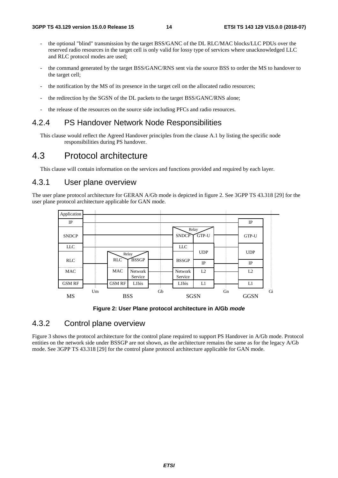- the optional "blind" transmission by the target BSS/GANC of the DL RLC/MAC blocks/LLC PDUs over the reserved radio resources in the target cell is only valid for lossy type of services where unacknowledged LLC and RLC protocol modes are used;
- the command generated by the target BSS/GANC/RNS sent via the source BSS to order the MS to handover to the target cell;
- the notification by the MS of its presence in the target cell on the allocated radio resources;
- the redirection by the SGSN of the DL packets to the target BSS/GANC/RNS alone;
- the release of the resources on the source side including PFCs and radio resources.

#### 4.2.4 PS Handover Network Node Responsibilities

This clause would reflect the Agreed Handover principles from the clause A.1 by listing the specific node responsibilities during PS handover.

#### 4.3 Protocol architecture

This clause will contain information on the services and functions provided and required by each layer.

#### 4.3.1 User plane overview

The user plane protocol architecture for GERAN A/Gb mode is depicted in figure 2. See 3GPP TS 43.318 [29] for the user plane protocol architecture applicable for GAN mode.



**Figure 2: User Plane protocol architecture in A/Gb** *mode*

#### 4.3.2 Control plane overview

Figure 3 shows the protocol architecture for the control plane required to support PS Handover in A/Gb mode. Protocol entities on the network side under BSSGP are not shown, as the architecture remains the same as for the legacy A/Gb mode. See 3GPP TS 43.318 [29] for the control plane protocol architecture applicable for GAN mode.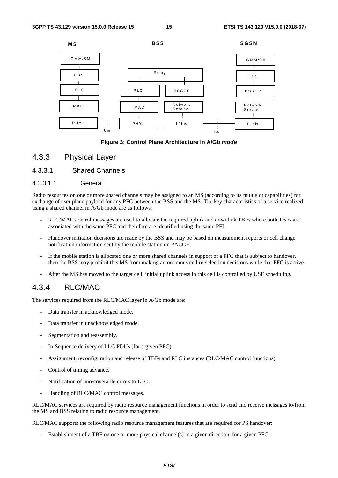

**Figure 3: Control Plane Architecture in A/Gb** *mode*

- 4.3.3 Physical Layer
- 4.3.3.1 Shared Channels
- 4.3.3.1.1 General

Radio resources on one or more shared channels may be assigned to an MS (according to its multislot capabilities) for exchange of user plane payload for any PFC between the BSS and the MS. The key characteristics of a service realized using a shared channel in A/Gb mode are as follows:

- RLC/MAC control messages are used to allocate the required uplink and downlink TBFs where both TBFs are associated with the same PFC and therefore are identified using the same PFI.
- Handover initiation decisions are made by the BSS and may be based on measurement reports or cell change notification information sent by the mobile station on PACCH.
- If the mobile station is allocated one or more shared channels in support of a PFC that is subject to handover, then the BSS may prohibit this MS from making autonomous cell re-selection decisions while that PFC is active.
- After the MS has moved to the target cell, initial uplink access in this cell is controlled by USF scheduling.

#### 4.3.4 RLC/MAC

The services required from the RLC/MAC layer in A/Gb mode are:

- Data transfer in acknowledged mode.
- Data transfer in unacknowledged mode.
- Segmentation and reassembly.
- In-Sequence delivery of LLC PDUs (for a given PFC).
- Assignment, reconfiguration and release of TBFs and RLC instances (RLC/MAC control functions).
- Control of timing advance.
- Notification of unrecoverable errors to LLC.
- Handling of RLC/MAC control messages.

RLC/MAC services are required by radio resource management functions in order to send and receive messages to/from the MS and BSS relating to radio resource management.

RLC/MAC supports the following radio resource management features that are required for PS handover:

Establishment of a TBF on one or more physical channel(s) in a given direction, for a given PFC.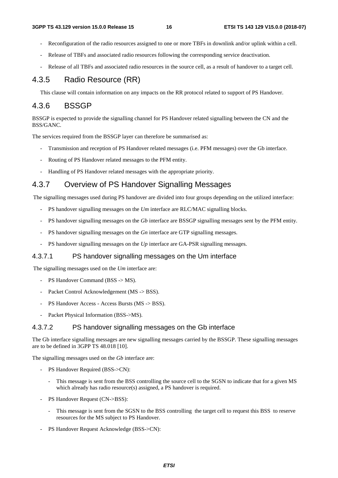- Reconfiguration of the radio resources assigned to one or more TBFs in downlink and/or uplink within a cell.
- Release of TBFs and associated radio resources following the corresponding service deactivation.
- Release of all TBFs and associated radio resources in the source cell, as a result of handover to a target cell.

#### 4.3.5 Radio Resource (RR)

This clause will contain information on any impacts on the RR protocol related to support of PS Handover.

#### 4.3.6 BSSGP

BSSGP is expected to provide the signalling channel for PS Handover related signalling between the CN and the BSS/GANC.

The services required from the BSSGP layer can therefore be summarised as:

- Transmission and reception of PS Handover related messages (i.e. PFM messages) over the Gb interface.
- Routing of PS Handover related messages to the PFM entity.
- Handling of PS Handover related messages with the appropriate priority.

## 4.3.7 Overview of PS Handover Signalling Messages

The signalling messages used during PS handover are divided into four groups depending on the utilized interface:

- PS handover signalling messages on the *Um* interface are RLC/MAC signalling blocks.
- PS handover signalling messages on the *Gb* interface are BSSGP signalling messages sent by the PFM entity.
- PS handover signalling messages on the *Gn* interface are GTP signalling messages.
- PS handover signalling messages on the *Up* interface are GA-PSR signalling messages.

#### 4.3.7.1 PS handover signalling messages on the Um interface

The signalling messages used on the *Um* interface are:

- PS Handover Command (BSS -> MS).
- Packet Control Acknowledgement (MS -> BSS).
- PS Handover Access Access Bursts (MS -> BSS).
- Packet Physical Information (BSS->MS).

#### 4.3.7.2 PS handover signalling messages on the Gb interface

The Gb interface signalling messages are new signalling messages carried by the BSSGP. These signalling messages are to be defined in 3GPP TS 48.018 [10].

The signalling messages used on the *Gb* interface are:

- PS Handover Required (BSS->CN):
	- This message is sent from the BSS controlling the source cell to the SGSN to indicate that for a given MS which already has radio resource(s) assigned, a PS handover is required.
- PS Handover Request (CN->BSS):
	- This message is sent from the SGSN to the BSS controlling the target cell to request this BSS to reserve resources for the MS subject to PS Handover.
- PS Handover Request Acknowledge (BSS->CN):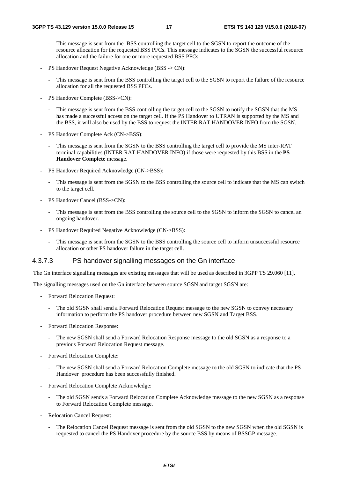- This message is sent from the BSS controlling the target cell to the SGSN to report the outcome of the resource allocation for the requested BSS PFCs. This message indicates to the SGSN the successful resource allocation and the failure for one or more requested BSS PFCs.
- PS Handover Request Negative Acknowledge (BSS -> CN):
	- This message is sent from the BSS controlling the target cell to the SGSN to report the failure of the resource allocation for all the requested BSS PFCs.
- PS Handover Complete (BSS->CN):
	- This message is sent from the BSS controlling the target cell to the SGSN to notify the SGSN that the MS has made a successful access on the target cell. If the PS Handover to UTRAN is supported by the MS and the BSS, it will also be used by the BSS to request the INTER RAT HANDOVER INFO from the SGSN.
- PS Handover Complete Ack (CN->BSS):
	- This message is sent from the SGSN to the BSS controlling the target cell to provide the MS inter-RAT terminal capabilities (INTER RAT HANDOVER INFO) if those were requested by this BSS in the **PS Handover Complete** message.
- PS Handover Required Acknowledge (CN->BSS):
	- This message is sent from the SGSN to the BSS controlling the source cell to indicate that the MS can switch to the target cell.
- PS Handover Cancel (BSS->CN):
	- This message is sent from the BSS controlling the source cell to the SGSN to inform the SGSN to cancel an ongoing handover.
- PS Handover Required Negative Acknowledge (CN->BSS):
	- This message is sent from the SGSN to the BSS controlling the source cell to inform unsuccessful resource allocation or other PS handover failure in the target cell.

#### 4.3.7.3 PS handover signalling messages on the Gn interface

The Gn interface signalling messages are existing messages that will be used as described in 3GPP TS 29.060 [11].

The signalling messages used on the Gn interface between source SGSN and target SGSN are:

- Forward Relocation Request:
	- The old SGSN shall send a Forward Relocation Request message to the new SGSN to convey necessary information to perform the PS handover procedure between new SGSN and Target BSS.
- Forward Relocation Response:
	- The new SGSN shall send a Forward Relocation Response message to the old SGSN as a response to a previous Forward Relocation Request message.
- Forward Relocation Complete:
	- The new SGSN shall send a Forward Relocation Complete message to the old SGSN to indicate that the PS Handover procedure has been successfully finished.
- Forward Relocation Complete Acknowledge:
	- The old SGSN sends a Forward Relocation Complete Acknowledge message to the new SGSN as a response to Forward Relocation Complete message.
- Relocation Cancel Request:
	- The Relocation Cancel Request message is sent from the old SGSN to the new SGSN when the old SGSN is requested to cancel the PS Handover procedure by the source BSS by means of BSSGP message.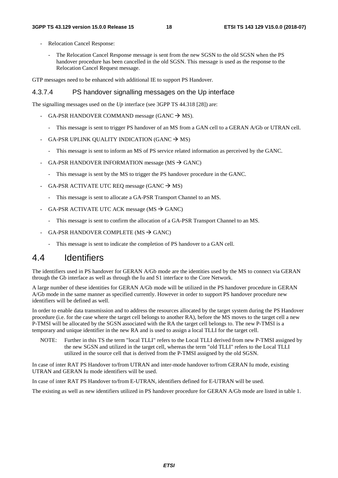- Relocation Cancel Response:
	- The Relocation Cancel Response message is sent from the new SGSN to the old SGSN when the PS handover procedure has been cancelled in the old SGSN. This message is used as the response to the Relocation Cancel Request message.

GTP messages need to be enhanced with additional IE to support PS Handover.

#### 4.3.7.4 PS handover signalling messages on the Up interface

The signalling messages used on the *Up* interface (see 3GPP TS 44.318 [28]) are:

- GA-PSR HANDOVER COMMAND message (GANC  $\rightarrow$  MS).
	- This message is sent to trigger PS handover of an MS from a GAN cell to a GERAN A/Gb or UTRAN cell.
- GA-PSR UPLINK QUALITY INDICATION (GANC  $\rightarrow$  MS)
	- This message is sent to inform an MS of PS service related information as perceived by the GANC.
- GA-PSR HANDOVER INFORMATION message (MS  $\rightarrow$  GANC)
	- This message is sent by the MS to trigger the PS handover procedure in the GANC.
- GA-PSR ACTIVATE UTC REQ message (GANC  $\rightarrow$  MS)
	- This message is sent to allocate a GA-PSR Transport Channel to an MS.
- GA-PSR ACTIVATE UTC ACK message ( $MS \rightarrow GAMC$ )
	- This message is sent to confirm the allocation of a GA-PSR Transport Channel to an MS.
- GA-PSR HANDOVER COMPLETE (MS  $\rightarrow$  GANC)
	- This message is sent to indicate the completion of PS handover to a GAN cell.

#### 4.4 Identifiers

The identifiers used in PS handover for GERAN A/Gb mode are the identities used by the MS to connect via GERAN through the Gb interface as well as through the Iu and S1 interface to the Core Network.

A large number of these identities for GERAN A/Gb mode will be utilized in the PS handover procedure in GERAN A/Gb mode in the same manner as specified currently. However in order to support PS handover procedure new identifiers will be defined as well.

In order to enable data transmission and to address the resources allocated by the target system during the PS Handover procedure (i.e. for the case where the target cell belongs to another RA), before the MS moves to the target cell a new P-TMSI will be allocated by the SGSN associated with the RA the target cell belongs to. The new P-TMSI is a temporary and unique identifier in the new RA and is used to assign a local TLLI for the target cell.

NOTE: Further in this TS the term "local TLLI" refers to the Local TLLI derived from new P-TMSI assigned by the new SGSN and utilized in the target cell, whereas the term "old TLLI" refers to the Local TLLI utilized in the source cell that is derived from the P-TMSI assigned by the old SGSN.

In case of inter RAT PS Handover to/from UTRAN and inter-mode handover to/from GERAN Iu mode, existing UTRAN and GERAN Iu mode identifiers will be used.

In case of inter RAT PS Handover to/from E-UTRAN, identifiers defined for E-UTRAN will be used.

The existing as well as new identifiers utilized in PS handover procedure for GERAN A/Gb mode are listed in table 1.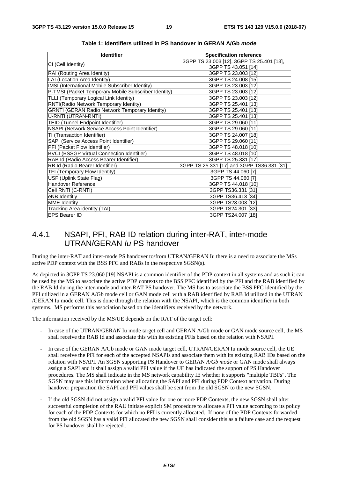| <b>Identifier</b>                                     | <b>Specification reference</b>             |
|-------------------------------------------------------|--------------------------------------------|
|                                                       | 3GPP TS 23.003 [12], 3GPP TS 25.401 [13],  |
| CI (Cell Identity)                                    | 3GPP TS 43.051 [14]                        |
| RAI (Routing Area Identity)                           | 3GPP TS 23.003 [12]                        |
| LAI (Location Area Identity)                          | 3GPP TS 24.008 [15]                        |
| IMSI (International Mobile Subscriber Identity)       | 3GPP TS 23.003 [12]                        |
| P-TMSI (Packet Temporary Mobile Subscriber Identity)  | 3GPP TS 23.003 [12]                        |
| TLLI (Temporary Logical Link Identity)                | 3GPP TS 23.003 [12]                        |
| RNTI(Radio Network Temporary Identity)                | 3GPP TS 25.401 [13]                        |
| <b>GRNTI (GERAN Radio Network Temporary Identity)</b> | 3GPP TS 25.401 [13]                        |
| U-RNTI (UTRAN-RNTI)                                   | 3GPP TS 25.401 [13]                        |
| TEID (Tunnel Endpoint Identifier)                     | 3GPP TS 29.060 [11]                        |
| NSAPI (Network Service Access Point Identifier)       | 3GPP TS 29.060 [11]                        |
| TI (Transaction Identifier)                           | 3GPP TS 24.007 [18]                        |
| SAPI (Service Access Point Identifier)                | 3GPP TS 29.060 [11]                        |
| PFI (Packet Flow Identifier)                          | 3GPP TS 48.018 [10]                        |
| <b>BVCI (BSSGP Virtual Connection Identifier)</b>     | 3GPP TS 48.018 [10]                        |
| RAB Id (Radio Access Bearer Identifier)               | 3GPP TS 25.331 [17]                        |
| RB Id (Radio Bearer Identifier)                       | 3GPP TS 25.331 [17] and 3GPP TS36.331 [31] |
| TFI (Temporary Flow Identity)                         | 3GPP TS 44.060 [7]                         |
| USF (Uplink State Flag)                               | 3GPP TS 44.060 [7]                         |
| <b>Handover Reference</b>                             | 3GPP TS 44.018 [10]                        |
| Cell RNTI (C-RNTI)                                    | 3GPP TS36.331 [31]                         |
| eNB Identitiy                                         | 3GPP TS36.413 [34]                         |
| <b>MME</b> Identity                                   | 3GPP TS23.003 [12]                         |
| Tracking Area identity (TAI)                          | 3GPP TS24.301 [33]                         |
| <b>EPS Bearer ID</b>                                  | 3GPP TS24.007 [18]                         |

| Table 1: Identifiers utilized in PS handover in GERAN A/Gb mode |
|-----------------------------------------------------------------|
|-----------------------------------------------------------------|

## 4.4.1 NSAPI, PFI, RAB ID relation during inter-RAT, inter-mode UTRAN/GERAN *Iu* PS handover

During the inter-RAT and inter-mode PS handover to/from UTRAN/GERAN Iu there is a need to associate the MSs active PDP context with the BSS PFC and RABs in the respective SGSN(s).

As depicted in 3GPP TS 23.060 [19] NSAPI is a common identifier of the PDP context in all systems and as such it can be used by the MS to associate the active PDP contexts to the BSS PFC identified by the PFI and the RAB identified by the RAB Id during the inter-mode and inter-RAT PS handover. The MS has to associate the BSS PFC identified by the PFI utilized in a GERAN A/Gb mode cell or GAN mode cell with a RAB identified by RAB Id utilized in the UTRAN /GERAN Iu mode cell. This is done through the relation with the NSAPI, which is the common identifier in both systems. MS performs this association based on the identifiers received by the network.

The information received by the MS/UE depends on the RAT of the target cell:

- In case of the UTRAN/GERAN Iu mode target cell and GERAN A/Gb mode or GAN mode source cell, the MS shall receive the RAB Id and associate this with its existing PFIs based on the relation with NSAPI.
- In case of the GERAN A/Gb mode or GAN mode target cell, UTRAN/GERAN Iu mode source cell, the UE shall receive the PFI for each of the accepted NSAPIs and associate them with its existing RAB IDs based on the relation with NSAPI. An SGSN supporting PS Handover to GERAN *A/Gb mode* or GAN mode shall always assign a SAPI and it shall assign a valid PFI value if the UE has indicated the support of PS Handover procedures. The MS shall indicate in the MS network capability IE whether it supports "multiple TBFs". The SGSN may use this information when allocating the SAPI and PFI during PDP Context activation. During handover preparation the SAPI and PFI values shall be sent from the old SGSN to the new SGSN.
- If the old SGSN did not assign a valid PFI value for one or more PDP Contexts, the new SGSN shall after successful completion of the RAU initiate explicit SM procedure to allocate a PFI value according to its policy for each of the PDP Contexts for which no PFI is currently allocated. If none of the PDP Contexts forwarded from the old SGSN has a valid PFI allocated the new SGSN shall consider this as a failure case and the request for PS handover shall be rejected..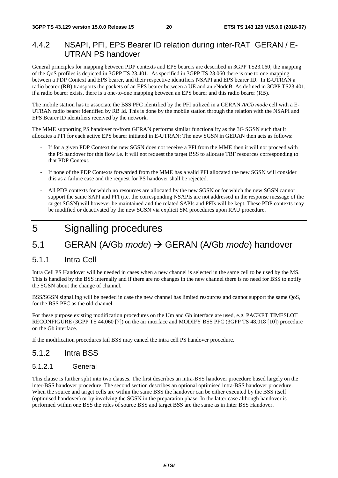## 4.4.2 NSAPI, PFI, EPS Bearer ID relation during inter-RAT GERAN / E-UTRAN PS handover

General principles for mapping between PDP contexts and EPS bearers are described in 3GPP TS23.060; the mapping of the QoS profiles is depicted in 3GPP TS 23.401. As specified in 3GPP TS 23.060 there is one to one mapping between a PDP Context and EPS bearer, and their respective identifiers NSAPI and EPS bearer ID. In E-UTRAN a radio bearer (RB) transports the packets of an EPS bearer between a UE and an eNodeB. As defined in 3GPP TS23.401, if a radio bearer exists, there is a one-to-one mapping between an EPS bearer and this radio bearer (RB).

The mobile station has to associate the BSS PFC identified by the PFI utilized in a GERAN *A/Gb mode* cell with a E-UTRAN radio bearer identified by RB Id. This is done by the mobile station through the relation with the NSAPI and EPS Bearer ID identifiers received by the network.

The MME supporting PS handover to/from GERAN performs similar functionality as the 3G SGSN such that it allocates a PFI for each active EPS bearer initiated in E-UTRAN: The new SGSN in GERAN then acts as follows:

- If for a given PDP Context the new SGSN does not receive a PFI from the MME then it will not proceed with the PS handover for this flow i.e. it will not request the target BSS to allocate TBF resources corresponding to that PDP Context.
- If none of the PDP Contexts forwarded from the MME has a valid PFI allocated the new SGSN will consider this as a failure case and the request for PS handover shall be rejected.
- All PDP contexts for which no resources are allocated by the new SGSN or for which the new SGSN cannot support the same SAPI and PFI (i.e. the corresponding NSAPIs are not addressed in the response message of the target SGSN) will however be maintained and the related SAPIs and PFIs will be kept. These PDP contexts may be modified or deactivated by the new SGSN via explicit SM procedures upon RAU procedure.

## 5 Signalling procedures

## 5.1 GERAN (A/Gb *mode*) GERAN (A/Gb *mode*) handover

#### 5.1.1 Intra Cell

Intra Cell PS Handover will be needed in cases when a new channel is selected in the same cell to be used by the MS. This is handled by the BSS internally and if there are no changes in the new channel there is no need for BSS to notify the SGSN about the change of channel.

BSS/SGSN signalling will be needed in case the new channel has limited resources and cannot support the same QoS, for the BSS PFC as the old channel.

For these purpose existing modification procedures on the Um and Gb interface are used, e.g. PACKET TIMESLOT RECONFIGURE (3GPP TS 44.060 [7]) on the air interface and MODIFY BSS PFC (3GPP TS 48.018 [10]) procedure on the Gb interface.

If the modification procedures fail BSS may cancel the intra cell PS handover procedure.

#### 5.1.2 Intra BSS

#### 5.1.2.1 General

This clause is further split into two clauses. The first describes an intra-BSS handover procedure based largely on the inter-BSS handover procedure. The second section describes an optional optimised intra-BSS handover procedure. When the source and target cells are within the same BSS the handover can be either executed by the BSS itself (optimised handover) or by involving the SGSN in the preparation phase. In the latter case although handover is performed within one BSS the roles of source BSS and target BSS are the same as in Inter BSS Handover.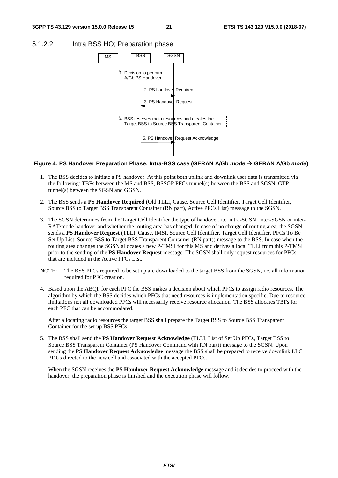#### 5.1.2.2 Intra BSS HO; Preparation phase



#### **Figure 4: PS Handover Preparation Phase; Intra-BSS case (GERAN A/Gb** *mode*  **GERAN A/Gb** *mode***)**

- 1. The BSS decides to initiate a PS handover. At this point both uplink and downlink user data is transmitted via the following: TBFs between the MS and BSS, BSSGP PFCs tunnel(s) between the BSS and SGSN, GTP tunnel(s) between the SGSN and GGSN.
- 2. The BSS sends a **PS Handover Required** (Old TLLI, Cause, Source Cell Identifier, Target Cell Identifier, Source BSS to Target BSS Transparent Container (RN part), Active PFCs List) message to the SGSN.
- 3. The SGSN determines from the Target Cell Identifier the type of handover, i.e. intra-SGSN, inter-SGSN or inter-RAT/mode handover and whether the routing area has changed. In case of no change of routing area, the SGSN sends a **PS Handover Request** (TLLI, Cause, IMSI, Source Cell Identifier, Target Cell Identifier, PFCs To Be Set Up List, Source BSS to Target BSS Transparent Container (RN part)) message to the BSS. In case when the routing area changes the SGSN allocates a new P-TMSI for this MS and derives a local TLLI from this P-TMSI prior to the sending of the **PS Handover Request** message. The SGSN shall only request resources for PFCs that are included in the Active PFCs List.
- NOTE: The BSS PFCs required to be set up are downloaded to the target BSS from the SGSN, i.e. all information required for PFC creation.
- 4. Based upon the ABQP for each PFC the BSS makes a decision about which PFCs to assign radio resources. The algorithm by which the BSS decides which PFCs that need resources is implementation specific. Due to resource limitations not all downloaded PFCs will necessarily receive resource allocation. The BSS allocates TBFs for each PFC that can be accommodated.

 After allocating radio resources the target BSS shall prepare the Target BSS to Source BSS Transparent Container for the set up BSS PFCs.

5. The BSS shall send the **PS Handover Request Acknowledge** (TLLI, List of Set Up PFCs, Target BSS to Source BSS Transparent Container (PS Handover Command with RN part)) message to the SGSN. Upon sending the **PS Handover Request Acknowledge** message the BSS shall be prepared to receive downlink LLC PDUs directed to the new cell and associated with the accepted PFCs.

 When the SGSN receives the **PS Handover Request Acknowledge** message and it decides to proceed with the handover, the preparation phase is finished and the execution phase will follow.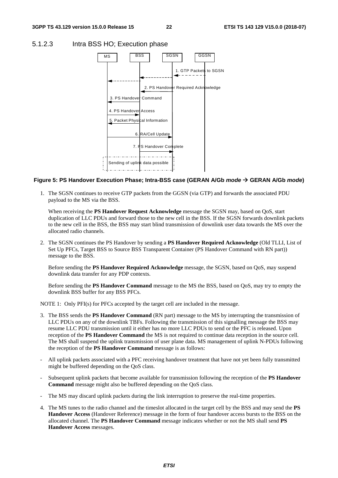#### 5.1.2.3 Intra BSS HO; Execution phase



#### **Figure 5: PS Handover Execution Phase; Intra-BSS case (GERAN A/Gb** *mode*  **GERAN A/Gb** *mode***)**

1. The SGSN continues to receive GTP packets from the GGSN (via GTP) and forwards the associated PDU payload to the MS via the BSS.

 When receiving the **PS Handover Request Acknowledge** message the SGSN may, based on QoS, start duplication of LLC PDUs and forward those to the new cell in the BSS. If the SGSN forwards downlink packets to the new cell in the BSS, the BSS may start blind transmission of downlink user data towards the MS over the allocated radio channels.

2. The SGSN continues the PS Handover by sending a **PS Handover Required Acknowledge** (Old TLLI, List of Set Up PFCs, Target BSS to Source BSS Transparent Container (PS Handover Command with RN part)) message to the BSS.

 Before sending the **PS Handover Required Acknowledge** message, the SGSN, based on QoS, may suspend downlink data transfer for any PDP contexts.

 Before sending the **PS Handover Command** message to the MS the BSS, based on QoS, may try to empty the downlink BSS buffer for any BSS PFCs.

NOTE 1: Only PFI(s) for PFCs accepted by the target cell are included in the message.

- 3. The BSS sends the **PS Handover Command** (RN part) message to the MS by interrupting the transmission of LLC PDUs on any of the downlink TBFs. Following the transmission of this signalling message the BSS may resume LLC PDU transmission until it either has no more LLC PDUs to send or the PFC is released. Upon reception of the **PS Handover Command** the MS is not required to continue data reception in the source cell. The MS shall suspend the uplink transmission of user plane data. MS management of uplink N-PDUs following the reception of the **PS Handover Command** message is as follows:
- All uplink packets associated with a PFC receiving handover treatment that have not yet been fully transmitted might be buffered depending on the QoS class.
- Subsequent uplink packets that become available for transmission following the reception of the **PS Handover Command** message might also be buffered depending on the QoS class.
- The MS may discard uplink packets during the link interruption to preserve the real-time properties.
- 4. The MS tunes to the radio channel and the timeslot allocated in the target cell by the BSS and may send the **PS Handover Access** (Handover Reference) message in the form of four handover access bursts to the BSS on the allocated channel. The **PS Handover Command** message indicates whether or not the MS shall send **PS Handover Access** messages.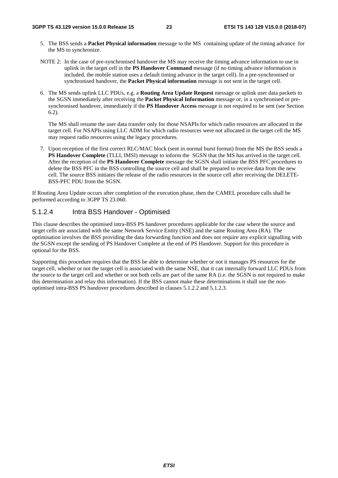- 5. The BSS sends a **Packet Physical information** message to the MS containing update of the timing advance for the MS to synchronize.
- NOTE 2: In the case of pre-synchronised handover the MS may receive the timing advance information to use in uplink in the target cell in the **PS Handover Command** message (if no timing advance information is included, the mobile station uses a default timing advance in the target cell). In a pre-synchronised or synchronised handover, the **Packet Physical information** message is not sent in the target cell.
- 6. The MS sends uplink LLC PDUs, e.g. a **Routing Area Update Request** message or uplink user data packets to the SGSN immediately after receiving the **Packet Physical Information** message or, in a synchronised or presynchronised handover, immediately if the **PS Handover Access** message is not required to be sent (see Section 6.2).

The MS shall resume the user data transfer only for those NSAPIs for which radio resources are allocated in the target cell. For NSAPIs using LLC ADM for which radio resources were not allocated in the target cell the MS may request radio resources using the legacy procedures.

7. Upon reception of the first correct RLC/MAC block (sent in normal burst format) from the MS the BSS sends a **PS Handover Complete** (TLLI, IMSI) message to inform the SGSN that the MS has arrived in the target cell. After the reception of the **PS Handover Complete** message the SGSN shall initiate the BSS PFC procedures to delete the BSS PFC in the BSS controlling the source cell and shall be prepared to receive data from the new cell. The source BSS initiates the release of the radio resources in the source cell after receiving the DELETE-BSS-PFC PDU from the SGSN.

If Routing Area Update occurs after completion of the execution phase, then the CAMEL procedure calls shall be performed according to 3GPP TS 23.060.

#### 5.1.2.4 Intra BSS Handover - Optimised

This clause describes the optimised intra-BSS PS handover procedures applicable for the case where the source and target cells are associated with the same Network Service Entity (NSE) and the same Routing Area (RA). The optimisation involves the BSS providing the data forwarding function and does not require any explicit signalling with the SGSN except the sending of PS Handover Complete at the end of PS Handover. Support for this procedure is optional for the BSS.

Supporting this procedure requires that the BSS be able to determine whether or not it manages PS resources for the target cell, whether or not the target cell is associated with the same NSE, that it can internally forward LLC PDUs from the source to the target cell and whether or not both cells are part of the same RA (i.e. the SGSN is not required to make this determination and relay this information). If the BSS cannot make these determinations it shall use the nonoptimised intra-BSS PS handover procedures described in clauses 5.1.2.2 and 5.1.2.3.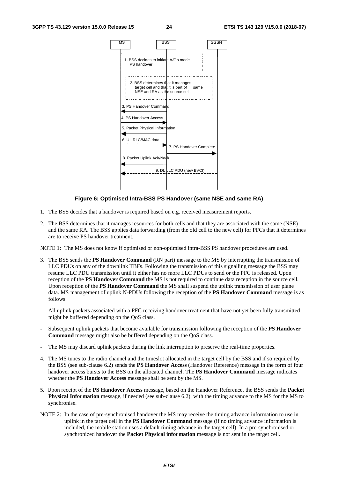

#### **Figure 6: Optimised Intra-BSS PS Handover (same NSE and same RA)**

- 1. The BSS decides that a handover is required based on e.g. received measurement reports.
- 2. The BSS determines that it manages resources for both cells and that they are associated with the same (NSE) and the same RA. The BSS applies data forwarding (from the old cell to the new cell) for PFCs that it determines are to receive PS handover treatment.

NOTE 1: The MS does not know if optimised or non-optimised intra-BSS PS handover procedures are used.

- 3. The BSS sends the **PS Handover Command** (RN part) message to the MS by interrupting the transmission of LLC PDUs on any of the downlink TBFs. Following the transmission of this signalling message the BSS may resume LLC PDU transmission until it either has no more LLC PDUs to send or the PFC is released. Upon reception of the **PS Handover Command** the MS is not required to continue data reception in the source cell. Upon reception of the **PS Handover Command** the MS shall suspend the uplink transmission of user plane data. MS management of uplink N-PDUs following the reception of the **PS Handover Command** message is as follows:
- All uplink packets associated with a PFC receiving handover treatment that have not yet been fully transmitted might be buffered depending on the QoS class.
- Subsequent uplink packets that become available for transmission following the reception of the **PS Handover Command** message might also be buffered depending on the QoS class.
- The MS may discard uplink packets during the link interruption to preserve the real-time properties.
- 4. The MS tunes to the radio channel and the timeslot allocated in the target cell by the BSS and if so required by the BSS (see sub-clause 6.2) sends the **PS Handover Access** (Handover Reference) message in the form of four handover access bursts to the BSS on the allocated channel. The **PS Handover Command** message indicates whether the **PS Handover Access** message shall be sent by the MS.
- 5. Upon receipt of the **PS Handover Access** message, based on the Handover Reference, the BSS sends the **Packet Physical Information** message, if needed (see sub-clause 6.2), with the timing advance to the MS for the MS to synchronise.
- NOTE 2: In the case of pre-synchronised handover the MS may receive the timing advance information to use in uplink in the target cell in the **PS Handover Command** message (if no timing advance information is included, the mobile station uses a default timing advance in the target cell). In a pre-synchronised or synchronized handover the **Packet Physical information** message is not sent in the target cell.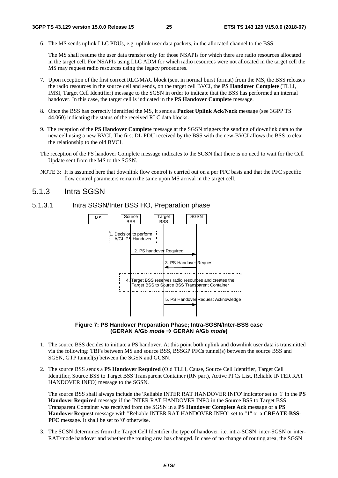6. The MS sends uplink LLC PDUs, e.g. uplink user data packets, in the allocated channel to the BSS.

The MS shall resume the user data transfer only for those NSAPIs for which there are radio resources allocated in the target cell. For NSAPIs using LLC ADM for which radio resources were not allocated in the target cell the MS may request radio resources using the legacy procedures.

- 7. Upon reception of the first correct RLC/MAC block (sent in normal burst format) from the MS, the BSS releases the radio resources in the source cell and sends, on the target cell BVCI, the **PS Handover Complete** (TLLI, IMSI, Target Cell Identifier) message to the SGSN in order to indicate that the BSS has performed an internal handover. In this case, the target cell is indicated in the **PS Handover Complete** message.
- 8. Once the BSS has correctly identified the MS, it sends a **Packet Uplink Ack/Nack** message (see 3GPP TS 44.060) indicating the status of the received RLC data blocks.
- 9. The reception of the **PS Handover Complete** message at the SGSN triggers the sending of downlink data to the new cell using a new BVCI. The first DL PDU received by the BSS with the new-BVCI allows the BSS to clear the relationship to the old BVCI.
- The reception of the PS handover Complete message indicates to the SGSN that there is no need to wait for the Cell Update sent from the MS to the SGSN.
- NOTE 3: It is assumed here that downlink flow control is carried out on a per PFC basis and that the PFC specific flow control parameters remain the same upon MS arrival in the target cell.

#### 5.1.3 Intra SGSN







- 1. The source BSS decides to initiate a PS handover. At this point both uplink and downlink user data is transmitted via the following: TBFs between MS and source BSS, BSSGP PFCs tunnel(s) between the source BSS and SGSN, GTP tunnel(s) between the SGSN and GGSN.
- 2. The source BSS sends a **PS Handover Required** (Old TLLI, Cause, Source Cell Identifier, Target Cell Identifier, Source BSS to Target BSS Transparent Container (RN part), Active PFCs List, Reliable INTER RAT HANDOVER INFO) message to the SGSN.

The source BSS shall always include the 'Reliable INTER RAT HANDOVER INFO' indicator set to '1' in the **PS Handover Required** message if the INTER RAT HANDOVER INFO in the Source BSS to Target BSS Transparent Container was received from the SGSN in a **PS Handover Complete Ack** message or a **PS Handover Request** message with "Reliable INTER RAT HANDOVER INFO" set to "1" or a **CREATE-BSS-PFC** message. It shall be set to '0' otherwise.

3. The SGSN determines from the Target Cell Identifier the type of handover, i.e. intra-SGSN, inter-SGSN or inter-RAT/mode handover and whether the routing area has changed. In case of no change of routing area, the SGSN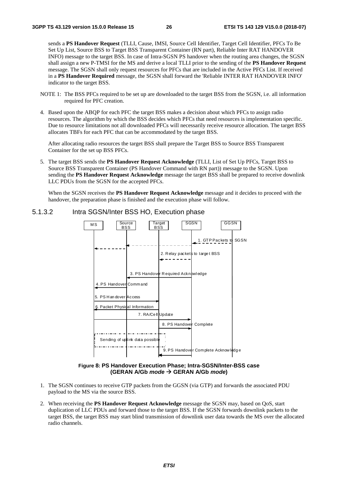sends a **PS Handover Request** (TLLI, Cause, IMSI, Source Cell Identifier, Target Cell Identifier, PFCs To Be Set Up List, Source BSS to Target BSS Transparent Container (RN part), Reliable Inter RAT HANDOVER INFO) message to the target BSS. In case of Intra-SGSN PS handover when the routing area changes, the SGSN shall assign a new P-TMSI for the MS and derive a local TLLI prior to the sending of the **PS Handover Request**  message. The SGSN shall only request resources for PFCs that are included in the Active PFCs List. If received in a **PS Handover Required** message, the SGSN shall forward the 'Reliable INTER RAT HANDOVER INFO' indicator to the target BSS.

- NOTE 1: The BSS PFCs required to be set up are downloaded to the target BSS from the SGSN, i.e. all information required for PFC creation.
- 4. Based upon the ABQP for each PFC the target BSS makes a decision about which PFCs to assign radio resources. The algorithm by which the BSS decides which PFCs that need resources is implementation specific. Due to resource limitations not all downloaded PFCs will necessarily receive resource allocation. The target BSS allocates TBFs for each PFC that can be accommodated by the target BSS.

 After allocating radio resources the target BSS shall prepare the Target BSS to Source BSS Transparent Container for the set up BSS PFCs.

5. The target BSS sends the **PS Handover Request Acknowledge** (TLLI, List of Set Up PFCs, Target BSS to Source BSS Transparent Container (PS Handover Command with RN part)) message to the SGSN. Upon sending the **PS Handover Request Acknowledge** message the target BSS shall be prepared to receive downlink LLC PDUs from the SGSN for the accepted PFCs.

 When the SGSN receives the **PS Handover Request Acknowledge** message and it decides to proceed with the handover, the preparation phase is finished and the execution phase will follow.

#### 5.1.3.2 Intra SGSN/Inter BSS HO, Execution phase



**Figure 8: PS Handover Execution Phase; Intra-SGSN/Inter-BSS case (GERAN A/Gb** *mode*  **GERAN A/Gb** *mode***)** 

- 1. The SGSN continues to receive GTP packets from the GGSN (via GTP) and forwards the associated PDU payload to the MS via the source BSS.
- 2. When receiving the **PS Handover Request Acknowledge** message the SGSN may, based on QoS, start duplication of LLC PDUs and forward those to the target BSS. If the SGSN forwards downlink packets to the target BSS, the target BSS may start blind transmission of downlink user data towards the MS over the allocated radio channels.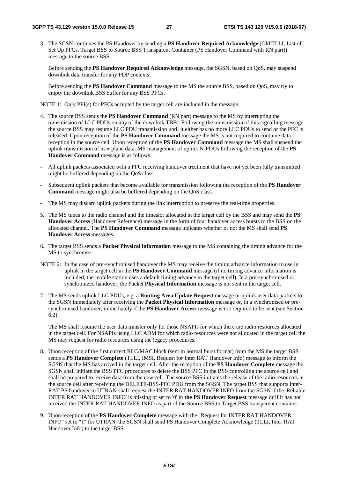3. The SGSN continues the PS Handover by sending a **PS Handover Required Acknowledge** (Old TLLI, List of Set Up PFCs, Target BSS to Source BSS Transparent Container (PS Handover Command with RN part)) message to the source BSS.

 Before sending the **PS Handover Required Acknowledge** message, the SGSN, based on QoS, may suspend downlink data transfer for any PDP contexts.

 Before sending the **PS Handover Command** message to the MS the source BSS, based on QoS, may try to empty the downlink BSS buffer for any BSS PFCs.

NOTE 1: Only PFI(s) for PFCs accepted by the target cell are included in the message.

- 4. The source BSS sends the **PS Handover Command** (RN part) message to the MS by interrupting the transmission of LLC PDUs on any of the downlink TBFs. Following the transmission of this signalling message the source BSS may resume LLC PDU transmission until it either has no more LLC PDUs to send or the PFC is released. Upon reception of the **PS Handover Command** message the MS is not required to continue data reception in the source cell. Upon reception of the **PS Handover Command** message the MS shall suspend the uplink transmission of user plane data. MS management of uplink N-PDUs following the reception of the **PS Handover Command** message is as follows:
- All uplink packets associated with a PFC receiving handover treatment that have not yet been fully transmitted might be buffered depending on the QoS class.
- Subsequent uplink packets that become available for transmission following the reception of the **PS Handover Command** message might also be buffered depending on the QoS class.
- The MS may discard uplink packets during the link interruption to preserve the real-time properties.
- 5. The MS tunes to the radio channel and the timeslot allocated in the target cell by the BSS and may send the **PS Handover Access** (Handover Reference) message in the form of four handover access bursts to the BSS on the allocated channel. The **PS Handover Command** message indicates whether or not the MS shall send **PS Handover Access** messages.
- 6. The target BSS sends a **Packet Physical information** message to the MS containing the timing advance for the MS to synchronise.
- NOTE 2: In the case of pre-synchronised handover the MS may receive the timing advance information to use in uplink in the target cell in the **PS Handover Command** message (if no timing advance information is included, the mobile station uses a default timing advance in the target cell). In a pre-synchronised or synchronized handover, the Packet **Physical Information** message is not sent in the target cell.
- 7. The MS sends uplink LLC PDUs, e.g. a **Routing Area Update Request** message or uplink user data packets to the SGSN immediately after receiving the **Packet Physical Information** message or, in a synchronised or presynchronised handover, immediately if the **PS Handover Access** message is not required to be sent (see Section 6.2).

 The MS shall resume the user data transfer only for those NSAPIs for which there are radio resources allocated in the target cell. For NSAPIs using LLC ADM for which radio resources were not allocated in the target cell the MS may request for radio resources using the legacy procedures.

- 8. Upon reception of the first correct RLC/MAC block (sent in normal burst format) from the MS the target BSS sends a **PS Handover Complete** (TLLI, IMSI, Request for Inter RAT Handover Info) message to inform the SGSN that the MS has arrived in the target cell. After the reception of the **PS Handover Complete** message the SGSN shall initiate the BSS PFC procedures to delete the BSS PFC in the BSS controlling the source cell and shall be prepared to receive data from the new cell. The source BSS initiates the release of the radio resources in the source cell after receiving the DELETE-BSS-PFC PDU from the SGSN. The target BSS that supports inter-RAT PS handover to UTRAN shall request the INTER RAT HANDOVER INFO from the SGSN if the 'Reliable INTER RAT HANDOVER INFO' is missing or set to '0' in **the PS Handover Request** message or if it has not received the INTER RAT HANDOVER INFO as part of the Source BSS to Target BSS transparent container.
- 9. Upon reception of the **PS Handover Complete** message with the "Request for INTER RAT HANDOVER INFO" set to "1" for UTRAN, the SGSN shall send PS Handover Complete Acknowledge (TLLI, Inter RAT Handover Info) to the target BSS.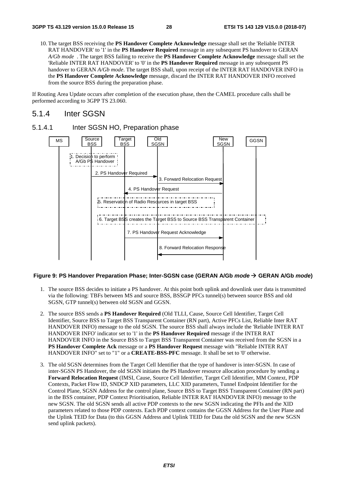10. The target BSS receiving the **PS Handover Complete Acknowledge** message shall set the 'Reliable INTER RAT HANDOVER' to '1' in the **PS Handover Required** message in any subsequent PS handover to GERAN *A/Gb mode* . The target BSS failing to receive the **PS Handover Complete Acknowledge** message shall set the 'Reliable INTER RAT HANDOVER' to '0' in the **PS Handover Required** message in any subsequent PS handover to GERAN *A/Gb mode*. The target BSS shall, upon receipt of the INTER RAT HANDOVER INFO in the **PS Handover Complete Acknowledge** message, discard the INTER RAT HANDOVER INFO received from the source BSS during the preparation phase.

If Routing Area Update occurs after completion of the execution phase, then the CAMEL procedure calls shall be performed according to 3GPP TS 23.060.

#### 5.1.4 Inter SGSN



#### **Figure 9: PS Handover Preparation Phase; Inter-SGSN case (GERAN A/Gb** *mode*  **GERAN A/Gb** *mode***)**

- 1. The source BSS decides to initiate a PS handover. At this point both uplink and downlink user data is transmitted via the following: TBFs between MS and source BSS, BSSGP PFCs tunnel(s) between source BSS and old SGSN, GTP tunnel(s) between old SGSN and GGSN.
- 2. The source BSS sends a **PS Handover Required** (Old TLLI, Cause, Source Cell Identifier, Target Cell Identifier, Source BSS to Target BSS Transparent Container (RN part), Active PFCs List, Reliable Inter RAT HANDOVER INFO) message to the old SGSN. The source BSS shall always include the 'Reliable INTER RAT HANDOVER INFO' indicator set to '1' in the **PS Handover Required** message if the INTER RAT HANDOVER INFO in the Source BSS to Target BSS Transparent Container was received from the SGSN in a **PS Handover Complete Ack** message or a **PS Handover Request** message with "Reliable INTER RAT HANDOVER INFO" set to "1" or a **CREATE-BSS-PFC** message. It shall be set to '0' otherwise.
- 3. The old SGSN determines from the Target Cell Identifier that the type of handover is inter-SGSN. In case of inter-SGSN PS Handover, the old SGSN initiates the PS Handover resource allocation procedure by sending a **Forward Relocation Request** (IMSI, Cause, Source Cell Identifier, Target Cell Identifier, MM Context, PDP Contexts, Packet Flow ID, SNDCP XID parameters, LLC XID parameters, Tunnel Endpoint Identifier for the Control Plane, SGSN Address for the control plane, Source BSS to Target BSS Transparent Container (RN part) in the BSS container, PDP Context Prioritisation, Reliable INTER RAT HANDOVER INFO) message to the new SGSN. The old SGSN sends all active PDP contexts to the new SGSN indicating the PFIs and the XID parameters related to those PDP contexts. Each PDP context contains the GGSN Address for the User Plane and the Uplink TEID for Data (to this GGSN Address and Uplink TEID for Data the old SGSN and the new SGSN send uplink packets).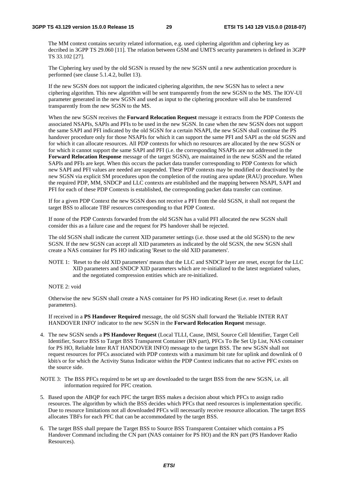The MM context contains security related information, e.g. used ciphering algorithm and ciphering key as decribed in 3GPP TS 29.060 [11]. The relation between GSM and UMTS security parameters is defined in 3GPP TS 33.102 [27].

The Ciphering key used by the old SGSN is reused by the new SGSN until a new authentication procedure is performed (see clause 5.1.4.2, bullet 13).

If the new SGSN does not support the indicated ciphering algorithm, the new SGSN has to select a new ciphering algorithm. This new algorithm will be sent transparently from the new SGSN to the MS. The IOV-UI parameter generated in the new SGSN and used as input to the ciphering procedure will also be transferred transparently from the new SGSN to the MS.

When the new SGSN receives the **Forward Relocation Request** message it extracts from the PDP Contexts the associated NSAPIs, SAPIs and PFIs to be used in the new SGSN. In case when the new SGSN does not support the same SAPI and PFI indicated by the old SGSN for a certain NSAPI, the new SGSN shall continue the PS handover procedure only for those NSAPIs for which it can support the same PFI and SAPI as the old SGSN and for which it can allocate resources. All PDP contexts for which no resources are allocated by the new SGSN or for which it cannot support the same SAPI and PFI (i.e. the corresponding NSAPIs are not addressed in the **Forward Relocation Response** message of the target SGSN), are maintained in the new SGSN and the related SAPIs and PFIs are kept. When this occurs the packet data transfer corresponding to PDP Contexts for which new SAPI and PFI values are needed are suspended. These PDP contexts may be modified or deactivated by the new SGSN via explicit SM procedures upon the completion of the routing area update (RAU) procedure. When the required PDP, MM, SNDCP and LLC contexts are established and the mapping between NSAPI, SAPI and PFI for each of these PDP Contexts is established, the corresponding packet data transfer can continue.

If for a given PDP Context the new SGSN does not receive a PFI from the old SGSN, it shall not request the target BSS to allocate TBF resources corresponding to that PDP Context.

If none of the PDP Contexts forwarded from the old SGSN has a valid PFI allocated the new SGSN shall consider this as a failure case and the request for PS handover shall be rejected.

The old SGSN shall indicate the current XID parameter settings (i.e. those used at the old SGSN) to the new SGSN. If the new SGSN can accept all XID parameters as indicated by the old SGSN, the new SGSN shall create a NAS container for PS HO indicating 'Reset to the old XID parameters'.

NOTE 1: 'Reset to the old XID parameters' means that the LLC and SNDCP layer are reset, except for the LLC XID parameters and SNDCP XID parameters which are re-initialized to the latest negotiated values, and the negotiated compression entities which are re-initialized.

NOTE 2: void

Otherwise the new SGSN shall create a NAS container for PS HO indicating Reset (i.e. reset to default parameters).

If received in a **PS Handover Required** message, the old SGSN shall forward the 'Reliable INTER RAT HANDOVER INFO' indicator to the new SGSN in the **Forward Relocation Request** message.

- 4. The new SGSN sends a **PS Handover Request** (Local TLLI, Cause, IMSI, Source Cell Identifier, Target Cell Identifier, Source BSS to Target BSS Transparent Container (RN part), PFCs To Be Set Up List, NAS container for PS HO, Reliable Inter RAT HANDOVER INFO) message to the target BSS. The new SGSN shall not request resources for PFCs associated with PDP contexts with a maximum bit rate for uplink and downlink of 0 kbit/s or for which the Activity Status Indicator within the PDP Context indicates that no active PFC exists on the source side.
- NOTE 3: The BSS PFCs required to be set up are downloaded to the target BSS from the new SGSN, i.e. all information required for PFC creation.
- 5. Based upon the ABQP for each PFC the target BSS makes a decision about which PFCs to assign radio resources. The algorithm by which the BSS decides which PFCs that need resources is implementation specific. Due to resource limitations not all downloaded PFCs will necessarily receive resource allocation. The target BSS allocates TBFs for each PFC that can be accommodated by the target BSS.
- 6. The target BSS shall prepare the Target BSS to Source BSS Transparent Container which contains a PS Handover Command including the CN part (NAS container for PS HO) and the RN part (PS Handover Radio Resources).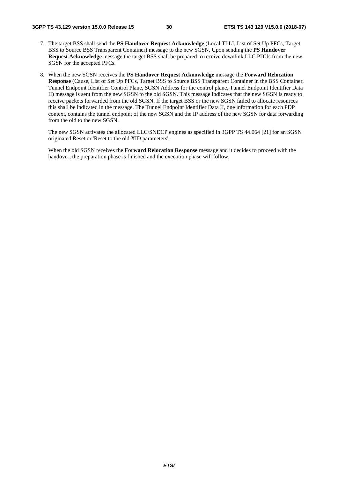- 7. The target BSS shall send the **PS Handover Request Acknowledge** (Local TLLI, List of Set Up PFCs, Target BSS to Source BSS Transparent Container) message to the new SGSN. Upon sending the **PS Handover Request Acknowledge** message the target BSS shall be prepared to receive downlink LLC PDUs from the new SGSN for the accepted PFCs.
- 8. When the new SGSN receives the **PS Handover Request Acknowledge** message the **Forward Relocation Response** (Cause, List of Set Up PFCs, Target BSS to Source BSS Transparent Container in the BSS Container, Tunnel Endpoint Identifier Control Plane, SGSN Address for the control plane, Tunnel Endpoint Identifier Data II) message is sent from the new SGSN to the old SGSN. This message indicates that the new SGSN is ready to receive packets forwarded from the old SGSN. If the target BSS or the new SGSN failed to allocate resources this shall be indicated in the message. The Tunnel Endpoint Identifier Data II, one information for each PDP context, contains the tunnel endpoint of the new SGSN and the IP address of the new SGSN for data forwarding from the old to the new SGSN.

 The new SGSN activates the allocated LLC/SNDCP engines as specified in 3GPP TS 44.064 [21] for an SGSN originated Reset or 'Reset to the old XID parameters'.

 When the old SGSN receives the **Forward Relocation Response** message and it decides to proceed with the handover, the preparation phase is finished and the execution phase will follow.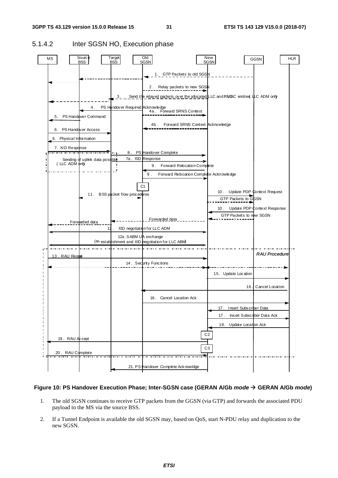

#### 5.1.4.2 Inter SGSN HO, Execution phase

#### **Figure 10: PS Handover Execution Phase; Inter-SGSN case (GERAN A/Gb** *mode*  **GERAN A/Gb** *mode***)**

- 1. The old SGSN continues to receive GTP packets from the GGSN (via GTP) and forwards the associated PDU payload to the MS via the source BSS.
- 2. If a Tunnel Endpoint is available the old SGSN may, based on QoS, start N-PDU relay and duplication to the new SGSN.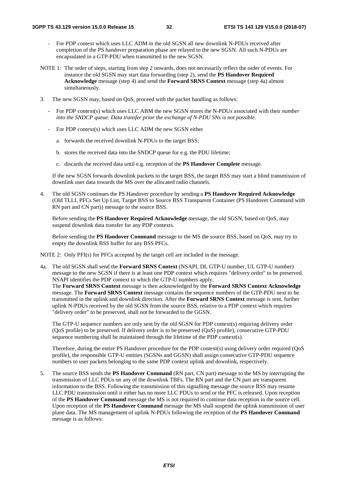- For PDP context which uses LLC ADM in the old SGSN all new downlink N-PDUs received after completion of the PS handover preparation phase are relayed to the new SGSN. All such N-PDUs are encapsulated in a GTP-PDU when transmitted to the new SGSN.
- NOTE 1: The order of steps, starting from step 2 onwards, does not necessarily reflect the order of events. For instance the old SGSN may start data forwarding (step 2), send the **PS Handover Required Acknowledge** message (step 4) and send the **Forward SRNS Context** message (step 4a) almost simultaneously.
- 3. The new SGSN may, based on QoS, proceed with the packet handling as follows:
	- For PDP context(s) which uses LLC ABM the new SGSN stores the N-PDUs associated with their *number into the SNDCP queue. Data transfer prior the exchange of N-PDU SNs is not possible.*
	- For PDP context(s) which uses LLC ADM the new SGSN either
		- a. forwards the received downlink N-PDUs to the target BSS;
		- b. stores the received data into the SNDCP queue for e.g. the PDU lifetime;
		- c. discards the received data until e.g. reception of the **PS Handover Complete** message.

 If the new SGSN forwards downlink packets to the target BSS, the target BSS may start a blind transmission of downlink user data towards the MS over the allocated radio channels.

4. The old SGSN continues the PS Handover procedure by sending a **PS Handover Required Acknowledge** (Old TLLI, PFCs Set Up List, Target BSS to Source BSS Transparent Container (PS Handover Command with RN part and CN part)) message to the source BSS.

 Before sending the **PS Handover Required Acknowledge** message, the old SGSN, based on QoS, may suspend downlink data transfer for any PDP contexts.

 Before sending the **PS Handover Command** message to the MS the source BSS, based on QoS, may try to empty the downlink BSS buffer for any BSS PFCs.

NOTE 2: Only PFI(s) for PFCs accepted by the target cell are included in the message.

4a. The old SGSN shall send the **Forward SRNS Context** (NSAPI, DL GTP-U number, UL GTP-U number) message to the new SGSN if there is at least one PDP context which requires "delivery order" to be preserved. NSAPI identifies the PDP context to which the GTP-U numbers apply. The **Forward SRNS Context** message is then acknowledged by the **Forward SRNS Context Acknowledge** message. The **Forward SRNS Context** message contains the sequence numbers of the GTP-PDU next to be transmitted in the uplink and downlink direction. After the **Forward SRNS Context** message is sent, further uplink N-PDUs received by the old SGSN from the source BSS, relative to a PDP context which requires "delivery order" to be preserved, shall not be forwarded to the GGSN.

 The GTP-U sequence numbers are only sent by the old SGSN for PDP context(s) requiring delivery order (QoS profile) to be preserved. If delivery order is to be preserved (QoS) profile), consecutive GTP-PDU sequence numbering shall be maintained through the lifetime of the PDP context(s).

 Therefore, during the entire PS Handover procedure for the PDP context(s) using delivery order required (QoS profile), the responsible GTP-U entities (SGSNs and GGSN) shall assign consecutive GTP-PDU sequence numbers to user packets belonging to the same PDP context uplink and downlink, respectively.

5. The source BSS sends the **PS Handover Command** (RN part, CN part) message to the MS by interrupting the transmission of LLC PDUs on any of the downlink TBFs. The RN part and the CN part are transparent information to the BSS. Following the transmission of this signalling message the source BSS may resume LLC PDU transmission until it either has no more LLC PDUs to send or the PFC is released. Upon reception of the **PS Handover Command** message the MS is not required to continue data reception in the source cell. Upon reception of the **PS Handover Command** message the MS shall suspend the uplink transmission of user plane data. The MS management of uplink N-PDUs following the reception of the **PS Handover Command** message is as follows: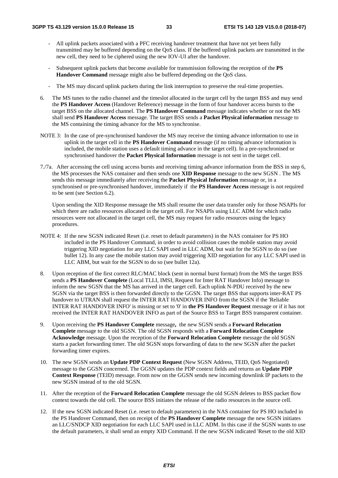- All uplink packets associated with a PFC receiving handover treatment that have not yet been fully transmitted may be buffered depending on the QoS class. If the buffered uplink packets are transmitted in the new cell, they need to be ciphered using the new IOV-UI after the handover.
- Subsequent uplink packets that become available for transmission following the reception of the **PS Handover Command** message might also be buffered depending on the QoS class.
- The MS may discard uplink packets during the link interruption to preserve the real-time properties.
- 6. The MS tunes to the radio channel and the timeslot allocated in the target cell by the target BSS and may send the **PS Handover Access** (Handover Reference) message in the form of four handover access bursts to the target BSS on the allocated channel. The **PS Handover Command** message indicates whether or not the MS shall send **PS Handover Access** message. The target BSS sends a **Packet Physical information** message to the MS containing the timing advance for the MS to synchronise.
- NOTE 3: In the case of pre-synchronised handover the MS may receive the timing advance information to use in uplink in the target cell in the **PS Handover Command** message (if no timing advance information is included, the mobile station uses a default timing advance in the target cell). In a pre-synchronised or synchronised handover the **Packet Physical Information** message is not sent in the target cell.
- 7./7a. After accessing the cell using access bursts and receiving timing advance information from the BSS in step 6, the MS processes the NAS container and then sends one **XID Response** message to the new SGSN . The MS sends this message immediately after receiving the **Packet Physical Information** message or, in a synchronised or pre-synchronised handover, immediately if the **PS Handover Access** message is not required to be sent (see Section 6.2).

Upon sending the XID Response message the MS shall resume the user data transfer only for those NSAPIs for which there are radio resources allocated in the target cell. For NSAPIs using LLC ADM for which radio resources were not allocated in the target cell, the MS may request for radio resources using the legacy procedures.

- NOTE 4: If the new SGSN indicated Reset (i.e. reset to default parameters) in the NAS container for PS HO included in the PS Handover Command, in order to avoid collision cases the mobile station may avoid triggering XID negotiation for any LLC SAPI used in LLC ADM, but wait for the SGSN to do so (see bullet 12). In any case the mobile station may avoid triggering XID negotiation for any LLC SAPI used in LLC ABM, but wait for the SGSN to do so (see bullet 12a).
- 8. Upon reception of the first correct RLC/MAC block (sent in normal burst format) from the MS the target BSS sends a **PS Handover Complete** (Local TLLI, IMSI, Request for Inter RAT Handover Info) message to inform the new SGSN that the MS has arrived in the target cell. Each uplink N-PDU received by the new SGSN via the target BSS is then forwarded directly to the GGSN. The target BSS that supports inter-RAT PS handover to UTRAN shall request the INTER RAT HANDOVER INFO from the SGSN if the 'Reliable INTER RAT HANDOVER INFO' is missing or set to '0' in **the PS Handover Request** message or if it has not received the INTER RAT HANDOVER INFO as part of the Source BSS to Target BSS transparent container.
- 9. Upon receiving the **PS Handover Complete** message**,** the new SGSN sends a **Forward Relocation Complete** message to the old SGSN. The old SGSN responds with a **Forward Relocation Complete Acknowledge** message. Upon the reception of the **Forward Relocation Complete** message the old SGSN starts a packet forwarding timer. The old SGSN stops forwarding of data to the new SGSN after the packet forwarding timer expires.
- 10. The new SGSN sends an **Update PDP Context Request** (New SGSN Address, TEID, QoS Negotiated) message to the GGSN concerned. The GGSN updates the PDP context fields and returns an **Update PDP Context Response** (TEID) message. From now on the GGSN sends new incoming downlink IP packets to the new SGSN instead of to the old SGSN.
- 11. After the reception of the **Forward Relocation Complete** message the old SGSN deletes to BSS packet flow context towards the old cell. The source BSS initiates the release of the radio resources in the source cell.
- 12. If the new SGSN indicated Reset (i.e. reset to default parameters) in the NAS container for PS HO included in the PS Handover Command, then on receipt of the **PS Handover Complete** message the new SGSN initiates an LLC/SNDCP XID negotiation for each LLC SAPI used in LLC ADM. In this case if the SGSN wants to use the default parameters, it shall send an empty XID Command. If the new SGSN indicated 'Reset to the old XID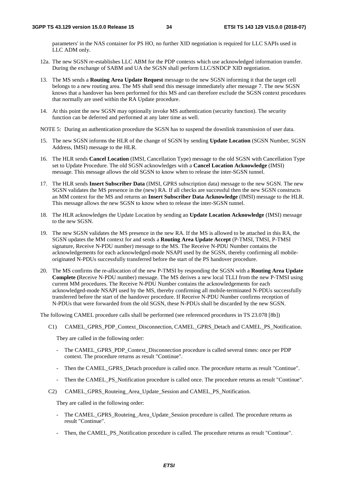parameters' in the NAS container for PS HO, no further XID negotiation is required for LLC SAPIs used in LLC ADM only.

- 12a. The new SGSN re-establishes LLC ABM for the PDP contexts which use acknowledged information transfer. During the exchange of SABM and UA the SGSN shall perform LLC/SNDCP XID negotiation.
- 13. The MS sends a **Routing Area Update Request** message to the new SGSN informing it that the target cell belongs to a new routing area. The MS shall send this message immediately after message 7. The new SGSN knows that a handover has been performed for this MS and can therefore exclude the SGSN context procedures that normally are used within the RA Update procedure.
- 14. At this point the new SGSN may optionally invoke MS authentication (security function). The security function can be deferred and performed at any later time as well.
- NOTE 5: During an authentication procedure the SGSN has to suspend the downlink transmission of user data.
- 15. The new SGSN informs the HLR of the change of SGSN by sending **Update Location** (SGSN Number, SGSN Address, IMSI) message to the HLR.
- 16. The HLR sends **Cancel Location** (IMSI, Cancellation Type) message to the old SGSN with Cancellation Type set to Update Procedure. The old SGSN acknowledges with a **Cancel Location Acknowledge** (IMSI) message. This message allows the old SGSN to know when to release the inter-SGSN tunnel.
- 17. The HLR sends **Insert Subscriber Data** (IMSI, GPRS subscription data) message to the new SGSN. The new SGSN validates the MS presence in the (new) RA. If all checks are successful then the new SGSN constructs an MM context for the MS and returns an **Insert Subscriber Data Acknowledge** (IMSI) message to the HLR. This message allows the new SGSN to know when to release the inter-SGSN tunnel.
- 18. The HLR acknowledges the Update Location by sending an **Update Location Acknowledge** (IMSI) message to the new SGSN.
- 19. The new SGSN validates the MS presence in the new RA. If the MS is allowed to be attached in this RA, the SGSN updates the MM context for and sends a **Routing Area Update Accept** (P-TMSI, TMSI, P-TMSI signature, Receive N-PDU number) message to the MS. The Receive N-PDU Number contains the acknowledgements for each acknowledged-mode NSAPI used by the SGSN, thereby confirming all mobileoriginated N-PDUs successfully transferred before the start of the PS handover procedure.
- 20. The MS confirms the re-allocation of the new P-TMSI by responding the SGSN with a **Routing Area Update Complete (**Receive N-PDU number) message. The MS derives a new local TLLI from the new P-TMSI using current MM procedures. The Receive N-PDU Number contains the acknowledgements for each acknowledged-mode NSAPI used by the MS, thereby confirming all mobile-terminated N-PDUs successfully transferred before the start of the handover procedure. If Receive N-PDU Number confirms reception of N-PDUs that were forwarded from the old SGSN, these N-PDUs shall be discarded by the new SGSN.

The following CAMEL procedure calls shall be performed (see referenced procedures in TS 23.078 [8b])

C1) CAMEL GPRS PDP Context Disconnection, CAMEL GPRS Detach and CAMEL PS Notification.

They are called in the following order:

- The CAMEL\_GPRS\_PDP\_Context\_Disconnection procedure is called several times: once per PDP context. The procedure returns as result "Continue".
- Then the CAMEL\_GPRS\_Detach procedure is called once. The procedure returns as result "Continue".
- Then the CAMEL\_PS\_Notification procedure is called once. The procedure returns as result "Continue".
- C2) CAMEL\_GPRS\_Routeing\_Area\_Update\_Session and CAMEL\_PS\_Notification.

They are called in the following order:

- The CAMEL\_GPRS\_Routeing\_Area\_Update\_Session procedure is called. The procedure returns as result "Continue".
- Then, the CAMEL PS Notification procedure is called. The procedure returns as result "Continue".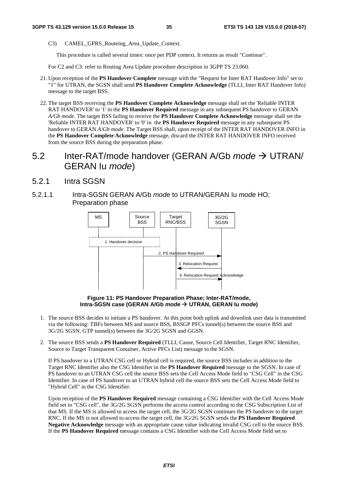C3) CAMEL GPRS Routeing Area Update Context.

This procedure is called several times: once per PDP context. It returns as result "Continue".

For C2 and C3: refer to Routing Area Update procedure description in 3GPP TS 23.060.

- 21. Upon reception of the **PS Handover Complete** message with the "Request for Inter RAT Handover Info" set to "1" for UTRAN, the SGSN shall send **PS Handover Complete Acknowledge** (TLLI, Inter RAT Handover Info) message to the target BSS.
- 22. The target BSS receiving the **PS Handover Complete Acknowledge** message shall set the 'Reliable INTER RAT HANDOVER' to '1' in the **PS Handover Required** message in any subsequent PS handover to GERAN *A/Gb mode*. The target BSS failing to receive the **PS Handover Complete Acknowledge** message shall set the 'Reliable INTER RAT HANDOVER' to '0' in the **PS Handover Required** message in any subsequent PS handover to GERAN *A/Gb mode*. The Target BSS shall, upon receipt of the INTER RAT HANDOVER INFO in the **PS Handover Complete Acknowledge** message, discard the INTER RAT HANDOVER INFO received from the source BSS during the preparation phase.

## 5.2 Inter-RAT/mode handover (GERAN A/Gb *mode* UTRAN/ GERAN Iu *mode*)

#### 5.2.1 Intra SGSN

5.2.1.1 Intra-SGSN GERAN A/Gb *mode* to UTRAN/GERAN Iu *mode* HO; Preparation phase



**Figure 11: PS Handover Preparation Phase; Inter-RAT/mode, Intra-SGSN case (GERAN A/Gb** *mode*  **UTRAN, GERAN Iu** *mode***)** 

- 1. The source BSS decides to initiate a PS handover. At this point both uplink and downlink user data is transmitted via the following: TBFs between MS and source BSS, BSSGP PFCs tunnel(s) between the source BSS and 3G/2G SGSN, GTP tunnel(s) between the 3G/2G SGSN and GGSN.
- 2. The source BSS sends a **PS Handover Required** (TLLI, Cause, Source Cell Identifier, Target RNC Identifier, Source to Target Transparent Container, Active PFCs List) message to the SGSN.

If PS handover to a UTRAN CSG cell or Hybrid cell is required, the source BSS includes in addition to the Target RNC Identifier also the CSG Identifier in the **PS Handover Required** message to the SGSN. In case of PS handover to an UTRAN CSG cell the source BSS sets the Cell Access Mode field to "CSG Cell" in the CSG Identifier. In case of PS handover to an UTRAN hybrid cell the source BSS sets the Cell Access Mode field to "Hybrid Cell" in the CSG Identifier.

Upon reception of the **PS Handover Required** message containing a CSG Identifier with the Cell Access Mode field set to "CSG cell", the 3G/2G SGSN performs the access control according to the CSG Subscription List of that MS. If the MS is allowed to access the target cell, the 3G/2G SGSN continues the PS handover to the target RNC. If the MS is not allowed to access the target cell, the 3G/2G SGSN sends the **PS Handover Required Negative Acknowledge** message with an appropriate cause value indicating invalid CSG cell to the source BSS. If the **PS Handover Required** message contains a CSG Identifier with the Cell Access Mode field set to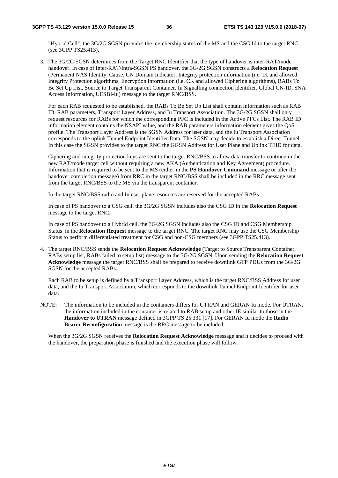"Hybrid Cell", the 3G/2G SGSN provides the membership status of the MS and the CSG Id to the target RNC (see 3GPP TS25.413).

3. The 3G/2G SGSN determines from the Target RNC Identifier that the type of handover is inter-RAT/mode handover. In case of Inter-RAT/Intra-SGSN PS handover, the 3G/2G SGSN constructs a **Relocation Request** (Permanent NAS Identity, Cause, CN Domain Indicator, Integrity protection information (i.e. IK and allowed Integrity Protection algorithms, Encryption information (i.e. CK and allowed Ciphering algorithms), RABs To Be Set Up List, Source to Target Transparent Container, Iu Signalling connection identifier, Global CN-ID, SNA Access Information, UESBI-Iu) message to the target RNC/BSS.

 For each RAB requested to be established, the RABs To Be Set Up List shall contain information such as RAB ID, RAB parameters, Transport Layer Address, and Iu Transport Association. The 3G/2G SGSN shall only request resources for RABs for which the corresponding PFC is included in the Active PFCs List. The RAB ID information element contains the NSAPI value, and the RAB parameters information element gives the QoS profile. The Transport Layer Address is the SGSN Address for user data, and the Iu Transport Association corresponds to the uplink Tunnel Endpoint Identifier Data. The SGSN may decide to establish a Direct Tunnel. In this case the SGSN provides to the target RNC the GGSN Address for User Plane and Uplink TEID for data.

 Ciphering and integrity protection keys are sent to the target RNC/BSS to allow data transfer to continue in the new RAT/mode target cell without requiring a new AKA (Authentication and Key Agreement) procedure. Information that is required to be sent to the MS (either in the **PS Handover Command** message or after the handover completion message) from RRC in the target RNC/BSS shall be included in the RRC message sent from the target RNC/BSS to the MS via the transparent container.

In the target RNC/BSS radio and Iu user plane resources are reserved for the accepted RABs.

In case of PS handover to a CSG cell, the 3G/2G SGSN includes also the CSG ID in the **Relocation Request**  message to the target RNC**.** 

In case of PS handover to a Hybrid cell, the 3G/2G SGSN includes also the CSG ID and CSG Membership Status in the **Relocation Request** message to the target RNC. **T**he target RNC may use the CSG Membership Status to perform differentiated treatment for CSG and non-CSG members (see 3GPP TS25.413).

4. The target RNC/BSS sends the **Relocation Request Acknowledge** (Target to Source Transparent Container, RABs setup list, RABs failed to setup list) message to the 3G/2G SGSN. Upon sending the **Relocation Request Acknowledge** message the target RNC/BSS shall be prepared to receive downlink GTP PDUs from the 3G/2G SGSN for the accepted RABs.

 Each RAB to be setup is defined by a Transport Layer Address, which is the target RNC/BSS Address for user data, and the Iu Transport Association, which corresponds to the downlink Tunnel Endpoint Identifier for user data.

NOTE: The information to be included in the containers differs for UTRAN and GERAN Iu mode. For UTRAN, the information included in the container is related to RAB setup and other IE similar to those in the **Handover to UTRAN** message defined in 3GPP TS 25.331 [17]. For GERAN Iu mode the **Radio Bearer Reconfiguration** message is the RRC message to be included.

 When the 3G/2G SGSN receives the **Relocation Request Acknowledge** message and it decides to proceed with the handover, the preparation phase is finished and the execution phase will follow.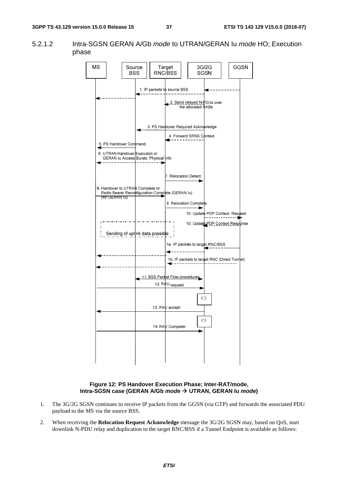5.2.1.2 Intra-SGSN GERAN A/Gb *mode* to UTRAN/GERAN Iu *mode* HO; Execution phase



#### **Figure 12: PS Handover Execution Phase; Inter-RAT/mode, Intra-SGSN case (GERAN A/Gb** *mode*  **UTRAN, GERAN Iu** *mode***)**

- 1. The 3G/2G SGSN continues to receive IP packets from the GGSN (via GTP) and forwards the associated PDU payload to the MS via the source BSS.
- 2. When receiving the **Relocation Request Acknowledge** message the 3G/2G SGSN may, based on QoS, start downlink N-PDU relay and duplication to the target RNC/BSS if a Tunnel Endpoint is available as follows: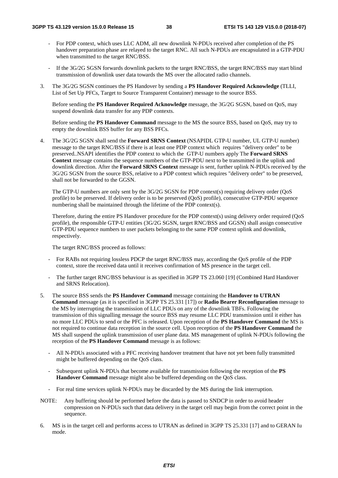- For PDP context, which uses LLC ADM, all new downlink N-PDUs received after completion of the PS handover preparation phase are relayed to the target RNC. All such N-PDUs are encapsulated in a GTP-PDU when transmitted to the target RNC/BSS.
- If the 3G/2G SGSN forwards downlink packets to the target RNC/BSS, the target RNC/BSS may start blind transmission of downlink user data towards the MS over the allocated radio channels.
- 3. The 3G/2G SGSN continues the PS Handover by sending a **PS Handover Required Acknowledge** (TLLI, List of Set Up PFCs, Target to Source Transparent Container) message to the source BSS.

 Before sending the **PS Handover Required Acknowledge** message, the 3G/2G SGSN, based on QoS, may suspend downlink data transfer for any PDP contexts.

 Before sending the **PS Handover Command** message to the MS the source BSS, based on QoS, may try to empty the downlink BSS buffer for any BSS PFCs.

4. The 3G/2G SGSN shall send the **Forward SRNS Context** (NSAPIDL GTP-U number, UL GTP-U number) message to the target RNC/BSS if there is at least one PDP context which requires "delivery order" to be preserved..NSAPI identifies the PDP context to which the GTP-U numbers apply The **Forward SRNS Context** message contains the sequence numbers of the GTP-PDU next to be transmitted in the uplink and downlink direction. After the **Forward SRNS Context** message is sent, further uplink N-PDUs received by the 3G/2G SGSN from the source BSS, relative to a PDP context which requires "delivery order" to be preserved, shall not be forwarded to the GGSN.

 The GTP-U numbers are only sent by the 3G/2G SGSN for PDP context(s) requiring delivery order (QoS profile) to be preserved. If delivery order is to be preserved (QoS) profile), consecutive GTP-PDU sequence numbering shall be maintained through the lifetime of the PDP context(s).

 Therefore, during the entire PS Handover procedure for the PDP context(s) using delivery order required (QoS profile), the responsible GTP-U entities (3G/2G SGSN, target RNC/BSS and GGSN) shall assign consecutive GTP-PDU sequence numbers to user packets belonging to the same PDP context uplink and downlink, respectively.

The target RNC/BSS proceed as follows:

- For RABs not requiring lossless PDCP the target RNC/BSS may, according the QoS profile of the PDP context, store the received data until it receives confirmation of MS presence in the target cell.
- The further target RNC/BSS behaviour is as specified in 3GPP TS 23.060 [19] (Combined Hard Handover and SRNS Relocation).
- 5. The source BSS sends the **PS Handover Command** message containing the **Handover to UTRAN Command** message (as it is specified in 3GPP TS 25.331 [17]) or **Radio Bearer Reconfiguration** message to the MS by interrupting the transmission of LLC PDUs on any of the downlink TBFs. Following the transmission of this signalling message the source BSS may resume LLC PDU transmission until it either has no more LLC PDUs to send or the PFC is released. Upon reception of the **PS Handover Command** the MS is not required to continue data reception in the source cell. Upon reception of the **PS Handover Command** the MS shall suspend the uplink transmission of user plane data. MS management of uplink N-PDUs following the reception of the **PS Handover Command** message is as follows:
	- All N-PDUs associated with a PFC receiving handover treatment that have not yet been fully transmitted might be buffered depending on the QoS class.
	- Subsequent uplink N-PDUs that become available for transmission following the reception of the **PS Handover Command** message might also be buffered depending on the QoS class.
	- For real time services uplink N-PDUs may be discarded by the MS during the link interruption.
- NOTE: Any buffering should be performed before the data is passed to SNDCP in order to avoid header compression on N-PDUs such that data delivery in the target cell may begin from the correct point in the sequence.
- 6. MS is in the target cell and performs access to UTRAN as defined in 3GPP TS 25.331 [17] and to GERAN Iu mode.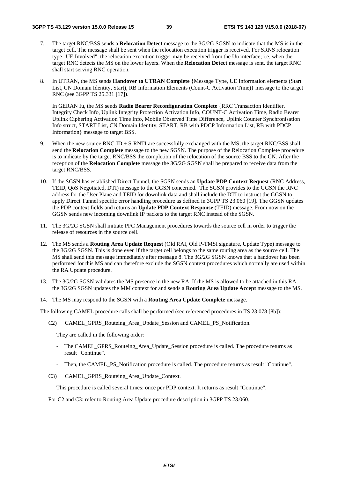- 7. The target RNC/BSS sends a **Relocation Detect** message to the 3G/2G SGSN to indicate that the MS is in the target cell. The message shall be sent when the relocation execution trigger is received. For SRNS relocation type "UE Involved", the relocation execution trigger may be received from the Uu interface; i.e. when the target RNC detects the MS on the lower layers. When the **Relocation Detect** message is sent, the target RNC shall start serving RNC operation.
- 8. In UTRAN, the MS sends **Handover to UTRAN Complete** {Message Type, UE Information elements (Start List, CN Domain Identity, Start), RB Information Elements (Count-C Activation Time)} message to the target RNC (see 3GPP TS 25.331 [17]).

 In GERAN Iu, the MS sends **Radio Bearer Reconfiguration Complete** {RRC Transaction Identifier, Integrity Check Info, Uplink Integrity Protection Activation Info, COUNT-C Activation Time, Radio Bearer Uplink Ciphering Activation Time Info, Mobile Observed Time Difference, Uplink Counter Synchronisation Info struct, START List, CN Domain Identity, START, RB with PDCP Information List, RB with PDCP Information} message to target BSS.

- 9. When the new source RNC-ID + S-RNTI are successfully exchanged with the MS, the target RNC/BSS shall send the **Relocation Complete** message to the new SGSN. The purpose of the Relocation Complete procedure is to indicate by the target RNC/BSS the completion of the relocation of the source BSS to the CN. After the reception of the **Relocation Complete** message the 3G/2G SGSN shall be prepared to receive data from the target RNC/BSS.
- 10. If the SGSN has established Direct Tunnel, the SGSN sends an **Update PDP Context Request** (RNC Address, TEID, QoS Negotiated, DTI) message to the GGSN concerned. The SGSN provides to the GGSN the RNC address for the User Plane and TEID for downlink data and shall include the DTI to instruct the GGSN to apply Direct Tunnel specific error handling procedure as defined in 3GPP TS 23.060 [19]. The GGSN updates the PDP context fields and returns an **Update PDP Context Response** (TEID) message. From now on the GGSN sends new incoming downlink IP packets to the target RNC instead of the SGSN.
- 11. The 3G/2G SGSN shall initiate PFC Management procedures towards the source cell in order to trigger the release of resources in the source cell.
- 12. The MS sends a **Routing Area Update Request** (Old RAI, Old P-TMSI signature, Update Type) message to the 3G/2G SGSN. This is done even if the target cell belongs to the same routing area as the source cell. The MS shall send this message immediately after message 8. The 3G/2G SGSN knows that a handover has been performed for this MS and can therefore exclude the SGSN context procedures which normally are used within the RA Update procedure.
- 13. The 3G/2G SGSN validates the MS presence in the new RA. If the MS is allowed to be attached in this RA, the 3G/2G SGSN updates the MM context for and sends a **Routing Area Update Accept** message to the MS.
- 14. The MS may respond to the SGSN with a **Routing Area Update Complete** message.

The following CAMEL procedure calls shall be performed (see referenced procedures in TS 23.078 [8b]):

C2) CAMEL GPRS Routeing Area Update Session and CAMEL PS Notification.

They are called in the following order:

- The CAMEL\_GPRS\_Routeing\_Area\_Update\_Session procedure is called. The procedure returns as result "Continue".
- Then, the CAMEL PS Notification procedure is called. The procedure returns as result "Continue".
- C3) CAMEL GPRS Routeing Area Update Context.

This procedure is called several times: once per PDP context. It returns as result "Continue".

For C2 and C3: refer to Routing Area Update procedure description in 3GPP TS 23.060.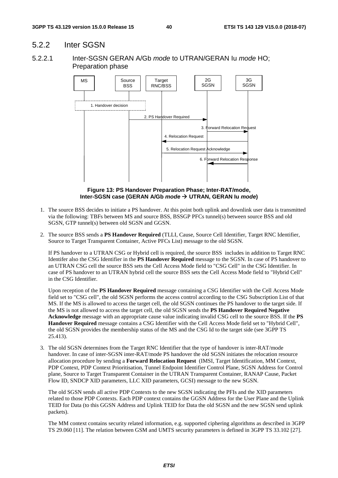## 5.2.2 Inter SGSN

5.2.2.1 Inter-SGSN GERAN A/Gb *mode* to UTRAN/GERAN Iu *mode* HO; Preparation phase



**Figure 13: PS Handover Preparation Phase; Inter-RAT/mode, Inter-SGSN case (GERAN A/Gb** *mode*  **UTRAN, GERAN Iu** *mode***)** 

- 1. The source BSS decides to initiate a PS handover. At this point both uplink and downlink user data is transmitted via the following: TBFs between MS and source BSS, BSSGP PFCs tunnel(s) between source BSS and old SGSN, GTP tunnel(s) between old SGSN and GGSN.
- 2. The source BSS sends a **PS Handover Required** (TLLI, Cause, Source Cell Identifier, Target RNC Identifier, Source to Target Transparent Container, Active PFCs List) message to the old SGSN.

If PS handover to a UTRAN CSG or Hybrid cell is required, the source BSS includes in addition to Target RNC Identifer also the CSG Identifier in the **PS Handover Required** message to the SGSN. In case of PS handover to an UTRAN CSG cell the source BSS sets the Cell Access Mode field to "CSG Cell" in the CSG Identifier. In case of PS handover to an UTRAN hybrid cell the source BSS sets the Cell Access Mode field to "Hybrid Cell" in the CSG Identifier.

Upon reception of the **PS Handover Required** message containing a CSG Identifier with the Cell Access Mode field set to "CSG cell", the old SGSN performs the access control according to the CSG Subscription List of that MS. If the MS is allowed to access the target cell, the old SGSN continues the PS handover to the target side. If the MS is not allowed to access the target cell, the old SGSN sends the **PS Handover Required Negative Acknowledge** message with an appropriate cause value indicating invalid CSG cell to the source BSS. If the **PS Handover Required** message contains a CSG Identifier with the Cell Access Mode field set to "Hybrid Cell", the old SGSN provides the membership status of the MS and the CSG Id to the target side (see 3GPP TS 25.413).

3. The old SGSN determines from the Target RNC Identifier that the type of handover is inter-RAT/mode handover. In case of inter-SGSN inter-RAT/mode PS handover the old SGSN initiates the relocation resource allocation procedure by sending a **Forward Relocation Request** (IMSI, Target Identification, MM Context, PDP Context, PDP Context Prioritisation, Tunnel Endpoint Identifier Control Plane, SGSN Address for Control plane, Source to Target Transparent Container in the UTRAN Transparent Container, RANAP Cause, Packet Flow ID, SNDCP XID parameters, LLC XID parameters, GCSI) message to the new SGSN.

 The old SGSN sends all active PDP Contexts to the new SGSN indicating the PFIs and the XID parameters related to those PDP Contexts. Each PDP context contains the GGSN Address for the User Plane and the Uplink TEID for Data (to this GGSN Address and Uplink TEID for Data the old SGSN and the new SGSN send uplink packets).

The MM context contains security related information, e.g. supported ciphering algorithms as described in 3GPP TS 29.060 [11]. The relation between GSM and UMTS security parameters is defined in 3GPP TS 33.102 [27].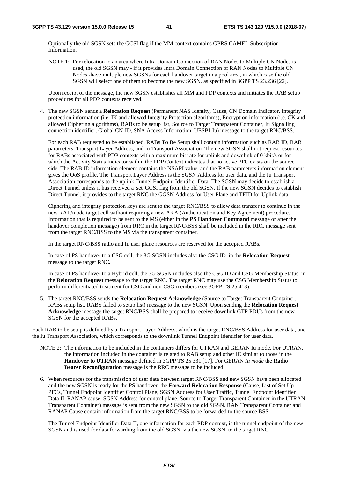Optionally the old SGSN sets the GCSI flag if the MM context contains GPRS CAMEL Subscription Information.

NOTE 1: For relocation to an area where Intra Domain Connection of RAN Nodes to Multiple CN Nodes is used, the old SGSN may - if it provides Intra Domain Connection of RAN Nodes to Multiple CN Nodes -have multiple new SGSNs for each handover target in a pool area, in which case the old SGSN will select one of them to become the new SGSN, as specified in 3GPP TS 23.236 [22].

Upon receipt of the message, the new SGSN establishes all MM and PDP contexts and initiates the RAB setup procedures for all PDP contexts received.

4. The new SGSN sends a **Relocation Request** (Permanent NAS Identity, Cause, CN Domain Indicator, Integrity protection information (i.e. IK and allowed Integrity Protection algorithms), Encryption information (i.e. CK and allowed Ciphering algorithms), RABs to be setup list, Source to Target Transparent Container, Iu Signalling connection identifier, Global CN-ID, SNA Access Information, UESBI-Iu) message to the target RNC/BSS.

 For each RAB requested to be established, RABs To Be Setup shall contain information such as RAB ID, RAB parameters, Transport Layer Address, and Iu Transport Association. The new SGSN shall not request resources for RABs associated with PDP contexts with a maximum bit rate for uplink and downlink of 0 kbit/s or for which the Activity Status Indicator within the PDP Context indicates that no active PFC exists on the source side. The RAB ID information element contains the NSAPI value, and the RAB parameters information element gives the QoS profile. The Transport Layer Address is the SGSN Address for user data, and the Iu Transport Association corresponds to the uplink Tunnel Endpoint Identifier Data. The SGSN may decide to establish a Direct Tunnel unless it has received a 'set' GCSI flag from the old SGSN. If the new SGSN decides to establish Direct Tunnel, it provides to the target RNC the GGSN Address for User Plane and TEID for Uplink data.

 Ciphering and integrity protection keys are sent to the target RNC/BSS to allow data transfer to continue in the new RAT/mode target cell without requiring a new AKA (Authentication and Key Agreement) procedure. Information that is required to be sent to the MS (either in the **PS Handover Command** message or after the handover completion message) from RRC in the target RNC/BSS shall be included in the RRC message sent from the target RNC/BSS to the MS via the transparent container.

In the target RNC/BSS radio and Iu user plane resources are reserved for the accepted RABs.

In case of PS handover to a CSG cell, the 3G SGSN includes also the CSG ID in the **Relocation Request**  message to the target RNC**.** 

In case of PS handover to a Hybrid cell, the 3G SGSN includes also the CSG ID and CSG Membership Status in the **Relocation Request** message to the target RNC. The target RNC may use the CSG Membership Status to perform differentiated treatment for CSG and non-CSG members (see 3GPP TS 25.413).

5. The target RNC/BSS sends the **Relocation Request Acknowledge** (Source to Target Transparent Container, RABs setup list, RABS failed to setup list) message to the new SGSN. Upon sending the **Relocation Request Acknowledge** message the target RNC/BSS shall be prepared to receive downlink GTP PDUs from the new SGSN for the accepted RABs.

Each RAB to be setup is defined by a Transport Layer Address, which is the target RNC/BSS Address for user data, and the Iu Transport Association, which corresponds to the downlink Tunnel Endpoint Identifier for user data.

- NOTE 2: The information to be included in the containers differs for UTRAN and GERAN Iu mode. For UTRAN, the information included in the container is related to RAB setup and other IE similar to those in the **Handover to UTRAN** message defined in 3GPP TS 25.331 [17]. For GERAN *Iu mode* the **Radio Bearer Reconfiguration** message is the RRC message to be included.
- 6. When resources for the transmission of user data between target RNC/BSS and new SGSN have been allocated and the new SGSN is ready for the PS handover, the **Forward Relocation Response** (Cause, List of Set Up PFCs, Tunnel Endpoint Identifier Control Plane, SGSN Address for User Traffic, Tunnel Endpoint Identifier Data II, RANAP cause, SGSN Address for control plane, Source to Target Transparent Container in the UTRAN Transparent Container) message is sent from the new SGSN to the old SGSN. RAN Transparent Container and RANAP Cause contain information from the target RNC/BSS to be forwarded to the source BSS.

 The Tunnel Endpoint Identifier Data II, one information for each PDP context, is the tunnel endpoint of the new SGSN and is used for data forwarding from the old SGSN, via the new SGSN, to the target RNC.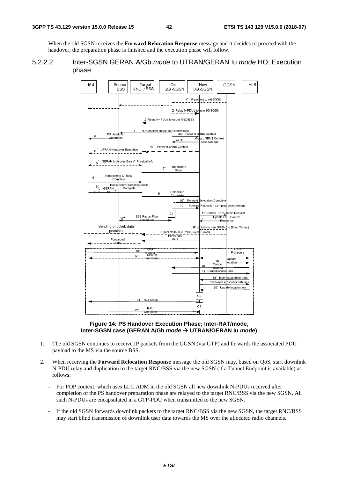When the old SGSN receives the **Forward Relocation Response** message and it decides to proceed with the handover, the preparation phase is finished and the execution phase will follow.





#### **Figure 14: PS Handover Execution Phase; Inter-RAT/mode, Inter-SGSN case (GERAN A/Gb** *mode*  **UTRAN/GERAN Iu** *mode***)**

- 1. The old SGSN continues to receive IP packets from the GGSN (via GTP) and forwards the associated PDU payload to the MS via the source BSS.
- 2. When receiving the **Forward Relocation Response** message the old SGSN may, based on QoS, start downlink N-PDU relay and duplication to the target RNC/BSS via the new SGSN (if a Tunnel Endpoint is available) as follows:
	- For PDP context, which uses LLC ADM in the old SGSN all new downlink N-PDUs received after completion of the PS handover preparation phase are relayed to the target RNC/BSS via the new SGSN. All such N-PDUs are encapsulated in a GTP-PDU when transmitted to the new SGSN.
	- If the old SGSN forwards downlink packets to the target RNC/BSS via the new SGSN, the target RNC/BSS may start blind transmission of downlink user data towards the MS over the allocated radio channels.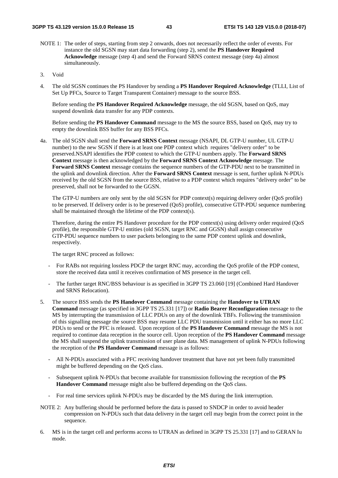- NOTE 1: The order of steps, starting from step 2 onwards, does not necessarily reflect the order of events. For instance the old SGSN may start data forwarding (step 2), send the **PS Handover Required Acknowledge** message (step 4) and send the Forward SRNS context message (step 4a) almost simultaneously.
- 3. Void
- 4. The old SGSN continues the PS Handover by sending a **PS Handover Required Acknowledge** (TLLI, List of Set Up PFCs, Source to Target Transparent Container) message to the source BSS.

 Before sending the **PS Handover Required Acknowledge** message, the old SGSN, based on QoS, may suspend downlink data transfer for any PDP contexts.

 Before sending the **PS Handover Command** message to the MS the source BSS, based on QoS, may try to empty the downlink BSS buffer for any BSS PFCs.

4a. The old SGSN shall send the **Forward SRNS Context** message (NSAPI, DL GTP-U number, UL GTP-U number) to the new SGSN if there is at least one PDP context which requires "delivery order" to be preserved.NSAPI identifies the PDP context to which the GTP-U numbers apply. The **Forward SRNS Context** message is then acknowledged by the **Forward SRNS Context Acknowledge** message. The **Forward SRNS Context** message contains the sequence numbers of the GTP-PDU next to be transmitted in the uplink and downlink direction. After the **Forward SRNS Context** message is sent, further uplink N-PDUs received by the old SGSN from the source BSS, relative to a PDP context which requires "delivery order" to be preserved, shall not be forwarded to the GGSN.

 The GTP-U numbers are only sent by the old SGSN for PDP context(s) requiring delivery order (QoS profile) to be preserved. If delivery order is to be preserved (QoS) profile), consecutive GTP-PDU sequence numbering shall be maintained through the lifetime of the PDP context(s).

 Therefore, during the entire PS Handover procedure for the PDP context(s) using delivery order required (QoS profile), the responsible GTP-U entities (old SGSN, target RNC and GGSN) shall assign consecutive GTP-PDU sequence numbers to user packets belonging to the same PDP context uplink and downlink, respectively.

The target RNC proceed as follows:

- For RABs not requiring lossless PDCP the target RNC may, according the QoS profile of the PDP context, store the received data until it receives confirmation of MS presence in the target cell.
- The further target RNC/BSS behaviour is as specified in 3GPP TS 23.060 [19] (Combined Hard Handover and SRNS Relocation).
- 5. The source BSS sends the **PS Handover Command** message containing the **Handover to UTRAN Command** message (as specified in 3GPP TS 25.331 [17]) or **Radio Bearer Reconfiguration** message to the MS by interrupting the transmission of LLC PDUs on any of the downlink TBFs. Following the transmission of this signalling message the source BSS may resume LLC PDU transmission until it either has no more LLC PDUs to send or the PFC is released. Upon reception of the **PS Handover Command** message the MS is not required to continue data reception in the source cell. Upon reception of the **PS Handover Command** message the MS shall suspend the uplink transmission of user plane data. MS management of uplink N-PDUs following the reception of the **PS Handover Command** message is as follows:
	- All N-PDUs associated with a PFC receiving handover treatment that have not yet been fully transmitted might be buffered depending on the QoS class.
	- Subsequent uplink N-PDUs that become available for transmission following the reception of the **PS Handover Command** message might also be buffered depending on the QoS class.
	- For real time services uplink N-PDUs may be discarded by the MS during the link interruption.
- NOTE 2: Any buffering should be performed before the data is passed to SNDCP in order to avoid header compression on N-PDUs such that data delivery in the target cell may begin from the correct point in the sequence.
- 6. MS is in the target cell and performs access to UTRAN as defined in 3GPP TS 25.331 [17] and to GERAN Iu mode.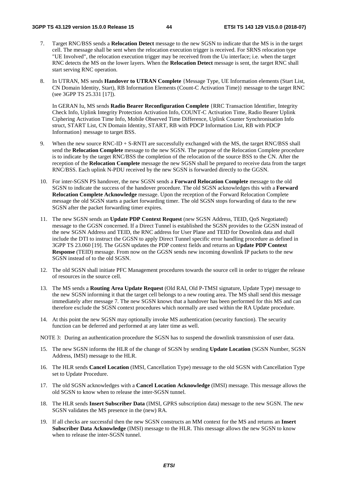- 7. Target RNC/BSS sends a **Relocation Detect** message to the new SGSN to indicate that the MS is in the target cell. The message shall be sent when the relocation execution trigger is received. For SRNS relocation type "UE Involved", the relocation execution trigger may be received from the Uu interface; i.e. when the target RNC detects the MS on the lower layers. When the **Relocation Detect** message is sent, the target RNC shall start serving RNC operation.
- 8. In UTRAN, MS sends **Handover to UTRAN Complete** {Message Type, UE Information elements (Start List, CN Domain Identity, Start), RB Information Elements (Count-C Activation Time)} message to the target RNC (see 3GPP TS 25.331 [17]).

 In GERAN Iu, MS sends **Radio Bearer Reconfiguration Complete** {RRC Transaction Identifier, Integrity Check Info, Uplink Integrity Protection Activation Info, COUNT-C Activation Time, Radio Bearer Uplink Ciphering Activation Time Info, Mobile Observed Time Difference, Uplink Counter Synchronisation Info struct, START List, CN Domain Identity, START, RB with PDCP Information List, RB with PDCP Information} message to target BSS.

- 9. When the new source RNC-ID + S-RNTI are successfully exchanged with the MS, the target RNC/BSS shall send the **Relocation Complete** message to the new SGSN. The purpose of the Relocation Complete procedure is to indicate by the target RNC/BSS the completion of the relocation of the source BSS to the CN. After the reception of the **Relocation Complete** message the new SGSN shall be prepared to receive data from the target RNC/BSS. Each uplink N-PDU received by the new SGSN is forwarded directly to the GGSN.
- 10. For inter-SGSN PS handover, the new SGSN sends a **Forward Relocation Complete** message to the old SGSN to indicate the success of the handover procedure. The old SGSN acknowledges this with a **Forward Relocation Complete Acknowledge** message. Upon the reception of the Forward Relocation Complete message the old SGSN starts a packet forwarding timer. The old SGSN stops forwarding of data to the new SGSN after the packet forwarding timer expires.
- 11. The new SGSN sends an **Update PDP Context Request** (new SGSN Address, TEID, QoS Negotiated) message to the GGSN concerned. If a Direct Tunnel is established the SGSN provides to the GGSN instead of the new SGSN Address and TEID, the RNC address for User Plane and TEID for Downlink data and shall include the DTI to instruct the GGSN to apply Direct Tunnel specific error handling procedure as defined in 3GPP TS 23.060 [19]. The GGSN updates the PDP context fields and returns an **Update PDP Context Response** (TEID) message. From now on the GGSN sends new incoming downlink IP packets to the new SGSN instead of to the old SGSN.
- 12. The old SGSN shall initiate PFC Management procedures towards the source cell in order to trigger the release of resources in the source cell.
- 13. The MS sends a **Routing Area Update Request** (Old RAI, Old P-TMSI signature, Update Type) message to the new SGSN informing it that the target cell belongs to a new routing area. The MS shall send this message immediately after message 7. The new SGSN knows that a handover has been performed for this MS and can therefore exclude the SGSN context procedures which normally are used within the RA Update procedure.
- 14. At this point the new SGSN may optionally invoke MS authentication (security function). The security function can be deferred and performed at any later time as well.

NOTE 3: During an authentication procedure the SGSN has to suspend the downlink transmission of user data.

- 15. The new SGSN informs the HLR of the change of SGSN by sending **Update Location** (SGSN Number, SGSN Address, IMSI) message to the HLR.
- 16. The HLR sends **Cancel Location** (IMSI, Cancellation Type) message to the old SGSN with Cancellation Type set to Update Procedure.
- 17. The old SGSN acknowledges with a **Cancel Location Acknowledge** (IMSI) message. This message allows the old SGSN to know when to release the inter-SGSN tunnel.
- 18. The HLR sends **Insert Subscriber Data** (IMSI, GPRS subscription data) message to the new SGSN. The new SGSN validates the MS presence in the (new) RA.
- 19. If all checks are successful then the new SGSN constructs an MM context for the MS and returns an **Insert Subscriber Data Acknowledge** (IMSI) message to the HLR. This message allows the new SGSN to know when to release the inter-SGSN tunnel.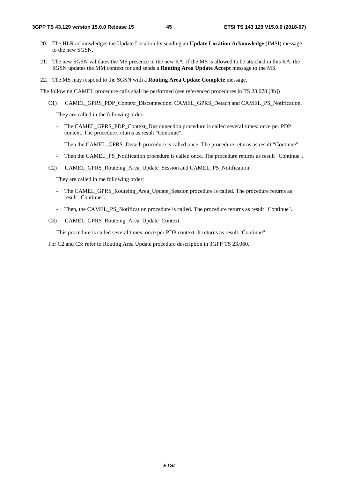- 20. The HLR acknowledges the Update Location by sending an **Update Location Acknowledge** (IMSI) message to the new SGSN.
- 21. The new SGSN validates the MS presence in the new RA. If the MS is allowed to be attached in this RA, the SGSN updates the MM context for and sends a **Routing Area Update Accept** message to the MS.
- 22. The MS may respond to the SGSN with a **Routing Area Update Complete** message.

The following CAMEL procedure calls shall be performed (see referenced procedures in TS 23.078 [8b])

C1) CAMEL\_GPRS\_PDP\_Context\_Disconnection, CAMEL\_GPRS\_Detach and CAMEL\_PS\_Notification.

They are called in the following order:

- The CAMEL GPRS PDP Context Disconnection procedure is called several times: once per PDP context. The procedure returns as result "Continue".
- Then the CAMEL\_GPRS\_Detach procedure is called once. The procedure returns as result "Continue".
- Then the CAMEL\_PS\_Notification procedure is called once. The procedure returns as result "Continue".
- C2) CAMEL\_GPRS\_Routeing\_Area\_Update\_Session and CAMEL\_PS\_Notification.

They are called in the following order:

- The CAMEL\_GPRS\_Routeing\_Area\_Update\_Session procedure is called. The procedure returns as result "Continue".
- Then, the CAMEL\_PS\_Notification procedure is called. The procedure returns as result "Continue".
- C3) CAMEL\_GPRS\_Routeing\_Area\_Update\_Context.

This procedure is called several times: once per PDP context. It returns as result "Continue".

For C2 and C3: refer to Routing Area Update procedure description in 3GPP TS 23.060.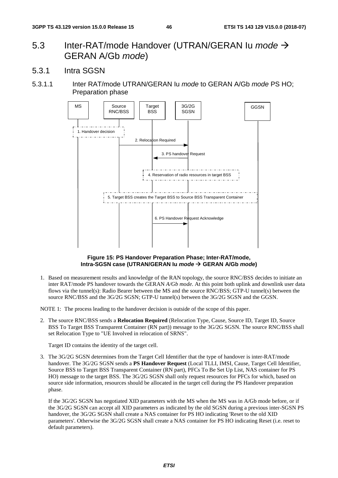# 5.3 Inter-RAT/mode Handover (UTRAN/GERAN Iu *mode* GERAN A/Gb *mode*)

5.3.1 Intra SGSN

## 5.3.1.1 Inter RAT/mode UTRAN/GERAN Iu *mode* to GERAN A/Gb *mode* PS HO; Preparation phase



**Figure 15: PS Handover Preparation Phase; Inter-RAT/mode, Intra-SGSN case (UTRAN/GERAN Iu** *mode*  **GERAN A/Gb** *mode***)** 

1. Based on measurement results and knowledge of the RAN topology, the source RNC/BSS decides to initiate an inter RAT/mode PS handover towards the GERAN *A/Gb mode*. At this point both uplink and downlink user data flows via the tunnel(s): Radio Bearer between the MS and the source RNC/BSS; GTP-U tunnel(s) between the source RNC/BSS and the 3G/2G SGSN; GTP-U tunnel(s) between the 3G/2G SGSN and the GGSN.

NOTE 1: The process leading to the handover decision is outside of the scope of this paper.

2. The source RNC/BSS sends a **Relocation Required** (Relocation Type, Cause, Source ID, Target ID, Source BSS To Target BSS Transparent Container (RN part)) message to the 3G/2G SGSN. The source RNC/BSS shall set Relocation Type to "UE Involved in relocation of SRNS".

Target ID contains the identity of the target cell.

3. The 3G/2G SGSN determines from the Target Cell Identifier that the type of handover is inter-RAT/mode handover. The 3G/2G SGSN sends a **PS Handover Request** (Local TLLI, IMSI, Cause, Target Cell Identifier, Source BSS to Target BSS Transparent Container (RN part), PFCs To Be Set Up List, NAS container for PS HO) message to the target BSS. The 3G/2G SGSN shall only request resources for PFCs for which, based on source side information, resources should be allocated in the target cell during the PS Handover preparation phase.

If the 3G/2G SGSN has negotiated XID parameters with the MS when the MS was in A/Gb mode before, or if the 3G/2G SGSN can accept all XID parameters as indicated by the old SGSN during a previous inter-SGSN PS handover, the 3G/2G SGSN shall create a NAS container for PS HO indicating 'Reset to the old XID parameters'. Otherwise the 3G/2G SGSN shall create a NAS container for PS HO indicating Reset (i.e. reset to default parameters).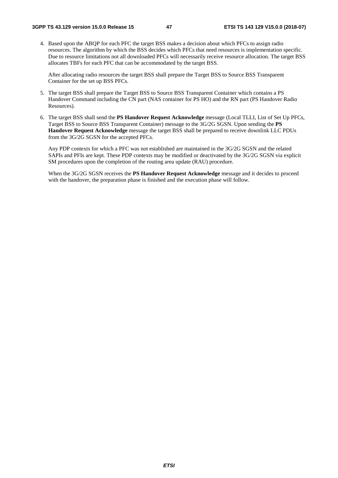4. Based upon the ABQP for each PFC the target BSS makes a decision about which PFCs to assign radio resources. The algorithm by which the BSS decides which PFCs that need resources is implementation specific. Due to resource limitations not all downloaded PFCs will necessarily receive resource allocation. The target BSS allocates TBFs for each PFC that can be accommodated by the target BSS.

 After allocating radio resources the target BSS shall prepare the Target BSS to Source BSS Transparent Container for the set up BSS PFCs.

- 5. The target BSS shall prepare the Target BSS to Source BSS Transparent Container which contains a PS Handover Command including the CN part (NAS container for PS HO) and the RN part (PS Handover Radio Resources).
- 6. The target BSS shall send the **PS Handover Request Acknowledge** message (Local TLLI, List of Set Up PFCs, Target BSS to Source BSS Transparent Container) message to the 3G/2G SGSN. Upon sending the **PS Handover Request Acknowledge** message the target BSS shall be prepared to receive downlink LLC PDUs from the 3G/2G SGSN for the accepted PFCs.

 Any PDP contexts for which a PFC was not established are maintained in the 3G/2G SGSN and the related SAPIs and PFIs are kept. These PDP contexts may be modified or deactivated by the 3G/2G SGSN via explicit SM procedures upon the completion of the routing area update (RAU) procedure.

 When the 3G/2G SGSN receives the **PS Handover Request Acknowledge** message and it decides to proceed with the handover, the preparation phase is finished and the execution phase will follow.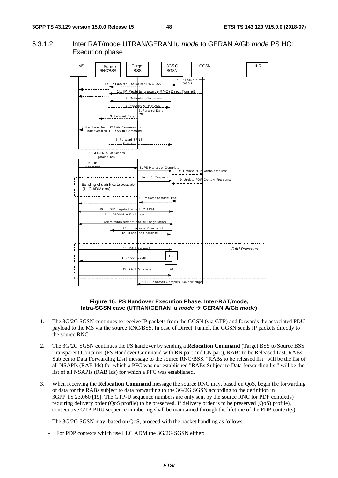#### 5.3.1.2 Inter RAT/mode UTRAN/GERAN Iu *mode* to GERAN A/Gb *mode* PS HO; Execution phase



#### **Figure 16: PS Handover Execution Phase; Inter-RAT/mode, Intra-SGSN case (UTRAN/GERAN Iu** *mode*  **GERAN A/Gb** *mode***)**

- 1. The 3G/2G SGSN continues to receive IP packets from the GGSN (via GTP) and forwards the associated PDU payload to the MS via the source RNC/BSS. In case of Direct Tunnel, the GGSN sends IP packets directly to the source RNC.
- 2. The 3G/2G SGSN continues the PS handover by sending a **Relocation Command** (Target BSS to Source BSS Transparent Container (PS Handover Command with RN part and CN part), RABs to be Released List, RABs Subject to Data Forwarding List) message to the source RNC/BSS. "RABs to be released list" will be the list of all NSAPIs (RAB Ids) for which a PFC was not established "RABs Subject to Data forwarding list" will be the list of all NSAPIs (RAB Ids) for which a PFC was established.
- 3. When receiving the **Relocation Command** message the source RNC may, based on QoS, begin the forwarding of data for the RABs subject to data forwarding to the 3G/2G SGSN according to the definition in 3GPP TS 23.060 [19]. The GTP-U sequence numbers are only sent by the source RNC for PDP context(s) requiring delivery order (QoS profile) to be preserved. If delivery order is to be preserved (QoS) profile), consecutive GTP-PDU sequence numbering shall be maintained through the lifetime of the PDP context(s).

The 3G/2G SGSN may, based on QoS, proceed with the packet handling as follows:

For PDP contexts which use LLC ADM the 3G/2G SGSN either: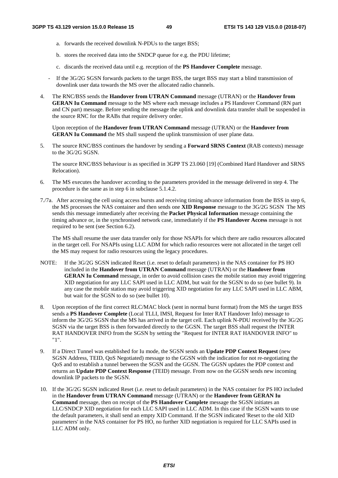- a. forwards the received downlink N-PDUs to the target BSS;
- b. stores the received data into the SNDCP queue for e.g. the PDU lifetime;
- c. discards the received data until e.g. reception of the **PS Handover Complete** message.
- If the 3G/2G SGSN forwards packets to the target BSS, the target BSS may start a blind transmission of downlink user data towards the MS over the allocated radio channels.
- 4. The RNC/BSS sends the **Handover from UTRAN Command** message (UTRAN) or the **Handover from GERAN Iu Command** message to the MS where each message includes a PS Handover Command (RN part and CN part) message. Before sending the message the uplink and downlink data transfer shall be suspended in the source RNC for the RABs that require delivery order.

 Upon reception of the **Handover from UTRAN Command** message (UTRAN) or the **Handover from GERAN Iu Command** the MS shall suspend the uplink transmission of user plane data.

5. The source RNC/BSS continues the handover by sending a **Forward SRNS Context** (RAB contexts) message to the 3G/2G SGSN.

 The source RNC/BSS behaviour is as specified in 3GPP TS 23.060 [19] (Combined Hard Handover and SRNS Relocation).

- 6. The MS executes the handover according to the parameters provided in the message delivered in step 4. The procedure is the same as in step 6 in subclause 5.1.4.2.
- 7./7a. After accessing the cell using access bursts and receiving timing advance information from the BSS in step 6, the MS processes the NAS container and then sends one **XID Response** message to the 3G/2G SGSN The MS sends this message immediately after receiving the **Packet Physical Information** message containing the timing advance or, in the synchronised network case, immediately if the **PS Handover Access** message is not required to be sent (see Section 6.2).

The MS shall resume the user data transfer only for those NSAPIs for which there are radio resources allocated in the target cell. For NSAPIs using LLC ADM for which radio resources were not allocated in the target cell the MS may request for radio resources using the legacy procedures.

- NOTE: If the 3G/2G SGSN indicated Reset (i.e. reset to default parameters) in the NAS container for PS HO included in the **Handover from UTRAN Command** message (UTRAN) or the **Handover from GERAN Iu Command** message, in order to avoid collision cases the mobile station may avoid triggering XID negotiation for any LLC SAPI used in LLC ADM, but wait for the SGSN to do so (see bullet 9). In any case the mobile station may avoid triggering XID negotiation for any LLC SAPI used in LLC ABM, but wait for the SGSN to do so (see bullet 10).
- 8. Upon reception of the first correct RLC/MAC block (sent in normal burst format) from the MS the target BSS sends a **PS Handover Complete** (Local TLLI, IMSI, Request for Inter RAT Handover Info) message to inform the 3G/2G SGSN that the MS has arrived in the target cell. Each uplink N-PDU received by the 3G/2G SGSN via the target BSS is then forwarded directly to the GGSN. The target BSS shall request the INTER RAT HANDOVER INFO from the SGSN by setting the "Request for INTER RAT HANDOVER INFO" to "1".
- 9. If a Direct Tunnel was established for Iu mode, the SGSN sends an **Update PDP Context Request** (new SGSN Address, TEID, QoS Negotiated) message to the GGSN with the indication for not re-negotiating the QoS and to establish a tunnel between the SGSN and the GGSN. The GGSN updates the PDP context and returns an **Update PDP Context Response** (TEID) message. From now on the GGSN sends new incoming downlink IP packets to the SGSN.
- 10. If the 3G/2G SGSN indicated Reset (i.e. reset to default parameters) in the NAS container for PS HO included in the **Handover from UTRAN Command** message (UTRAN) or the **Handover from GERAN Iu Command** message, then on receipt of the **PS Handover Complete** message the SGSN initiates an LLC/SNDCP XID negotiation for each LLC SAPI used in LLC ADM. In this case if the SGSN wants to use the default parameters, it shall send an empty XID Command. If the SGSN indicated 'Reset to the old XID parameters' in the NAS container for PS HO, no further XID negotiation is required for LLC SAPIs used in LLC ADM only.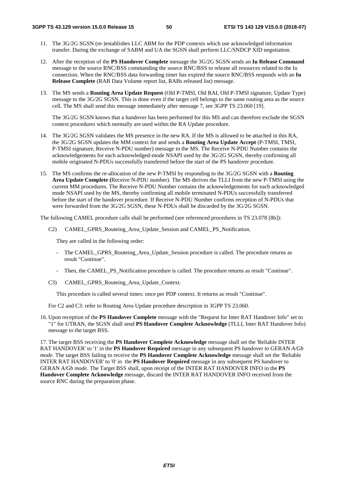- 11. The 3G/2G SGSN (re-)establishes LLC ABM for the PDP contexts which use acknowledged information transfer. During the exchange of SABM and UA the SGSN shall perform LLC/SNDCP XID negotiation.
- 12. After the reception of the **PS Handover Complete** message the 3G/2G SGSN sends an **Iu Release Command** message to the source RNC/BSS commanding the source RNC/BSS to release all resources related to the Iu connection. When the RNC/BSS data forwarding timer has expired the source RNC/BSS responds with an **Iu Release Complete** (RAB Data Volume report list, RABs released list) message.
- 13. The MS sends a **Routing Area Update Request** (Old P-TMSI, Old RAI, Old P-TMSI signature, Update Type) message to the 3G/2G SGSN. This is done even if the target cell belongs to the same routing area as the source cell. The MS shall send this message immediately after message 7, see 3GPP TS 23.060 [19].

The 3G/2G SGSN knows that a handover has been performed for this MS and can therefore exclude the SGSN context procedures which normally are used within the RA Update procedure.

- 14. The 3G/2G SGSN validates the MS presence in the new RA. If the MS is allowed to be attached in this RA, the 3G/2G SGSN updates the MM context for and sends a **Routing Area Update Accept** (P-TMSI, TMSI, P-TMSI signature, Receive N-PDU number) message to the MS. The Receive N-PDU Number contains the acknowledgements for each acknowledged-mode NSAPI used by the 3G/2G SGSN, thereby confirming all mobile originated N-PDUs successfully transferred before the start of the PS handover procedure.
- 15. The MS confirms the re-allocation of the new P-TMSI by responding to the 3G/2G SGSN with a **Routing Area Update Complete (**Receive N-PDU number). The MS derives the TLLI from the new P-TMSI using the current MM procedures. The Receive N-PDU Number contains the acknowledgements for each acknowledged mode NSAPI used by the MS, thereby confirming all mobile terminated N-PDUs successfully transferred before the start of the handover procedure. If Receive N-PDU Number confirms reception of N-PDUs that were forwarded from the 3G/2G SGSN, these N-PDUs shall be discarded by the 3G/2G SGSN.

The following CAMEL procedure calls shall be performed (see referenced procedures in TS 23.078 [8b]):

C2) CAMEL GPRS Routeing Area Update Session and CAMEL PS Notification.

They are called in the following order:

- The CAMEL GPRS Routeing Area Update Session procedure is called. The procedure returns as result "Continue".
- Then, the CAMEL PS Notification procedure is called. The procedure returns as result "Continue".
- C3) CAMEL\_GPRS\_Routeing\_Area\_Update\_Context.

This procedure is called several times: once per PDP context. It returns as result "Continue".

For C2 and C3: refer to Routing Area Update procedure description in 3GPP TS 23.060.

16. Upon reception of the **PS Handover Complete** message with the "Request for Inter RAT Handover Info" set to "1" for UTRAN, the SGSN shall send **PS Handover Complete Acknowledge** (TLLI, Inter RAT Handover Info) message to the target BSS.

17. The target BSS receiving the **PS Handover Complete Acknowledge** message shall set the 'Reliable INTER RAT HANDOVER' to '1' in the **PS Handover Required** message in any subsequent PS handover to GERAN *A/Gb mode*. The target BSS failing to receive the **PS Handover Complete Acknowledge** message shall set the 'Reliable INTER RAT HANDOVER' to '0' in the **PS Handover Required** message in any subsequent PS handover to GERAN *A/Gb mode*. The Target BSS shall, upon receipt of the INTER RAT HANDOVER INFO in the **PS Handover Complete Acknowledge** message, discard the INTER RAT HANDOVER INFO received from the source RNC during the preparation phase.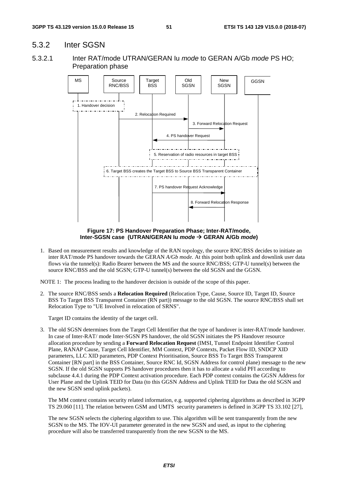## 5.3.2 Inter SGSN

#### 5.3.2.1 Inter RAT/mode UTRAN/GERAN Iu *mode* to GERAN A/Gb *mode* PS HO; Preparation phase



**Figure 17: PS Handover Preparation Phase; Inter-RAT/mode, Inter-SGSN case (UTRAN/GERAN Iu** *mode*  **GERAN A/Gb** *mode***)** 

1. Based on measurement results and knowledge of the RAN topology, the source RNC/BSS decides to initiate an inter RAT/mode PS handover towards the GERAN *A/Gb mode*. At this point both uplink and downlink user data flows via the tunnel(s): Radio Bearer between the MS and the source RNC/BSS; GTP-U tunnel(s) between the source RNC/BSS and the old SGSN; GTP-U tunnel(s) between the old SGSN and the GGSN.

NOTE 1: The process leading to the handover decision is outside of the scope of this paper.

2. The source RNC/BSS sends a **Relocation Required** (Relocation Type, Cause, Source ID, Target ID, Source BSS To Target BSS Transparent Container (RN part)) message to the old SGSN. The source RNC/BSS shall set Relocation Type to "UE Involved in relocation of SRNS".

Target ID contains the identity of the target cell.

3. The old SGSN determines from the Target Cell Identifier that the type of handover is inter-RAT/mode handover. In case of Inter-RAT/ mode Inter-SGSN PS handover, the old SGSN initiates the PS Handover resource allocation procedure by sending a **Forward Relocation Request** (IMSI, Tunnel Endpoint Identifier Control Plane, RANAP Cause, Target Cell Identifier, MM Context, PDP Contexts, Packet Flow ID, SNDCP XID parameters, LLC XID parameters, PDP Context Prioritisation, Source BSS To Target BSS Transparent Container [RN part] in the BSS Container, Source RNC Id, SGSN Address for control plane) message to the new SGSN. If the old SGSN supports PS handover procedures then it has to allocate a valid PFI according to subclause 4.4.1 during the PDP Context activation procedure. Each PDP context contains the GGSN Address for User Plane and the Uplink TEID for Data (to this GGSN Address and Uplink TEID for Data the old SGSN and the new SGSN send uplink packets).

The MM context contains security related information, e.g. supported ciphering algorithms as described in 3GPP TS 29.060 [11]. The relation between GSM and UMTS security parameters is defined in 3GPP TS 33.102 [27],

 The new SGSN selects the ciphering algorithm to use. This algorithm will be sent transparently from the new SGSN to the MS. The IOV-UI parameter generated in the new SGSN and used, as input to the ciphering procedure will also be transferred transparently from the new SGSN to the MS.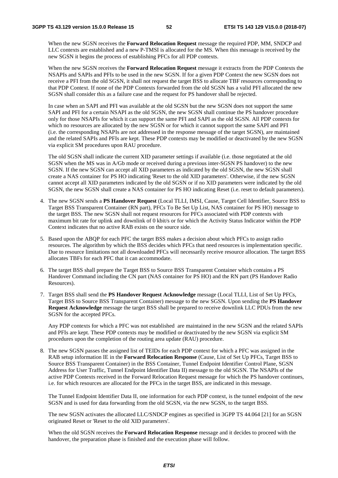When the new SGSN receives the **Forward Relocation Request** message the required PDP, MM, SNDCP and LLC contexts are established and a new P-TMSI is allocated for the MS. When this message is received by the new SGSN it begins the process of establishing PFCs for all PDP contexts.

 When the new SGSN receives the **Forward Relocation Request** message it extracts from the PDP Contexts the NSAPIs and SAPIs and PFIs to be used in the new SGSN. If for a given PDP Context the new SGSN does not receive a PFI from the old SGSN, it shall not request the target BSS to allocate TBF resources corresponding to that PDP Context. If none of the PDP Contexts forwarded from the old SGSN has a valid PFI allocated the new SGSN shall consider this as a failure case and the request for PS handover shall be rejected.

 In case when an SAPI and PFI was available at the old SGSN but the new SGSN does not support the same SAPI and PFI for a certain NSAPI as the old SGSN, the new SGSN shall continue the PS handover procedure only for those NSAPIs for which it can support the same PFI and SAPI as the old SGSN. All PDP contexts for which no resources are allocated by the new SGSN or for which it cannot support the same SAPI and PFI (i.e. the corresponding NSAPIs are not addressed in the response message of the target SGSN), are maintained and the related SAPIs and PFIs are kept. These PDP contexts may be modified or deactivated by the new SGSN via explicit SM procedures upon RAU procedure.

 The old SGSN shall indicate the current XID parameter settings if available (i.e. those negotiated at the old SGSN when the MS was in A/Gb mode or received during a previous inter-SGSN PS handover) to the new SGSN. If the new SGSN can accept all XID parameters as indicated by the old SGSN, the new SGSN shall create a NAS container for PS HO indicating 'Reset to the old XID parameters'. Otherwise, if the new SGSN cannot accept all XID parameters indicated by the old SGSN or if no XID parameters were indicated by the old SGSN, the new SGSN shall create a NAS container for PS HO indicating Reset (i.e. reset to default parameters).

- 4. The new SGSN sends a **PS Handover Request** (Local TLLI, IMSI, Cause, Target Cell Identifier, Source BSS to Target BSS Transparent Container (RN part), PFCs To Be Set Up List, NAS container for PS HO) message to the target BSS. The new SGSN shall not request resources for PFCs associated with PDP contexts with maximum bit rate for uplink and downlink of 0 kbit/s or for which the Activity Status Indicator within the PDP Context indicates that no active RAB exists on the source side.
- 5. Based upon the ABQP for each PFC the target BSS makes a decision about which PFCs to assign radio resources. The algorithm by which the BSS decides which PFCs that need resources is implementation specific. Due to resource limitations not all downloaded PFCs will necessarily receive resource allocation. The target BSS allocates TBFs for each PFC that it can accommodate.
- 6. The target BSS shall prepare the Target BSS to Source BSS Transparent Container which contains a PS Handover Command including the CN part (NAS container for PS HO) and the RN part (PS Handover Radio Resources).
- 7. Target BSS shall send the **PS Handover Request Acknowledge** message (Local TLLI, List of Set Up PFCs, Target BSS to Source BSS Transparent Container) message to the new SGSN. Upon sending the **PS Handover Request Acknowledge** message the target BSS shall be prepared to receive downlink LLC PDUs from the new SGSN for the accepted PFCs.

 Any PDP contexts for which a PFC was not established are maintained in the new SGSN and the related SAPIs and PFIs are kept. These PDP contexts may be modified or deactivated by the new SGSN via explicit SM procedures upon the completion of the routing area update (RAU) procedure.

8. The new SGSN passes the assigned list of TEIDs for each PDP context for which a PFC was assigned in the RAB setup information IE in the **Forward Relocation Response** (Cause, List of Set Up PFCs, Target BSS to Source BSS Transparent Container) in the BSS Container, Tunnel Endpoint Identifier Control Plane, SGSN Address for User Traffic, Tunnel Endpoint Identifier Data II) message to the old SGSN. The NSAPIs of the active PDP Contexts received in the Forward Relocation Request message for which the PS handover continues, i.e. for which resources are allocated for the PFCs in the target BSS, are indicated in this message.

The Tunnel Endpoint Identifier Data II, one information for each PDP context, is the tunnel endpoint of the new SGSN and is used for data forwarding from the old SGSN, via the new SGSN, to the target BSS.

 The new SGSN activates the allocated LLC/SNDCP engines as specified in 3GPP TS 44.064 [21] for an SGSN originated Reset or 'Reset to the old XID parameters'.

 When the old SGSN receives the **Forward Relocation Response** message and it decides to proceed with the handover, the preparation phase is finished and the execution phase will follow.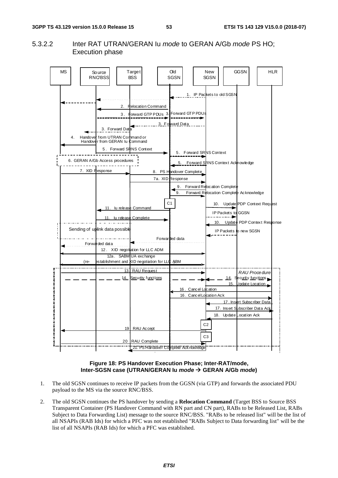

#### 5.3.2.2 Inter RAT UTRAN/GERAN Iu *mode* to GERAN A/Gb *mode* PS HO; Execution phase

**Figure 18: PS Handover Execution Phase; Inter-RAT/mode, Inter-SGSN case (UTRAN/GERAN Iu** *mode*  **GERAN A/Gb** *mode***)** 

- 1. The old SGSN continues to receive IP packets from the GGSN (via GTP) and forwards the associated PDU payload to the MS via the source RNC/BSS.
- 2. The old SGSN continues the PS handover by sending a **Relocation Command** (Target BSS to Source BSS Transparent Container (PS Handover Command with RN part and CN part), RABs to be Released List, RABs Subject to Data Forwarding List) message to the source RNC/BSS. "RABs to be released list" will be the list of all NSAPIs (RAB Ids) for which a PFC was not established "RABs Subject to Data forwarding list" will be the list of all NSAPIs (RAB Ids) for which a PFC was established.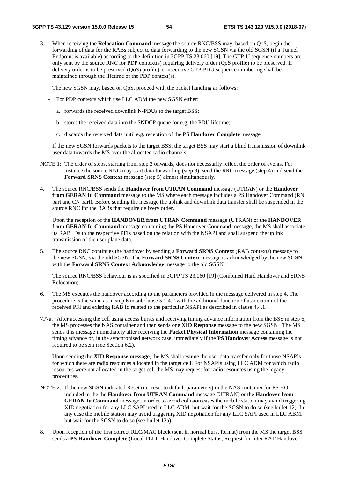3. When receiving the **Relocation Command** message the source RNC/BSS may, based on QoS, begin the forwarding of data for the RABs subject to data forwarding to the new SGSN via the old SGSN (if a Tunnel Endpoint is available) according to the definition in 3GPP TS 23.060 [19]. The GTP-U sequence numbers are only sent by the source RNC for PDP context(s) requiring delivery order (QoS profile) to be preserved. If delivery order is to be preserved (QoS) profile), consecutive GTP-PDU sequence numbering shall be maintained through the lifetime of the PDP context(s).

The new SGSN may, based on QoS, proceed with the packet handling as follows:

- For PDP contexts which use LLC ADM the new SGSN either:
	- a. forwards the received downlink N-PDUs to the target BSS;
	- b. stores the received data into the SNDCP queue for e.g. the PDU lifetime;
	- c. discards the received data until e.g. reception of the **PS Handover Complete** message.

 If the new SGSN forwards packets to the target BSS, the target BSS may start a blind transmission of downlink user data towards the MS over the allocated radio channels.

- NOTE 1: The order of steps, starting from step 3 onwards, does not necessarily reflect the order of events. For instance the source RNC may start data forwarding (step 3), send the RRC message (step 4) and send the **Forward SRNS Context** message (step 5) almost simultaneously.
- 4. The source RNC/BSS sends the **Handover from UTRAN Command** message (UTRAN) or the **Handover from GERAN Iu Command** message to the MS where each message includes a PS Handover Command (RN part and CN part). Before sending the message the uplink and downlink data transfer shall be suspended in the source RNC for the RABs that require delivery order.

 Upon the reception of the **HANDOVER from UTRAN Command** message (UTRAN) or the **HANDOVER from GERAN Iu Command** message containing the PS Handover Command message, the MS shall associate its RAB IDs to the respective PFIs based on the relation with the NSAPI and shall suspend the uplink transmission of the user plane data.

5. The source RNC continues the handover by sending a **Forward SRNS Context** (RAB contexts) message to the new SGSN, via the old SGSN. The **Forward SRNS Context** message is acknowledged by the new SGSN with the **Forward SRNS Context Acknowledge** message to the old SGSN.

 The source RNC/BSS behaviour is as specified in 3GPP TS 23.060 [19] (Combined Hard Handover and SRNS Relocation).

- 6. The MS executes the handover according to the parameters provided in the message delivered in step 4. The procedure is the same as in step 6 in subclause 5.1.4.2 with the additional function of association of the received PFI and existing RAB Id related to the particular NSAPI as described in clause 4.4.1.
- 7./7a. After accessing the cell using access bursts and receiving timing advance information from the BSS in step 6, the MS processes the NAS container and then sends one **XID Response** message to the new SGSN . The MS sends this message immediately after receiving the **Packet Physical Information** message containing the timing advance or, in the synchronised network case, immediately if the **PS Handover Access** message is not required to be sent (see Section 6.2).

Upon sending the **XID Response message**, the MS shall resume the user data transfer only for those NSAPIs for which there are radio resources allocated in the target cell. For NSAPIs using LLC ADM for which radio resources were not allocated in the target cell the MS may request for radio resources using the legacy procedures.

- NOTE 2: If the new SGSN indicated Reset (i.e. reset to default parameters) in the NAS container for PS HO included in the the **Handover from UTRAN Command** message (UTRAN) or the **Handover from GERAN Iu Command** message, in order to avoid collision cases the mobile station may avoid triggering XID negotiation for any LLC SAPI used in LLC ADM, but wait for the SGSN to do so (see bullet 12). In any case the mobile station may avoid triggering XID negotiation for any LLC SAPI used in LLC ABM, but wait for the SGSN to do so (see bullet 12a).
- 8. Upon reception of the first correct RLC/MAC block (sent in normal burst format) from the MS the target BSS sends a **PS Handover Complete** (Local TLLI, Handover Complete Status, Request for Inter RAT Handover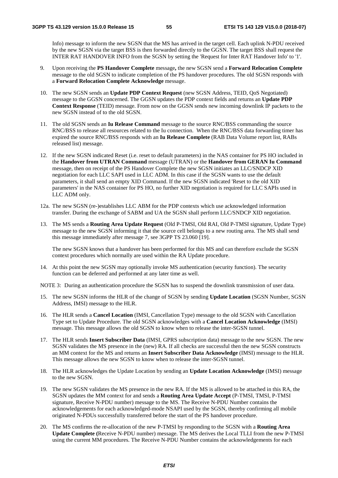Info) message to inform the new SGSN that the MS has arrived in the target cell. Each uplink N-PDU received by the new SGSN via the target BSS is then forwarded directly to the GGSN. The target BSS shall request the INTER RAT HANDOVER INFO from the SGSN by setting the 'Request for Inter RAT Handover Info' to '1'.

- 9. Upon receiving the **PS Handover Complete** message**,** the new SGSN send a **Forward Relocation Complete** message to the old SGSN to indicate completion of the PS handover procedures. The old SGSN responds with a **Forward Relocation Complete Acknowledge** message.
- 10. The new SGSN sends an **Update PDP Context Request** (new SGSN Address, TEID, QoS Negotiated) message to the GGSN concerned. The GGSN updates the PDP context fields and returns an **Update PDP Context Response** (TEID) message. From now on the GGSN sends new incoming downlink IP packets to the new SGSN instead of to the old SGSN.
- 11. The old SGSN sends an **Iu Release Command** message to the source RNC/BSS commanding the source RNC/BSS to release all resources related to the Iu connection. When the RNC/BSS data forwarding timer has expired the source RNC/BSS responds with an **Iu Release Complete** (RAB Data Volume report list, RABs released list) message.
- 12. If the new SGSN indicated Reset (i.e. reset to default parameters) in the NAS container for PS HO included in the **Handover from UTRAN Command** message (UTRAN) or the **Handover from GERAN Iu Command** message, then on receipt of the PS Handover Complete the new SGSN initiates an LLC/SNDCP XID negotiation for each LLC SAPI used in LLC ADM. In this case if the SGSN wants to use the default parameters, it shall send an empty XID Command. If the new SGSN indicated 'Reset to the old XID parameters' in the NAS container for PS HO, no further XID negotiation is required for LLC SAPIs used in LLC ADM only.
- 12a. The new SGSN (re-)establishes LLC ABM for the PDP contexts which use acknowledged information transfer. During the exchange of SABM and UA the SGSN shall perform LLC/SNDCP XID negotiation.
- 13. The MS sends a **Routing Area Update Request** (Old P-TMSI, Old RAI, Old P-TMSI signature, Update Type) message to the new SGSN informing it that the source cell belongs to a new routing area. The MS shall send this message immediately after message 7, see 3GPP TS 23.060 [19].

 The new SGSN knows that a handover has been performed for this MS and can therefore exclude the SGSN context procedures which normally are used within the RA Update procedure.

14. At this point the new SGSN may optionally invoke MS authentication (security function). The security function can be deferred and performed at any later time as well.

NOTE 3: During an authentication procedure the SGSN has to suspend the downlink transmission of user data.

- 15. The new SGSN informs the HLR of the change of SGSN by sending **Update Location** (SGSN Number, SGSN Address, IMSI) message to the HLR.
- 16. The HLR sends a **Cancel Location** (IMSI, Cancellation Type) message to the old SGSN with Cancellation Type set to Update Procedure. The old SGSN acknowledges with a **Cancel Location Acknowledge** (IMSI) message. This message allows the old SGSN to know when to release the inter-SGSN tunnel.
- 17. The HLR sends **Insert Subscriber Data** (IMSI, GPRS subscription data) message to the new SGSN. The new SGSN validates the MS presence in the (new) RA. If all checks are successful then the new SGSN constructs an MM context for the MS and returns an **Insert Subscriber Data Acknowledge** (IMSI) message to the HLR. This message allows the new SGSN to know when to release the inter-SGSN tunnel.
- 18. The HLR acknowledges the Update Location by sending an **Update Location Acknowledge** (IMSI) message to the new SGSN.
- 19. The new SGSN validates the MS presence in the new RA. If the MS is allowed to be attached in this RA, the SGSN updates the MM context for and sends a **Routing Area Update Accept** (P-TMSI, TMSI, P-TMSI signature, Receive N-PDU number) message to the MS. The Receive N-PDU Number contains the acknowledgements for each acknowledged-mode NSAPI used by the SGSN, thereby confirming all mobile originated N-PDUs successfully transferred before the start of the PS handover procedure.
- 20. The MS confirms the re-allocation of the new P-TMSI by responding to the SGSN with a **Routing Area Update Complete (**Receive N-PDU number) message. The MS derives the Local TLLI from the new P-TMSI using the current MM procedures. The Receive N-PDU Number contains the acknowledgements for each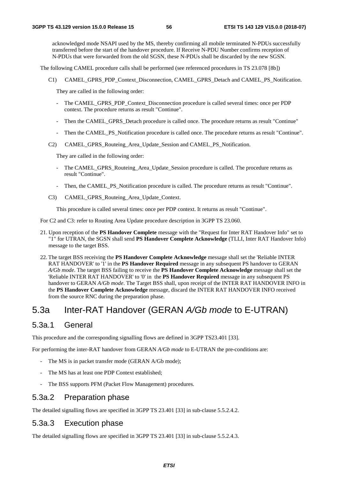acknowledged mode NSAPI used by the MS, thereby confirming all mobile terminated N-PDUs successfully transferred before the start of the handover procedure. If Receive N-PDU Number confirms reception of N-PDUs that were forwarded from the old SGSN, these N-PDUs shall be discarded by the new SGSN.

The following CAMEL procedure calls shall be performed (see referenced procedures in TS 23.078 [8b])

C1) CAMEL GPRS PDP Context Disconnection, CAMEL GPRS Detach and CAMEL PS Notification.

They are called in the following order:

- The CAMEL GPRS PDP Context Disconnection procedure is called several times: once per PDP context. The procedure returns as result "Continue".
- Then the CAMEL\_GPRS\_Detach procedure is called once. The procedure returns as result "Continue"
- Then the CAMEL\_PS\_Notification procedure is called once. The procedure returns as result "Continue".
- C2) CAMEL\_GPRS\_Routeing\_Area\_Update\_Session and CAMEL\_PS\_Notification.

They are called in the following order:

- The CAMEL\_GPRS\_Routeing\_Area\_Update\_Session procedure is called. The procedure returns as result "Continue".
- Then, the CAMEL PS Notification procedure is called. The procedure returns as result "Continue".
- C3) CAMEL\_GPRS\_Routeing\_Area\_Update\_Context.

This procedure is called several times: once per PDP context. It returns as result "Continue".

For C2 and C3: refer to Routing Area Update procedure description in 3GPP TS 23.060.

- 21. Upon reception of the **PS Handover Complete** message with the "Request for Inter RAT Handover Info" set to "1" for UTRAN, the SGSN shall send **PS Handover Complete Acknowledge** (TLLI, Inter RAT Handover Info) message to the target BSS.
- 22. The target BSS receiving the **PS Handover Complete Acknowledge** message shall set the 'Reliable INTER RAT HANDOVER' to '1' in the **PS Handover Required** message in any subsequent PS handover to GERAN *A/Gb mode*. The target BSS failing to receive the **PS Handover Complete Acknowledge** message shall set the 'Reliable INTER RAT HANDOVER' to '0' in the **PS Handover Required** message in any subsequent PS handover to GERAN *A/Gb mode*. The Target BSS shall, upon receipt of the INTER RAT HANDOVER INFO in the **PS Handover Complete Acknowledge** message, discard the INTER RAT HANDOVER INFO received from the source RNC during the preparation phase.

## 5.3a Inter-RAT Handover (GERAN *A/Gb mode* to E-UTRAN)

## 5.3a.1 General

This procedure and the corresponding signalling flows are defined in 3GPP TS23.401 [33].

For performing the inter-RAT handover from GERAN *A/Gb mode* to E-UTRAN the pre-conditions are:

- The MS is in packet transfer mode (GERAN A/Gb mode);
- The MS has at least one PDP Context established;
- The BSS supports PFM (Packet Flow Management) procedures.

## 5.3a.2 Preparation phase

The detailed signalling flows are specified in 3GPP TS 23.401 [33] in sub-clause 5.5.2.4.2.

## 5.3a.3 Execution phase

The detailed signalling flows are specified in 3GPP TS 23.401 [33] in sub-clause 5.5.2.4.3.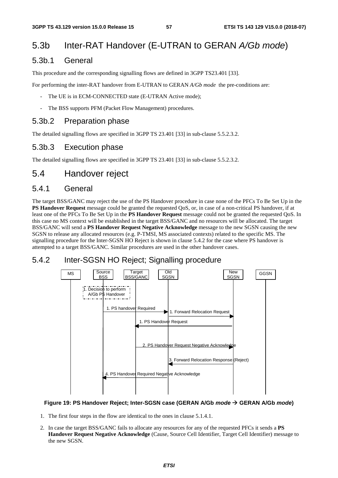# 5.3b Inter-RAT Handover (E-UTRAN to GERAN *A/Gb mode*)

## 5.3b.1 General

This procedure and the corresponding signalling flows are defined in 3GPP TS23.401 [33].

For performing the inter-RAT handover from E-UTRAN to GERAN *A/Gb mode* the pre-conditions are:

- The UE is in ECM-CONNECTED state (E-UTRAN Active mode);
- The BSS supports PFM (Packet Flow Management) procedures.

## 5.3b.2 Preparation phase

The detailed signalling flows are specified in 3GPP TS 23.401 [33] in sub-clause 5.5.2.3.2.

## 5.3b.3 Execution phase

The detailed signalling flows are specified in 3GPP TS 23.401 [33] in sub-clause 5.5.2.3.2.

## 5.4 Handover reject

## 5.4.1 General

The target BSS/GANC may reject the use of the PS Handover procedure in case none of the PFCs To Be Set Up in the **PS Handover Request** message could be granted the requested QoS, or, in case of a non-critical PS handover, if at least one of the PFCs To Be Set Up in the **PS Handover Request** message could not be granted the requested QoS. In this case no MS context will be established in the target BSS/GANC and no resources will be allocated. The target BSS/GANC will send a **PS Handover Request Negative Acknowledge** message to the new SGSN causing the new SGSN to release any allocated resources (e.g. P-TMSI, MS associated contexts) related to the specific MS. The signalling procedure for the Inter-SGSN HO Reject is shown in clause 5.4.2 for the case where PS handover is attempted to a target BSS/GANC. Similar procedures are used in the other handover cases.

## 5.4.2 Inter-SGSN HO Reject; Signalling procedure



#### **Figure 19: PS Handover Reject; Inter-SGSN case (GERAN A/Gb** *mode*  **GERAN A/Gb** *mode***)**

- 1. The first four steps in the flow are identical to the ones in clause 5.1.4.1.
- 2. In case the target BSS/GANC fails to allocate any resources for any of the requested PFCs it sends a **PS Handover Request Negative Acknowledge** (Cause, Source Cell Identifier, Target Cell Identifier) message to the new SGSN.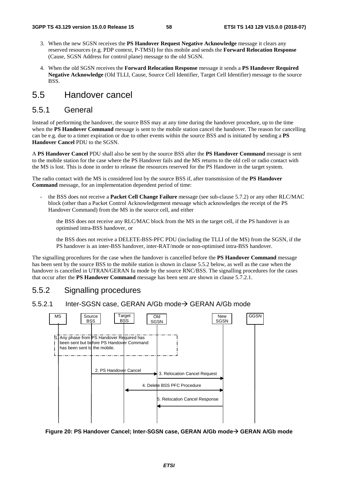- 3. When the new SGSN receives the **PS Handover Request Negative Acknowledge** message it clears any reserved resources (e.g. PDP context, P-TMSI) for this mobile and sends the **Forward Relocation Response** (Cause, SGSN Address for control plane) message to the old SGSN.
- 4. When the old SGSN receives the **Forward Relocation Response** message it sends a **PS Handover Required Negative Acknowledge** (Old TLLI, Cause, Source Cell Identifier, Target Cell Identifier) message to the source BSS.

# 5.5 Handover cancel

## 5.5.1 General

Instead of performing the handover, the source BSS may at any time during the handover procedure, up to the time when the **PS Handover Command** message is sent to the mobile station cancel the handover. The reason for cancelling can be e.g. due to a timer expiration or due to other events within the source BSS and is initiated by sending a **PS Handover Cancel** PDU to the SGSN.

A **PS Handover Cancel** PDU shall also be sent by the source BSS after the **PS Handover Command** message is sent to the mobile station for the case where the PS Handover fails and the MS returns to the old cell or radio contact with the MS is lost. This is done in order to release the resources reserved for the PS Handover in the target system.

The radio contact with the MS is considered lost by the source BSS if, after transmission of the **PS Handover Command** message, for an implementation dependent period of time:

- the BSS does not receive a **Packet Cell Change Failure** message (see sub-clause 5.7.2) or any other RLC/MAC block (other than a Packet Control Acknowledgement message which acknowledges the receipt of the PS Handover Command) from the MS in the source cell, and either

 the BSS does not receive any RLC/MAC block from the MS in the target cell, if the PS handover is an optimised intra-BSS handover, or

 the BSS does not receive a DELETE-BSS-PFC PDU (including the TLLI of the MS) from the SGSN, if the PS handover is an inter-BSS handover, inter-RAT/mode or non-optimised intra-BSS handover.

The signalling procedures for the case when the handover is cancelled before the **PS Handover Command** message has been sent by the source BSS to the mobile station is shown in clause 5.5.2 below, as well as the case when the handover is cancelled in UTRAN/GERAN Iu mode by the source RNC/BSS. The signalling procedures for the cases that occur after the **PS Handover Command** message has been sent are shown in clause 5.7.2.1.

## 5.5.2 Signalling procedures

#### 5.5.2.1 Inter-SGSN case, GERAN A/Gb mode→ GERAN A/Gb mode



Figure 20: PS Handover Cancel; Inter-SGSN case, GERAN A/Gb mode→ GERAN A/Gb mode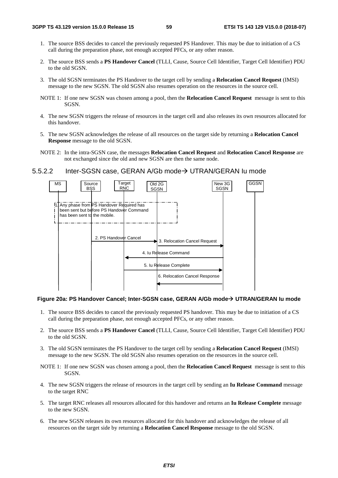- 1. The source BSS decides to cancel the previously requested PS Handover. This may be due to initiation of a CS call during the preparation phase, not enough accepted PFCs, or any other reason.
- 2. The source BSS sends a **PS Handover Cancel** (TLLI, Cause, Source Cell Identifier, Target Cell Identifier) PDU to the old SGSN.
- 3. The old SGSN terminates the PS Handover to the target cell by sending a **Relocation Cancel Request** (IMSI) message to the new SGSN. The old SGSN also resumes operation on the resources in the source cell.
- NOTE 1: If one new SGSN was chosen among a pool, then the **Relocation Cancel Request** message is sent to this **SGSN.**
- 4. The new SGSN triggers the release of resources in the target cell and also releases its own resources allocated for this handover.
- 5. The new SGSN acknowledges the release of all resources on the target side by returning a **Relocation Cancel Response** message to the old SGSN.
- NOTE 2: In the intra-SGSN case, the messages **Relocation Cancel Request** and **Relocation Cancel Response** are not exchanged since the old and new SGSN are then the same node.

# 5.5.2.2 Inter-SGSN case, GERAN A/Gb mode→ UTRAN/GERAN Iu mode



#### **Figure 20a: PS Handover Cancel; Inter-SGSN case, GERAN A/Gb mode UTRAN/GERAN Iu mode**

- 1. The source BSS decides to cancel the previously requested PS handover. This may be due to initiation of a CS call during the preparation phase, not enough accepted PFCs, or any other reason.
- 2. The source BSS sends a **PS Handover Cancel** (TLLI, Cause, Source Cell Identifier, Target Cell Identifier) PDU to the old SGSN.
- 3. The old SGSN terminates the PS Handover to the target cell by sending a **Relocation Cancel Request** (IMSI) message to the new SGSN. The old SGSN also resumes operation on the resources in the source cell.
- NOTE 1: If one new SGSN was chosen among a pool, then the **Relocation Cancel Request** message is sent to this SGSN.
- 4. The new SGSN triggers the release of resources in the target cell by sending an **Iu Release Command** message to the target RNC
- 5. The target RNC releases all resources allocated for this handover and returns an **Iu Release Complete** message to the new SGSN.
- 6. The new SGSN releases its own resources allocated for this handover and acknowledges the release of all resources on the target side by returning a **Relocation Cancel Response** message to the old SGSN.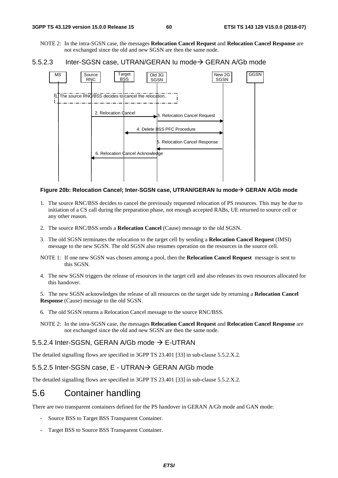NOTE 2: In the intra-SGSN case, the messages **Relocation Cancel Request** and **Relocation Cancel Response** are not exchanged since the old and new SGSN are then the same node.





#### **Figure 20b: Relocation Cancel; Inter-SGSN case, UTRAN/GERAN Iu mode GERAN A/Gb mode**

- 1. The source RNC/BSS decides to cancel the previously requested relocation of PS resources. This may be due to initiation of a CS call during the preparation phase, not enough accepted RABs, UE returned to source cell or any other reason.
- 2. The source RNC/BSS sends a **Relocation Cancel** (Cause) message to the old SGSN.
- 3. The old SGSN terminates the relocation to the target cell by sending a **Relocation Cancel Request** (IMSI) message to the new SGSN. The old SGSN also resumes operation on the resources in the source cell.
- NOTE 1: If one new SGSN was chosen among a pool, then the **Relocation Cancel Request** message is sent to this SGSN.
- 4. The new SGSN triggers the release of resources in the target cell and also releases its own resources allocated for this handover.
- 5. The new SGSN acknowledges the release of all resources on the target side by returning a **Relocation Cancel Response** (Cause) message to the old SGSN.
- 6. The old SGSN returns a Relocation Cancel message to the source RNC/BSS.
- NOTE 2: In the intra-SGSN case, the messages **Relocation Cancel Request** and **Relocation Cancel Response** are not exchanged since the old and new SGSN are then the same node.

#### 5.5.2.4 Inter-SGSN, GERAN A/Gb mode  $\rightarrow$  E-UTRAN

The detailed signalling flows are specified in 3GPP TS 23.401 [33] in sub-clause 5.5.2.X.2.

#### 5.5.2.5 Inter-SGSN case, E - UTRAN→ GERAN A/Gb mode

The detailed signalling flows are specified in 3GPP TS 23.401 [33] in sub-clause 5.5.2.X.2.

# 5.6 Container handling

There are two transparent containers defined for the PS handover in GERAN A/Gb mode and GAN mode:

- Source BSS to Target BSS Transparent Container.
- Target BSS to Source BSS Transparent Container.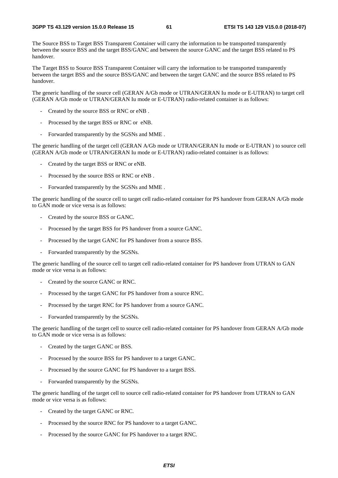The Source BSS to Target BSS Transparent Container will carry the information to be transported transparently between the source BSS and the target BSS/GANC and between the source GANC and the target BSS related to PS handover.

The Target BSS to Source BSS Transparent Container will carry the information to be transported transparently between the target BSS and the source BSS/GANC and between the target GANC and the source BSS related to PS handover.

The generic handling of the source cell (GERAN A/Gb mode or UTRAN/GERAN Iu mode or E-UTRAN) to target cell (GERAN A/Gb mode or UTRAN/GERAN Iu mode or E-UTRAN) radio-related container is as follows:

- Created by the source BSS or RNC or eNB .
- Processed by the target BSS or RNC or eNB.
- Forwarded transparently by the SGSNs and MME .

The generic handling of the target cell (GERAN A/Gb mode or UTRAN/GERAN Iu mode or E-UTRAN ) to source cell (GERAN A/Gb mode or UTRAN/GERAN Iu mode or E-UTRAN) radio-related container is as follows:

- Created by the target BSS or RNC or eNB.
- Processed by the source BSS or RNC or eNB.
- Forwarded transparently by the SGSNs and MME .

The generic handling of the source cell to target cell radio-related container for PS handover from GERAN A/Gb mode to GAN mode or vice versa is as follows:

- Created by the source BSS or GANC.
- Processed by the target BSS for PS handover from a source GANC.
- Processed by the target GANC for PS handover from a source BSS.
- Forwarded transparently by the SGSNs.

The generic handling of the source cell to target cell radio-related container for PS handover from UTRAN to GAN mode or vice versa is as follows:

- Created by the source GANC or RNC.
- Processed by the target GANC for PS handover from a source RNC.
- Processed by the target RNC for PS handover from a source GANC.
- Forwarded transparently by the SGSNs.

The generic handling of the target cell to source cell radio-related container for PS handover from GERAN A/Gb mode to GAN mode or vice versa is as follows:

- Created by the target GANC or BSS.
- Processed by the source BSS for PS handover to a target GANC.
- Processed by the source GANC for PS handover to a target BSS.
- Forwarded transparently by the SGSNs.

The generic handling of the target cell to source cell radio-related container for PS handover from UTRAN to GAN mode or vice versa is as follows:

- Created by the target GANC or RNC.
- Processed by the source RNC for PS handover to a target GANC.
- Processed by the source GANC for PS handover to a target RNC.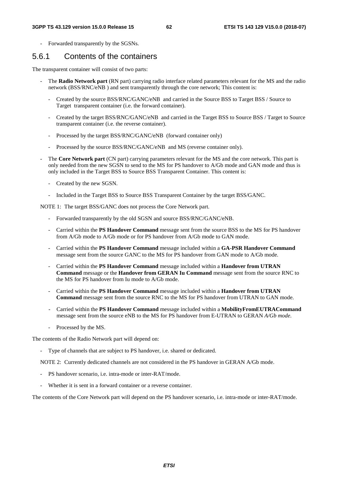Forwarded transparently by the SGSNs.

## 5.6.1 Contents of the containers

The transparent container will consist of two parts:

- The **Radio Network part** (RN part) carrying radio interface related parameters relevant for the MS and the radio network (BSS/RNC/eNB ) and sent transparently through the core network; This content is:
	- Created by the source BSS/RNC/GANC/eNB and carried in the Source BSS to Target BSS / Source to Target transparent container (i.e. the forward container).
	- Created by the target BSS/RNC/GANC/eNB and carried in the Target BSS to Source BSS / Target to Source transparent container (i.e. the reverse container).
	- Processed by the target BSS/RNC/GANC/eNB (forward container only)
	- Processed by the source BSS/RNC/GANC/eNB and MS (reverse container only).
- The **Core Network part** (CN part) carrying parameters relevant for the MS and the core network. This part is only needed from the new SGSN to send to the MS for PS handover to A/Gb mode and GAN mode and thus is only included in the Target BSS to Source BSS Transparent Container. This content is:
	- Created by the new SGSN.
	- Included in the Target BSS to Source BSS Transparent Container by the target BSS/GANC.

NOTE 1: The target BSS/GANC does not process the Core Network part.

- Forwarded transparently by the old SGSN and source BSS/RNC/GANC/eNB.
- Carried within the **PS Handover Command** message sent from the source BSS to the MS for PS handover from A/Gb mode to A/Gb mode or for PS handover from A/Gb mode to GAN mode.
- Carried within the **PS Handover Command** message included within a **GA-PSR Handover Command** message sent from the source GANC to the MS for PS handover from GAN mode to A/Gb mode.
- Carried within the **PS Handover Command** message included within a **Handover from UTRAN Command** message or the **Handover from GERAN Iu Command** message sent from the source RNC to the MS for PS handover from Iu mode to A/Gb mode.
- Carried within the **PS Handover Command** message included within a **Handover from UTRAN Command** message sent from the source RNC to the MS for PS handover from UTRAN to GAN mode.
- Carried within the **PS Handover Command** message included within a **MobilityFromEUTRACommand**  message sent from the source eNB to the MS for PS handover from E-UTRAN to GERAN *A/Gb mode*.
- Processed by the MS.

The contents of the Radio Network part will depend on:

Type of channels that are subject to PS handover, i.e. shared or dedicated.

NOTE 2: Currently dedicated channels are not considered in the PS handover in GERAN A/Gb mode.

- PS handover scenario, i.e. intra-mode or inter-RAT/mode.
- Whether it is sent in a forward container or a reverse container.

The contents of the Core Network part will depend on the PS handover scenario, i.e. intra-mode or inter-RAT/mode.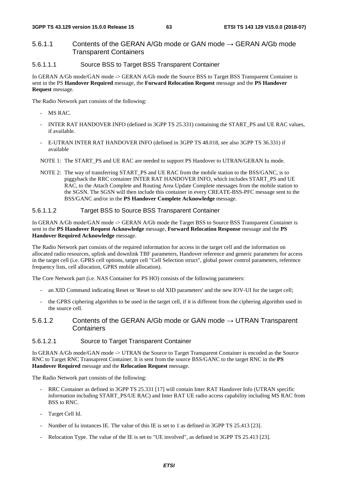## 5.6.1.1 Contents of the GERAN A/Gb mode or GAN mode  $\rightarrow$  GERAN A/Gb mode Transparent Containers

#### 5.6.1.1.1 Source BSS to Target BSS Transparent Container

In GERAN A/Gb mode/GAN mode -> GERAN A/Gb mode the Source BSS to Target BSS Transparent Container is sent in the PS **Handover Required** message, the **Forward Relocation Request** message and the **PS Handover Request** message.

The Radio Network part consists of the following:

- MS RAC.
- INTER RAT HANDOVER INFO (defined in 3GPP TS 25.331) containing the START\_PS and UE RAC values, if available.
- E-UTRAN INTER RAT HANDOVER INFO (defined in 3GPP TS 48.018, see also 3GPP TS 36.331) if available
- NOTE 1: The START PS and UE RAC are needed to support PS Handover to UTRAN/GERAN Iu mode.
- NOTE 2: The way of transferring START\_PS and UE RAC from the mobile station to the BSS/GANC, is to piggyback the RRC container INTER RAT HANDOVER INFO, which includes START\_PS and UE RAC, to the Attach Complete and Routing Area Update Complete messages from the mobile station to the SGSN. The SGSN will then include this container in every CREATE-BSS-PFC message sent to the BSS/GANC and/or in the **PS Handover Complete Acknowledge** message.

#### 5.6.1.1.2 Target BSS to Source BSS Transparent Container

In GERAN A/Gb mode/GAN mode -> GERAN A/Gb mode the Target BSS to Source BSS Transparent Container is sent in the **PS Handover Request Acknowledge** message, **Forward Relocation Response** message and the **PS Handover Required Acknowledge** message.

The Radio Network part consists of the required information for access in the target cell and the information on allocated radio resources, uplink and downlink TBF parameters, Handover reference and generic parameters for access in the target cell (i.e. GPRS cell options, target cell "Cell Selection struct", global power control parameters, reference frequency lists, cell allocation, GPRS mobile allocation).

The Core Network part (i.e. NAS Container for PS HO) consists of the following parameters:

- an XID Command indicating Reset or 'Reset to old XID parameters' and the new IOV-UI for the target cell;
- the GPRS ciphering algorithm to be used in the target cell, if it is different from the ciphering algorithm used in the source cell.

#### 5.6.1.2 Contents of the GERAN A/Gb mode or GAN mode  $\rightarrow$  UTRAN Transparent **Containers**

#### 5.6.1.2.1 Source to Target Transparent Container

In GERAN A/Gb mode/GAN mode -> UTRAN the Source to Target Transparent Container is encoded as the Source RNC to Target RNC Transaprent Container. It is sent from the source BSS/GANC to the target RNC in the **PS Handover Required** message and the **Relocation Request** message.

The Radio Network part consists of the following:

- RRC Container as defined in 3GPP TS 25.331 [17] will contain Inter RAT Handover Info (UTRAN specific information including START\_PS/UE RAC) and Inter RAT UE radio access capability including MS RAC from BSS to RNC.
- Target Cell Id.
- Number of Iu instances IE. The value of this IE is set to 1 as defined in 3GPP TS 25.413 [23].
- Relocation Type. The value of the IE is set to "UE involved", as defined in 3GPP TS 25.413 [23].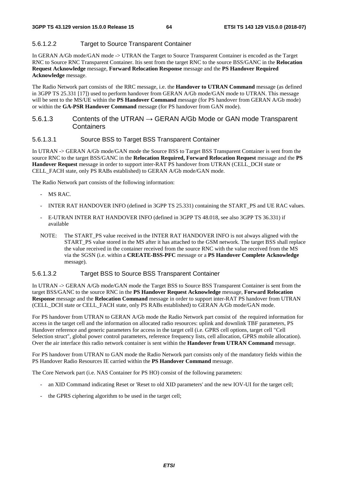#### 5.6.1.2.2 Target to Source Transparent Container

In GERAN A/Gb mode/GAN mode -> UTRAN the Target to Source Transparent Container is encoded as the Target RNC to Source RNC Transparent Container. Itis sent from the target RNC to the source BSS/GANC in the **Relocation Request Acknowledge** message, **Forward Relocation Response** message and the **PS Handover Required Acknowledge** message.

The Radio Network part consists of the RRC message, i.e. the **Handover to UTRAN Command** message (as defined in 3GPP TS 25.331 [17]) used to perform handover from GERAN A/Gb mode/GAN mode to UTRAN. This message will be sent to the MS/UE within the **PS Handover Command** message (for PS handover from GERAN A/Gb mode) or within the **GA-PSR Handover Command** message (for PS handover from GAN mode).

#### 5.6.1.3 Contents of the UTRAN  $\rightarrow$  GERAN A/Gb Mode or GAN mode Transparent **Containers**

#### 5.6.1.3.1 Source BSS to Target BSS Transparent Container

In UTRAN -> GERAN A/Gb mode/GAN mode the Source BSS to Target BSS Transparent Container is sent from the source RNC to the target BSS/GANC in the **Relocation Required, Forward Relocation Request** message and the **PS Handover Request** message in order to support inter-RAT PS handover from UTRAN (CELL\_DCH state or CELL\_FACH state, only PS RABs established) to GERAN A/Gb mode/GAN mode.

The Radio Network part consists of the following information:

- MS RAC.
- INTER RAT HANDOVER INFO (defined in 3GPP TS 25.331) containing the START\_PS and UE RAC values.
- E-UTRAN INTER RAT HANDOVER INFO (defined in 3GPP TS 48.018, see also 3GPP TS 36.331) if available
- NOTE: The START PS value received in the INTER RAT HANDOVER INFO is not always aligned with the START\_PS value stored in the MS after it has attached to the GSM network. The target BSS shall replace the value received in the container received from the source RNC with the value received from the MS via the SGSN (i.e. within a **CREATE-BSS-PFC** message or a **PS Handover Complete Acknowledge** message).

#### 5.6.1.3.2 Target BSS to Source BSS Transparent Container

In UTRAN -> GERAN A/Gb mode/GAN mode the Target BSS to Source BSS Transparent Container is sent from the target BSS/GANC to the source RNC in the **PS Handover Request Acknowledge** message, **Forward Relocation Response** message and the **Relocation Command** message in order to support inter-RAT PS handover from UTRAN (CELL\_DCH state or CELL\_FACH state, only PS RABs established) to GERAN A/Gb mode/GAN mode.

For PS handover from UTRAN to GERAN A/Gb mode the Radio Network part consist of the required information for access in the target cell and the information on allocated radio resources: uplink and downlink TBF parameters, PS Handover reference and generic parameters for access in the target cell (i.e. GPRS cell options, target cell "Cell Selection struct", global power control parameters, reference frequency lists, cell allocation, GPRS mobile allocation). Over the air interface this radio network container is sent within the **Handover from UTRAN Command** message.

For PS handover from UTRAN to GAN mode the Radio Network part consists only of the mandatory fields within the PS Handover Radio Resources IE carried within the **PS Handover Command** message.

The Core Network part (i.e. NAS Container for PS HO) consist of the following parameters:

- an XID Command indicating Reset or 'Reset to old XID parameters' and the new IOV-UI for the target cell;
- the GPRS ciphering algorithm to be used in the target cell;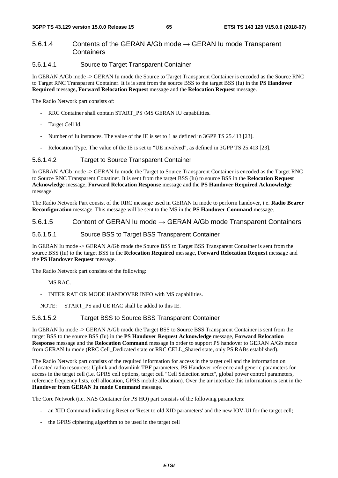#### 5.6.1.4 Contents of the GERAN A/Gb mode  $\rightarrow$  GERAN Iu mode Transparent **Containers**

#### 5.6.1.4.1 Source to Target Transparent Container

In GERAN A/Gb mode -> GERAN Iu mode the Source to Target Transparent Container is encoded as the Source RNC to Target RNC Transparent Container. It is is sent from the source BSS to the target BSS (Iu) in the **PS Handover Required** message**, Forward Relocation Request** message and the **Relocation Request** message.

The Radio Network part consists of:

- RRC Container shall contain START\_PS /MS GERAN IU capabilities.
- Target Cell Id.
- Number of Iu instances. The value of the IE is set to 1 as defined in 3GPP TS 25.413 [23].
- Relocation Type. The value of the IE is set to "UE involved", as defined in 3GPP TS 25.413 [23].

#### 5.6.1.4.2 Target to Source Transparent Container

In GERAN A/Gb mode -> GERAN Iu mode the Target to Source Transparent Container is encoded as the Target RNC to Source RNC Transparent Conatiner. It is sent from the target BSS (Iu) to source BSS in the **Relocation Request Acknowledge** message, **Forward Relocation Response** message and the **PS Handover Required Acknowledge** message.

The Radio Network Part consist of the RRC message used in GERAN Iu mode to perform handover, i.e. **Radio Bearer Reconfiguration** message. This message will be sent to the MS in the **PS Handover Command** message.

#### 5.6.1.5 Content of GERAN Iu mode  $\rightarrow$  GERAN A/Gb mode Transparent Containers

#### 5.6.1.5.1 Source BSS to Target BSS Transparent Container

In GERAN Iu mode -> GERAN A/Gb mode the Source BSS to Target BSS Transparent Container is sent from the source BSS (Iu) to the target BSS in the **Relocation Required** message, **Forward Relocation Request** message and the **PS Handover Request** message.

The Radio Network part consists of the following:

- MS RAC.
- INTER RAT OR MODE HANDOVER INFO with MS capabilities.

NOTE: START PS and UE RAC shall be added to this IE.

#### 5.6.1.5.2 Target BSS to Source BSS Transparent Container

In GERAN Iu mode -> GERAN A/Gb mode the Target BSS to Source BSS Transparent Container is sent from the target BSS to the source BSS (Iu) in the **PS Handover Request Acknowledge** message, **Forward Relocation Response** message and the **Relocation Command** message in order to support PS handover to GERAN A/Gb mode from GERAN Iu mode (RRC Cell\_Dedicated state or RRC CELL\_Shared state, only PS RABs established).

The Radio Network part consists of the required information for access in the target cell and the information on allocated radio resources: Uplink and downlink TBF parameters, PS Handover reference and generic parameters for access in the target cell (i.e. GPRS cell options, target cell "Cell Selection struct", global power control parameters, reference frequency lists, cell allocation, GPRS mobile allocation). Over the air interface this information is sent in the **Handover from GERAN Iu mode Command** message.

The Core Network (i.e. NAS Container for PS HO) part consists of the following parameters:

- an XID Command indicating Reset or 'Reset to old XID parameters' and the new IOV-UI for the target cell;
- the GPRS ciphering algorithm to be used in the target cell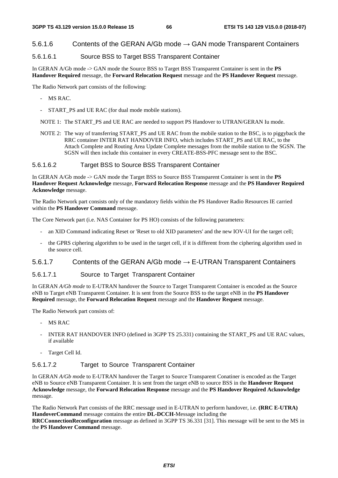#### 5.6.1.6 Contents of the GERAN A/Gb mode  $\rightarrow$  GAN mode Transparent Containers

#### 5.6.1.6.1 Source BSS to Target BSS Transparent Container

In GERAN A/Gb mode -> GAN mode the Source BSS to Target BSS Transparent Container is sent in the **PS Handover Required** message, the **Forward Relocation Request** message and the **PS Handover Request** message.

The Radio Network part consists of the following:

- MS RAC.
- START PS and UE RAC (for dual mode mobile stations).
- NOTE 1: The START PS and UE RAC are needed to support PS Handover to UTRAN/GERAN Iu mode.
- NOTE 2: The way of transferring START\_PS and UE RAC from the mobile station to the BSC, is to piggyback the RRC container INTER RAT HANDOVER INFO, which includes START\_PS and UE RAC, to the Attach Complete and Routing Area Update Complete messages from the mobile station to the SGSN. The SGSN will then include this container in every CREATE-BSS-PFC message sent to the BSC.

#### 5.6.1.6.2 Target BSS to Source BSS Transparent Container

In GERAN A/Gb mode -> GAN mode the Target BSS to Source BSS Transparent Container is sent in the **PS Handover Request Acknowledge** message, **Forward Relocation Response** message and the **PS Handover Required Acknowledge** message.

The Radio Network part consists only of the mandatory fields within the PS Handover Radio Resources IE carried within the **PS Handover Command** message.

The Core Network part (i.e. NAS Container for PS HO) consists of the following parameters:

- an XID Command indicating Reset or 'Reset to old XID parameters' and the new IOV-UI for the target cell;
- the GPRS ciphering algorithm to be used in the target cell, if it is different from the ciphering algorithm used in the source cell.

#### 5.6.1.7 Contents of the GERAN A/Gb mode  $\rightarrow$  E-UTRAN Transparent Containers

#### 5.6.1.7.1 Source to Target Transparent Container

In GERAN *A/Gb mode* to E-UTRAN handover the Source to Target Transparent Container is encoded as the Source eNB to Target eNB Transparent Container. It is sent from the Source BSS to the target eNB in the **PS Handover Required** message, the **Forward Relocation Request** message and the **Handover Request** message.

The Radio Network part consists of:

- MS RAC
- INTER RAT HANDOVER INFO (defined in 3GPP TS 25.331) containing the START PS and UE RAC values, if available
- Target Cell Id.

#### 5.6.1.7.2 Target to Source Transparent Container

In GERAN *A/Gb mo*de to E-UTRAN handover the Target to Source Transparent Conatiner is encoded as the Target eNB to Source eNB Transparent Container. It is sent from the target eNB to source BSS in the **Handover Request Acknowledge** message, the **Forward Relocation Response** message and the **PS Handover Required Acknowledge** message.

The Radio Network Part consists of the RRC message used in E-UTRAN to perform handover, i.e. **(RRC E-UTRA) HandoverCommand** message contains the entire **DL-DCCH**-Message including the

**RRCConnectionReconfiguration** message as defined in 3GPP TS 36.331 [31]. This message will be sent to the MS in the **PS Handover Command** message.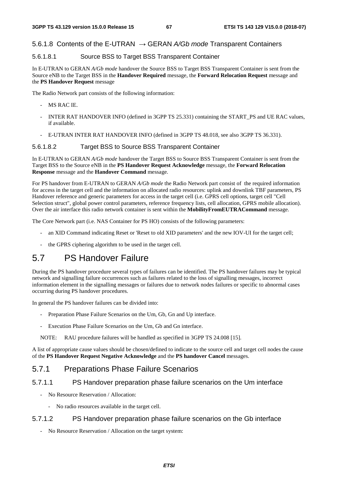#### 5.6.1.8 Contents of the E-UTRAN → GERAN *A/Gb mode* Transparent Containers

#### 5.6.1.8.1 Source BSS to Target BSS Transparent Container

In E-UTRAN to GERAN *A/Gb mode* handover the Source BSS to Target BSS Transparent Container is sent from the Source eNB to the Target BSS in the **Handover Required** message, the **Forward Relocation Request** message and the **PS Handover Request** message

The Radio Network part consists of the following information:

- MS RAC IE.
- INTER RAT HANDOVER INFO (defined in 3GPP TS 25.331) containing the START\_PS and UE RAC values, if available.
- E-UTRAN INTER RAT HANDOVER INFO (defined in 3GPP TS 48.018, see also 3GPP TS 36.331).

#### 5.6.1.8.2 Target BSS to Source BSS Transparent Container

In E-UTRAN to GERAN *A/Gb mode* handover the Target BSS to Source BSS Transparent Container is sent from the Target BSS to the Source eNB in the **PS Handover Request Acknowledge** message, the **Forward Relocation Response** message and the **Handover Command** message.

For PS handover from E-UTRAN to GERAN *A/Gb mode* the Radio Network part consist of the required information for access in the target cell and the information on allocated radio resources: uplink and downlink TBF parameters, PS Handover reference and generic parameters for access in the target cell (i.e. GPRS cell options, target cell "Cell Selection struct", global power control parameters, reference frequency lists, cell allocation, GPRS mobile allocation). Over the air interface this radio network container is sent within the **MobilityFromEUTRACommand** message.

The Core Network part (i.e. NAS Container for PS HO) consists of the following parameters:

- an XID Command indicating Reset or 'Reset to old XID parameters' and the new IOV-UI for the target cell;
- the GPRS ciphering algorithm to be used in the target cell.

# 5.7 PS Handover Failure

During the PS handover procedure several types of failures can be identified. The PS handover failures may be typical network and signalling failure occurrences such as failures related to the loss of signalling messages, incorrect information element in the signalling messages or failures due to network nodes failures or specific to abnormal cases occurring during PS handover procedures.

In general the PS handover failures can be divided into:

- Preparation Phase Failure Scenarios on the Um, Gb, Gn and Up interface.
- Execution Phase Failure Scenarios on the Um, Gb and Gn interface.
- NOTE: RAU procedure failures will be handled as specified in 3GPP TS 24.008 [15].

A list of appropriate cause values should be chosen/defined to indicate to the source cell and target cell nodes the cause of the **PS Handover Request Negative Acknowledge** and the **PS handover Cancel** messages.

#### 5.7.1 Preparations Phase Failure Scenarios

#### 5.7.1.1 PS Handover preparation phase failure scenarios on the Um interface

- No Resource Reservation / Allocation:
	- No radio resources available in the target cell.

#### 5.7.1.2 PS Handover preparation phase failure scenarios on the Gb interface

- No Resource Reservation / Allocation on the target system: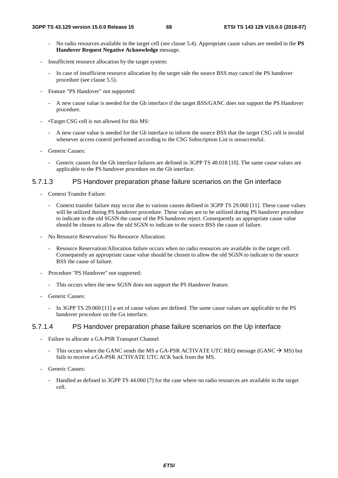- No radio resources available in the target cell (see clause 5.4). Appropriate cause values are needed in the **PS Handover Request Negative Acknowledge** message.
- Insufficient resource allocation by the target system:
	- In case of insufficient resource allocation by the target side the source BSS may cancel the PS handover procedure (see clause 5.5).
- Feature "PS Handover" not supported:
	- A new cause value is needed for the Gb interface if the target BSS/GANC does not support the PS Handover procedure.
- •Target CSG cell is not allowed for this MS:
	- A new cause value is needed for the Gb interface to inform the source BSS that the target CSG cell is invalid whenever access control performed according to the CSG Subscription List is unsuccessful.
- Generic Causes:
	- Generic causes for the Gb interface failures are defined in 3GPP TS 48.018 [10]. The same cause values are applicable to the PS handover procedure on the Gb interface.

#### 5.7.1.3 PS Handover preparation phase failure scenarios on the Gn interface

- Context Transfer Failure:
	- Context transfer failure may occur due to various causes defined in 3GPP TS 29.060 [11]. These cause values will be utilized during PS handover procedure. These values are to be utilized during PS handover procedure to indicate to the old SGSN the cause of the PS handover reject. Consequently an appropriate cause value should be chosen to allow the old SGSN to indicate to the source BSS the cause of failure.
- No Resource Reservation/ No Resource Allocation:
	- Resource Reservation/Allocation failure occurs when no radio resources are available in the target cell. Consequently an appropriate cause value should be chosen to allow the old SGSN to indicate to the source BSS the cause of failure.
- Procedure "PS Handover" not supported:
	- This occurs when the new SGSN does not support the PS Handover feature.
- Generic Causes:
	- In 3GPP TS 29.060 [11] a set of cause values are defined. The same cause values are applicable to the PS handover procedure on the Gn interface.

#### 5.7.1.4 PS Handover preparation phase failure scenarios on the Up interface

- Failure to allocate a GA-PSR Transport Channel
	- This occurs when the GANC sends the MS a GA-PSR ACTIVATE UTC REO message (GANC  $\rightarrow$  MS) but fails to receive a GA-PSR ACTIVATE UTC ACK back from the MS.
- Generic Causes:
	- Handled as defined in 3GPP TS 44.060 [7] for the case where no radio resources are available in the target cell.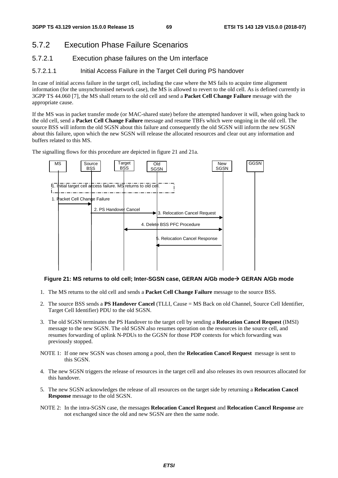## 5.7.2 Execution Phase Failure Scenarios

- 5.7.2.1 Execution phase failures on the Um interface
- 5.7.2.1.1 Initial Access Failure in the Target Cell during PS handover

In case of initial access failure in the target cell, including the case where the MS fails to acquire time alignment information (for the unsynchronised network case), the MS is allowed to revert to the old cell. As is defined currently in 3GPP TS 44.060 [7], the MS shall return to the old cell and send a **Packet Cell Change Failure** message with the appropriate cause.

If the MS was in packet transfer mode (or MAC-shared state) before the attempted handover it will, when going back to the old cell, send a **Packet Cell Change Failure** message and resume TBFs which were ongoing in the old cell. The source BSS will inform the old SGSN about this failure and consequently the old SGSN will inform the new SGSN about this failure, upon which the new SGSN will release the allocated resources and clear out any information and buffers related to this MS.

The signalling flows for this procedure are depicted in figure 21 and 21a.



#### **Figure 21: MS returns to old cell; Inter-SGSN case, GERAN A/Gb mode GERAN A/Gb mode**

- 1. The MS returns to the old cell and sends a **Packet Cell Change Failure** message to the source BSS.
- 2. The source BSS sends a **PS Handover Cancel** (TLLI, Cause = MS Back on old Channel, Source Cell Identifier, Target Cell Identifier) PDU to the old SGSN.
- 3. The old SGSN terminates the PS Handover to the target cell by sending a **Relocation Cancel Request** (IMSI) message to the new SGSN. The old SGSN also resumes operation on the resources in the source cell, and resumes forwarding of uplink N-PDUs to the GGSN for those PDP contexts for which forwarding was previously stopped.
- NOTE 1: If one new SGSN was chosen among a pool, then the **Relocation Cancel Request** message is sent to this SGSN.
- 4. The new SGSN triggers the release of resources in the target cell and also releases its own resources allocated for this handover.
- 5. The new SGSN acknowledges the release of all resources on the target side by returning a **Relocation Cancel Response** message to the old SGSN.
- NOTE 2: In the intra-SGSN case, the messages **Relocation Cancel Request** and **Relocation Cancel Response** are not exchanged since the old and new SGSN are then the same node.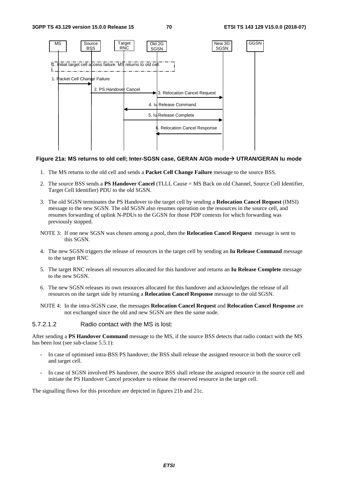

#### Figure 21a: MS returns to old cell; Inter-SGSN case, GERAN A/Gb mode→ UTRAN/GERAN Iu mode

- 1. The MS returns to the old cell and sends a **Packet Cell Change Failure** message to the source BSS.
- 2. The source BSS sends a **PS Handover Cancel** (TLLI, Cause = MS Back on old Channel, Source Cell Identifier, Target Cell Identifier) PDU to the old SGSN.
- 3. The old SGSN terminates the PS Handover to the target cell by sending a **Relocation Cancel Request** (IMSI) message to the new SGSN. The old SGSN also resumes operation on the resources in the source cell, and resumes forwarding of uplink N-PDUs to the GGSN for those PDP contexts for which forwarding was previously stopped.
- NOTE 3: If one new SGSN was chosen among a pool, then the **Relocation Cancel Request** message is sent to this SGSN.
- 4. The new SGSN triggers the release of resources in the target cell by sending an **Iu Release Command** message to the target RNC
- 5. The target RNC releases all resources allocated for this handover and returns an **Iu Release Complete** message to the new SGSN.
- 6. The new SGSN releases its own resources allocated for this handover and acknowledges the release of all resources on the target side by returning a **Relocation Cancel Response** message to the old SGSN.
- NOTE 4: In the intra-SGSN case, the messages **Relocation Cancel Request** and **Relocation Cancel Response** are not exchanged since the old and new SGSN are then the same node.

#### 5.7.2.1.2 Radio contact with the MS is lost:

After sending a **PS Handover Command** message to the MS, if the source BSS detects that radio contact with the MS has been lost (see sub-clause 5.5.1):

- In case of optimised intra-BSS PS handover, the BSS shall release the assigned resource in both the source cell and target cell.
- In case of SGSN involved PS handover, the source BSS shall release the assigned resource in the source cell and initiate the PS Handover Cancel procedure to release the reserved resource in the target cell.

The signalling flows for this procedure are depicted in figures 21b and 21c.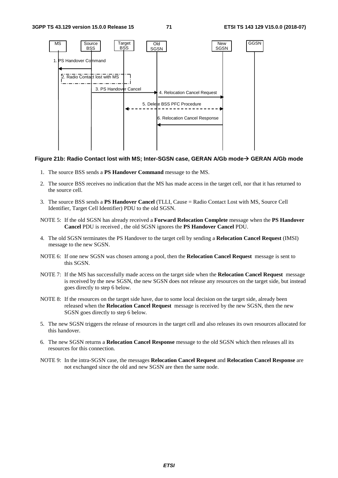

#### Figure 21b: Radio Contact lost with MS; Inter-SGSN case, GERAN A/Gb mode→ GERAN A/Gb mode

- 1. The source BSS sends a **PS Handover Command** message to the MS.
- 2. The source BSS receives no indication that the MS has made access in the target cell, nor that it has returned to the source cell.
- 3. The source BSS sends a **PS Handover Cancel** (TLLI, Cause = Radio Contact Lost with MS, Source Cell Identifier, Target Cell Identifier) PDU to the old SGSN.
- NOTE 5: If the old SGSN has already received a **Forward Relocation Complete** message when the **PS Handover Cancel** PDU is received , the old SGSN ignores the **PS Handover Cancel** PDU.
- 4. The old SGSN terminates the PS Handover to the target cell by sending a **Relocation Cancel Request** (IMSI) message to the new SGSN.
- NOTE 6: If one new SGSN was chosen among a pool, then the **Relocation Cancel Request** message is sent to this SGSN.
- NOTE 7: If the MS has successfully made access on the target side when the **Relocation Cancel Request** message is received by the new SGSN, the new SGSN does not release any resources on the target side, but instead goes directly to step 6 below.
- NOTE 8: If the resources on the target side have, due to some local decision on the target side, already been released when the **Relocation Cancel Request** message is received by the new SGSN, then the new SGSN goes directly to step 6 below.
- 5. The new SGSN triggers the release of resources in the target cell and also releases its own resources allocated for this handover.
- 6. The new SGSN returns a **Relocation Cancel Response** message to the old SGSN which then releases all its resources for this connection.
- NOTE 9: In the intra-SGSN case, the messages **Relocation Cancel Request** and **Relocation Cancel Response** are not exchanged since the old and new SGSN are then the same node.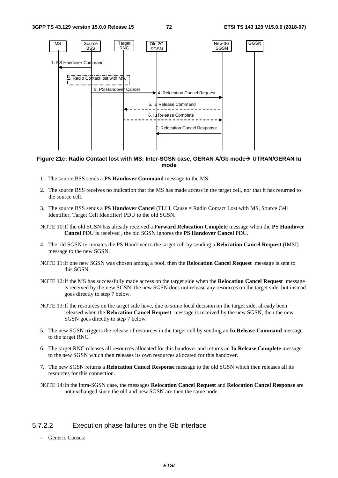

#### **Figure 21c: Radio Contact lost with MS; Inter-SGSN case, GERAN A/Gb mode UTRAN/GERAN Iu mode**

- 1. The source BSS sends a **PS Handover Command** message to the MS.
- 2. The source BSS receives no indication that the MS has made access in the target cell, nor that it has returned to the source cell.
- 3. The source BSS sends a **PS Handover Cancel** (TLLI, Cause = Radio Contact Lost with MS, Source Cell Identifier, Target Cell Identifier) PDU to the old SGSN.
- NOTE 10: If the old SGSN has already received a **Forward Relocation Complete** message when the **PS Handover Cancel** PDU is received , the old SGSN ignores the **PS Handover Cancel** PDU.
- 4. The old SGSN terminates the PS Handover to the target cell by sending a **Relocation Cancel Request** (IMSI) message to the new SGSN.
- NOTE 11: If one new SGSN was chosen among a pool, then the **Relocation Cancel Request** message is sent to this SGSN.
- NOTE 12: If the MS has successfully made access on the target side when the **Relocation Cancel Request** message is received by the new SGSN, the new SGSN does not release any resources on the target side, but instead goes directly to step 7 below.
- NOTE 13: If the resources on the target side have, due to some local decision on the target side, already been released when the **Relocation Cancel Request** message is received by the new SGSN, then the new SGSN goes directly to step 7 below.
- 5. The new SGSN triggers the release of resources in the target cell by sending an **Iu Release Command** message to the target RNC.
- 6. The target RNC releases all resources allocated for this handover and returns an **Iu Release Complete** message to the new SGSN which then releases its own resources allocated for this handover.
- 7. The new SGSN returns a **Relocation Cancel Response** message to the old SGSN which then releases all its resources for this connection.
- NOTE 14: In the intra-SGSN case, the messages **Relocation Cancel Request** and **Relocation Cancel Response** are not exchanged since the old and new SGSN are then the same node.

#### 5.7.2.2 Execution phase failures on the Gb interface

Generic Causes: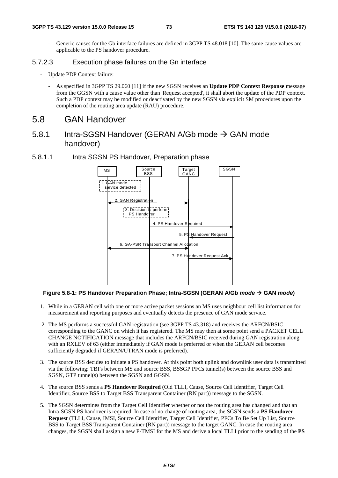Generic causes for the Gb interface failures are defined in 3GPP TS 48.018 [10]. The same cause values are applicable to the PS handover procedure.

#### 5.7.2.3 Execution phase failures on the Gn interface

- Update PDP Context failure:
	- As specified in 3GPP TS 29.060 [11] if the new SGSN receives an **Update PDP Context Response** message from the GGSN with a cause value other than 'Request accepted', it shall abort the update of the PDP context. Such a PDP context may be modified or deactivated by the new SGSN via explicit SM procedures upon the completion of the routing area update (RAU) procedure.

## 5.8 GAN Handover

- 5.8.1 Intra-SGSN Handover (GERAN A/Gb mode  $\rightarrow$  GAN mode handover)
- 5.8.1.1 Intra SGSN PS Handover, Preparation phase



#### **Figure 5.8-1: PS Handover Preparation Phase; Intra-SGSN (GERAN A/Gb** *mode*  **GAN** *mode***)**

- 1. While in a GERAN cell with one or more active packet sessions an MS uses neighbour cell list information for measurement and reporting purposes and eventually detects the presence of GAN mode service.
- 2. The MS performs a successful GAN registration (see 3GPP TS 43.318) and receives the ARFCN/BSIC corresponding to the GANC on which it has registered. The MS may then at some point send a PACKET CELL CHANGE NOTIFICATION message that includes the ARFCN/BSIC received during GAN registration along with an RXLEV of 63 (either immediately if GAN mode is preferred or when the GERAN cell becomes sufficiently degraded if GERAN/UTRAN mode is preferred).
- 3. The source BSS decides to initiate a PS handover. At this point both uplink and downlink user data is transmitted via the following: TBFs between MS and source BSS, BSSGP PFCs tunnel(s) between the source BSS and SGSN, GTP tunnel(s) between the SGSN and GGSN.
- 4. The source BSS sends a **PS Handover Required** (Old TLLI, Cause, Source Cell Identifier, Target Cell Identifier, Source BSS to Target BSS Transparent Container (RN part)) message to the SGSN.
- 5. The SGSN determines from the Target Cell Identifier whether or not the routing area has changed and that an Intra-SGSN PS handover is required. In case of no change of routing area, the SGSN sends a **PS Handover Request** (TLLI, Cause, IMSI, Source Cell Identifier, Target Cell Identifier, PFCs To Be Set Up List, Source BSS to Target BSS Transparent Container (RN part)) message to the target GANC. In case the routing area changes, the SGSN shall assign a new P-TMSI for the MS and derive a local TLLI prior to the sending of the **PS**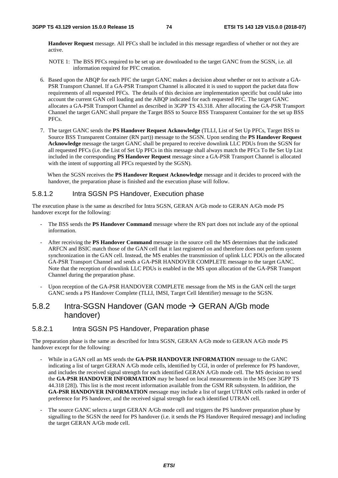**Handover Request** message. All PFCs shall be included in this message regardless of whether or not they are active.

NOTE 1: The BSS PFCs required to be set up are downloaded to the target GANC from the SGSN, i.e. all information required for PFC creation.

- 6. Based upon the ABQP for each PFC the target GANC makes a decision about whether or not to activate a GA-PSR Transport Channel. If a GA-PSR Transport Channel is allocated it is used to support the packet data flow requirements of all requested PFCs. The details of this decision are implementation specific but could take into account the current GAN cell loading and the ABQP indicated for each requested PFC. The target GANC allocates a GA-PSR Transport Channel as described in 3GPP TS 43.318. After allocating the GA-PSR Transport Channel the target GANC shall prepare the Target BSS to Source BSS Transparent Container for the set up BSS PFCs.
- 7. The target GANC sends the **PS Handover Request Acknowledge** (TLLI, List of Set Up PFCs, Target BSS to Source BSS Transparent Container (RN part)) message to the SGSN. Upon sending the **PS Handover Request Acknowledge** message the target GANC shall be prepared to receive downlink LLC PDUs from the SGSN for all requested PFCs (i.e. the List of Set Up PFCs in this message shall always match the PFCs To Be Set Up List included in the corresponding **PS Handover Request** message since a GA-PSR Transport Channel is allocated with the intent of supporting all PFCs requested by the SGSN).

When the SGSN receives the **PS Handover Request Acknowledge** message and it decides to proceed with the handover, the preparation phase is finished and the execution phase will follow.

#### 5.8.1.2 Intra SGSN PS Handover, Execution phase

The execution phase is the same as described for Intra SGSN, GERAN A/Gb mode to GERAN A/Gb mode PS handover except for the following:

- The BSS sends the PS Handover Command message where the RN part does not include any of the optional information.
- After receiving the **PS Handover Command** message in the source cell the MS determines that the indicated ARFCN and BSIC match those of the GAN cell that it last registered on and therefore does not perform system synchronization in the GAN cell. Instead, the MS enables the transmission of uplink LLC PDUs on the allocated GA-PSR Transport Channel and sends a GA-PSR HANDOVER COMPLETE message to the target GANC. Note that the reception of downlink LLC PDUs is enabled in the MS upon allocation of the GA-PSR Transport Channel during the preparation phase.
- Upon reception of the GA-PSR HANDOVER COMPLETE message from the MS in the GAN cell the target GANC sends a PS Handover Complete (TLLI, IMSI, Target Cell Identifier) message to the SGSN.

### 5.8.2 Intra-SGSN Handover (GAN mode  $\rightarrow$  GERAN A/Gb mode handover)

#### 5.8.2.1 Intra SGSN PS Handover, Preparation phase

The preparation phase is the same as described for Intra SGSN, GERAN A/Gb mode to GERAN A/Gb mode PS handover except for the following:

- While in a GAN cell an MS sends the GA-PSR HANDOVER INFORMATION message to the GANC indicating a list of target GERAN A/Gb mode cells, identified by CGI, in order of preference for PS handover, and includes the received signal strength for each identified GERAN A/Gb mode cell. The MS decision to send the **GA-PSR HANDOVER INFORMATION** may be based on local measurements in the MS (see 3GPP TS 44.318 [28]). This list is the most recent information available from the GSM RR subsystem. In addition, the **GA-PSR HANDOVER INFORMATION** message may include a list of target UTRAN cells ranked in order of preference for PS handover, and the received signal strength for each identified UTRAN cell.
- The source GANC selects a target GERAN A/Gb mode cell and triggers the PS handover preparation phase by signalling to the SGSN the need for PS handover (i.e. it sends the PS Handover Required message) and including the target GERAN A/Gb mode cell.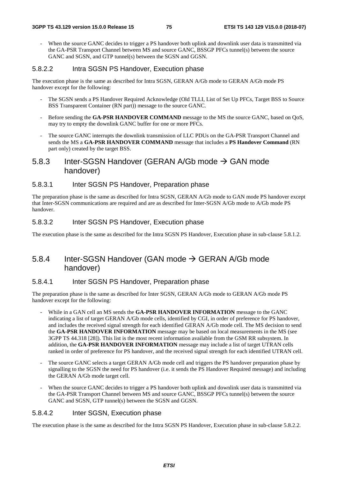When the source GANC decides to trigger a PS handover both uplink and downlink user data is transmitted via the GA-PSR Transport Channel between MS and source GANC, BSSGP PFCs tunnel(s) between the source GANC and SGSN, and GTP tunnel(s) between the SGSN and GGSN.

#### 5.8.2.2 Intra SGSN PS Handover, Execution phase

The execution phase is the same as described for Intra SGSN, GERAN A/Gb mode to GERAN A/Gb mode PS handover except for the following:

- The SGSN sends a PS Handover Required Acknowledge (Old TLLI, List of Set Up PFCs, Target BSS to Source BSS Transparent Container (RN part)) message to the source GANC.
- Before sending the **GA-PSR HANDOVER COMMAND** message to the MS the source GANC, based on QoS, may try to empty the downlink GANC buffer for one or more PFCs.
- The source GANC interrupts the downlink transmission of LLC PDUs on the GA-PSR Transport Channel and sends the MS a **GA-PSR HANDOVER COMMAND** message that includes a **PS Handover Command** (RN part only) created by the target BSS.

### 5.8.3 Inter-SGSN Handover (GERAN A/Gb mode  $\rightarrow$  GAN mode handover)

#### 5.8.3.1 Inter SGSN PS Handover, Preparation phase

The preparation phase is the same as described for Intra SGSN, GERAN A/Gb mode to GAN mode PS handover except that Inter-SGSN communications are required and are as described for Inter-SGSN A/Gb mode to A/Gb mode PS handover.

#### 5.8.3.2 Inter SGSN PS Handover, Execution phase

The execution phase is the same as described for the Intra SGSN PS Handover, Execution phase in sub-clause 5.8.1.2.

## 5.8.4 Inter-SGSN Handover (GAN mode  $\rightarrow$  GERAN A/Gb mode handover)

#### 5.8.4.1 Inter SGSN PS Handover, Preparation phase

The preparation phase is the same as described for Inter SGSN, GERAN A/Gb mode to GERAN A/Gb mode PS handover except for the following:

- While in a GAN cell an MS sends the GA-PSR HANDOVER INFORMATION message to the GANC indicating a list of target GERAN A/Gb mode cells, identified by CGI, in order of preference for PS handover, and includes the received signal strength for each identified GERAN A/Gb mode cell. The MS decision to send the **GA-PSR HANDOVER INFORMATION** message may be based on local measurements in the MS (see 3GPP TS 44.318 [28]). This list is the most recent information available from the GSM RR subsystem. In addition, the **GA-PSR HANDOVER INFORMATION** message may include a list of target UTRAN cells ranked in order of preference for PS handover, and the received signal strength for each identified UTRAN cell.
- The source GANC selects a target GERAN A/Gb mode cell and triggers the PS handover preparation phase by signalling to the SGSN the need for PS handover (i.e. it sends the PS Handover Required message) and including the GERAN A/Gb mode target cell.
- When the source GANC decides to trigger a PS handover both uplink and downlink user data is transmitted via the GA-PSR Transport Channel between MS and source GANC, BSSGP PFCs tunnel(s) between the source GANC and SGSN, GTP tunnel(s) between the SGSN and GGSN.

#### 5.8.4.2 Inter SGSN, Execution phase

The execution phase is the same as described for the Intra SGSN PS Handover, Execution phase in sub-clause 5.8.2.2.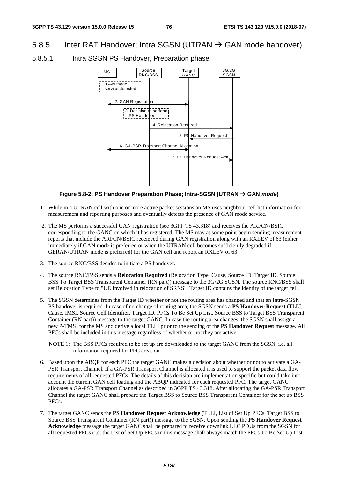- 5.8.5 Inter RAT Handover; Intra SGSN (UTRAN  $\rightarrow$  GAN mode handover)
- 5.8.5.1 Intra SGSN PS Handover, Preparation phase



#### **Figure 5.8-2: PS Handover Preparation Phase; Intra-SGSN (UTRAN GAN** *mode***)**

- 1. While in a UTRAN cell with one or more active packet sessions an MS uses neighbour cell list information for measurement and reporting purposes and eventually detects the presence of GAN mode service.
- 2. The MS performs a successful GAN registration (see 3GPP TS 43.318) and receives the ARFCN/BSIC corresponding to the GANC on which it has registered. The MS may at some point begin sending measurement reports that include the ARFCN/BSIC receieved during GAN registration along with an RXLEV of 63 (either immediately if GAN mode is preferred or when the UTRAN cell becomes sufficiently degraded if GERAN/UTRAN mode is preferred) for the GAN cell and report an RXLEV of 63.
- 3. The source RNC/BSS decides to initiate a PS handover.
- 4. The source RNC/BSS sends a **Relocation Required** (Relocation Type, Cause, Source ID, Target ID, Source BSS To Target BSS Transparent Container (RN part)) message to the 3G/2G SGSN. The source RNC/BSS shall set Relocation Type to "UE Involved in relocation of SRNS". Target ID contains the identity of the target cell.
- 5. The SGSN determines from the Target ID whether or not the routing area has changed and that an Intra-SGSN PS handover is required. In case of no change of routing area, the SGSN sends a **PS Handover Request** (TLLI, Cause, IMSI, Source Cell Identifier, Target ID, PFCs To Be Set Up List, Source BSS to Target BSS Transparent Container (RN part)) message to the target GANC. In case the routing area changes, the SGSN shall assign a new P-TMSI for the MS and derive a local TLLI prior to the sending of the **PS Handover Request** message. All PFCs shall be included in this message regardless of whether or not they are active.

NOTE 1: The BSS PFCs required to be set up are downloaded to the target GANC from the SGSN, i.e. all information required for PFC creation.

- 6. Based upon the ABQP for each PFC the target GANC makes a decision about whether or not to activate a GA-PSR Transport Channel. If a GA-PSR Transport Channel is allocated it is used to support the packet data flow requirements of all requested PFCs. The details of this decision are implementation specific but could take into account the current GAN cell loading and the ABQP indicated for each requested PFC. The target GANC allocates a GA-PSR Transport Channel as described in 3GPP TS 43.318. After allocating the GA-PSR Transport Channel the target GANC shall prepare the Target BSS to Source BSS Transparent Container for the set up BSS PFCs.
- 7. The target GANC sends the **PS Handover Request Acknowledge** (TLLI, List of Set Up PFCs, Target BSS to Source BSS Transparent Container (RN part)) message to the SGSN. Upon sending the **PS Handover Request Acknowledge** message the target GANC shall be prepared to receive downlink LLC PDUs from the SGSN for all requested PFCs (i.e. the List of Set Up PFCs in this message shall always match the PFCs To Be Set Up List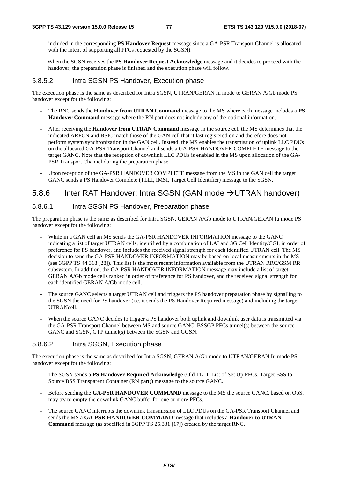included in the corresponding **PS Handover Request** message since a GA-PSR Transport Channel is allocated with the intent of supporting all PFCs requested by the SGSN).

When the SGSN receives the **PS Handover Request Acknowledge** message and it decides to proceed with the handover, the preparation phase is finished and the execution phase will follow.

#### 5.8.5.2 Intra SGSN PS Handover, Execution phase

The execution phase is the same as described for Intra SGSN, UTRAN/GERAN Iu mode to GERAN A/Gb mode PS handover except for the following:

- The RNC sends the **Handover from UTRAN Command** message to the MS where each message includes a **PS Handover Command** message where the RN part does not include any of the optional information.
- After receiving the **Handover from UTRAN Command** message in the source cell the MS determines that the indicated ARFCN and BSIC match those of the GAN cell that it last registered on and therefore does not perform system synchronization in the GAN cell. Instead, the MS enables the transmission of uplink LLC PDUs on the allocated GA-PSR Transport Channel and sends a GA-PSR HANDOVER COMPLETE message to the target GANC. Note that the reception of downlink LLC PDUs is enabled in the MS upon allocation of the GA-PSR Transport Channel during the preparation phase.
- Upon reception of the GA-PSR HANDOVER COMPLETE message from the MS in the GAN cell the target GANC sends a PS Handover Complete (TLLI, IMSI, Target Cell Identifier) message to the SGSN.

### 5.8.6 Inter RAT Handover; Intra SGSN (GAN mode  $\rightarrow$  UTRAN handover)

#### 5.8.6.1 Intra SGSN PS Handover, Preparation phase

The preparation phase is the same as described for Intra SGSN, GERAN A/Gb mode to UTRAN/GERAN Iu mode PS handover except for the following:

- While in a GAN cell an MS sends the GA-PSR HANDOVER INFORMATION message to the GANC indicating a list of target UTRAN cells, identified by a combination of LAI and 3G Cell Identity/CGI, in order of preference for PS handover, and includes the received signal strength for each identified UTRAN cell. The MS decision to send the GA-PSR HANDOVER INFORMATION may be based on local measurements in the MS (see 3GPP TS 44.318 [28]). This list is the most recent information available from the UTRAN RRC/GSM RR subsystem. In addition, the GA-PSR HANDOVER INFORMATION message may include a list of target GERAN A/Gb mode cells ranked in order of preference for PS handover, and the received signal strength for each identified GERAN A/Gb mode cell.
- The source GANC selects a target UTRAN cell and triggers the PS handover preparation phase by signalling to the SGSN the need for PS handover (i.e. it sends the PS Handover Required message) and including the target UTRANcell.
- When the source GANC decides to trigger a PS handover both uplink and downlink user data is transmitted via the GA-PSR Transport Channel between MS and source GANC, BSSGP PFCs tunnel(s) between the source GANC and SGSN, GTP tunnel(s) between the SGSN and GGSN.

#### 5.8.6.2 Intra SGSN, Execution phase

The execution phase is the same as described for Intra SGSN, GERAN A/Gb mode to UTRAN/GERAN Iu mode PS handover except for the following:

- The SGSN sends a **PS Handover Required Acknowledge** (Old TLLI, List of Set Up PFCs, Target BSS to Source BSS Transparent Container (RN part)) message to the source GANC.
- Before sending the GA-PSR HANDOVER COMMAND message to the MS the source GANC, based on QoS, may try to empty the downlink GANC buffer for one or more PFCs.
- The source GANC interrupts the downlink transmission of LLC PDUs on the GA-PSR Transport Channel and sends the MS a **GA-PSR HANDOVER COMMAND** message that includes a **Handover to UTRAN Command** message (as specified in 3GPP TS 25.331 [17]) created by the target RNC.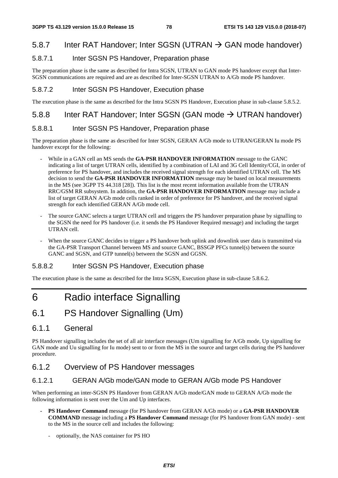## 5.8.7 Inter RAT Handover; Inter SGSN (UTRAN  $\rightarrow$  GAN mode handover)

#### 5.8.7.1 Inter SGSN PS Handover, Preparation phase

The preparation phase is the same as described for Intra SGSN, UTRAN to GAN mode PS handover except that Inter-SGSN communications are required and are as described for Inter-SGSN UTRAN to A/Gb mode PS handover.

### 5.8.7.2 Inter SGSN PS Handover, Execution phase

The execution phase is the same as described for the Intra SGSN PS Handover, Execution phase in sub-clause 5.8.5.2.

## 5.8.8 Inter RAT Handover; Inter SGSN (GAN mode  $\rightarrow$  UTRAN handover)

#### 5.8.8.1 Inter SGSN PS Handover, Preparation phase

The preparation phase is the same as described for Inter SGSN, GERAN A/Gb mode to UTRAN/GERAN Iu mode PS handover except for the following:

- While in a GAN cell an MS sends the GA-PSR HANDOVER INFORMATION message to the GANC indicating a list of target UTRAN cells, identified by a combination of LAI and 3G Cell Identity/CGI, in order of preference for PS handover, and includes the received signal strength for each identified UTRAN cell. The MS decision to send the **GA-PSR HANDOVER INFORMATION** message may be based on local measurements in the MS (see 3GPP TS 44.318 [28]). This list is the most recent information available from the UTRAN RRC/GSM RR subsystem. In addition, the **GA-PSR HANDOVER INFORMATION** message may include a list of target GERAN A/Gb mode cells ranked in order of preference for PS handover, and the received signal strength for each identified GERAN A/Gb mode cell.
- The source GANC selects a target UTRAN cell and triggers the PS handover preparation phase by signalling to the SGSN the need for PS handover (i.e. it sends the PS Handover Required message) and including the target UTRAN cell.
- When the source GANC decides to trigger a PS handover both uplink and downlink user data is transmitted via the GA-PSR Transport Channel between MS and source GANC, BSSGP PFCs tunnel(s) between the source GANC and SGSN, and GTP tunnel(s) between the SGSN and GGSN.

#### 5.8.8.2 Inter SGSN PS Handover, Execution phase

The execution phase is the same as described for the Intra SGSN, Execution phase in sub-clause 5.8.6.2.

## 6 Radio interface Signalling

## 6.1 PS Handover Signalling (Um)

### 6.1.1 General

PS Handover signalling includes the set of all air interface messages (Um signalling for A/Gb mode, Up signalling for GAN mode and Uu signalling for Iu mode) sent to or from the MS in the source and target cells during the PS handover procedure.

### 6.1.2 Overview of PS Handover messages

#### 6.1.2.1 GERAN A/Gb mode/GAN mode to GERAN A/Gb mode PS Handover

When performing an inter-SGSN PS Handover from GERAN A/Gb mode/GAN mode to GERAN A/Gb mode the following information is sent over the Um and Up interfaces.

- **PS Handover Command** message (for PS handover from GERAN A/Gb mode) or a **GA-PSR HANDOVER COMMAND** message including a **PS Handover Command** message (for PS handover from GAN mode) - sent to the MS in the source cell and includes the following:
	- optionally, the NAS container for PS HO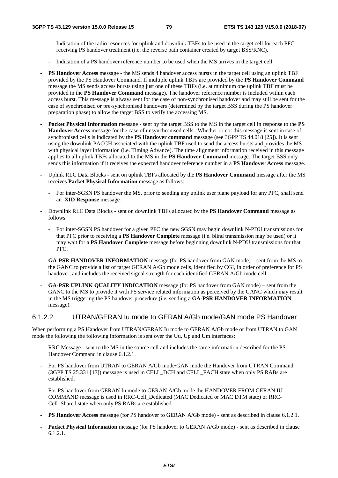- Indication of the radio resources for uplink and downlink TBFs to be used in the target cell for each PFC receiving PS handover treatment (i.e. the reverse path container created by target BSS/RNC).
- Indication of a PS handover reference number to be used when the MS arrives in the target cell.
- **PS Handover Access** message the MS sends 4 handover access bursts in the target cell using an uplink TBF provided by the PS Handover Command. If multiple uplink TBFs are provided by the **PS Handover Command** message the MS sends access bursts using just one of these TBFs (i.e. at minimum one uplink TBF must be provided in the **PS Handover Command** message). The handover reference number is included within each access burst. This message is always sent for the case of non-synchronised handover and may still be sent for the case of synchronised or pre-synchronised handovers (determined by the target BSS during the PS handover preparation phase) to allow the target BSS to verify the accessing MS.
- **Packet Physical Information** message sent by the target BSS to the MS in the target cell in response to the **PS Handover Access** message for the case of unsynchronised cells. Whether or not this message is sent in case of synchronised cells is indicated by the **PS Handover command** message (see 3GPP TS 44.018 [25]). It is sent using the downlink PACCH associated with the uplink TBF used to send the access bursts and provides the MS with physical layer information (i.e. Timing Advance). The time alignment information received in this message applies to all uplink TBFs allocated to the MS in the **PS Handover Command** message. The target BSS only sends this information if it receives the expected handover reference number in a **PS Handover Access** message.
- Uplink RLC Data Blocks sent on uplink TBFs allocated by the **PS Handover Command** message after the MS receives **Packet Physical Information** message as follows:
	- For inter-SGSN PS handover the MS, prior to sending any uplink user plane payload for any PFC, shall send an **XID Response** message .
- Downlink RLC Data Blocks sent on downlink TBFs allocated by the **PS Handover Command** message as follows:
	- For inter-SGSN PS handover for a given PFC the new SGSN may begin downlink N-PDU transmissions for that PFC prior to receiving a **PS Handover Complete** message (i.e. blind transmission may be used) or it may wait for a **PS Handover Complete** message before beginning downlink N-PDU transmissions for that PFC.
- **GA-PSR HANDOVER INFORMATION** message (for PS handover from GAN mode) sent from the MS to the GANC to provide a list of target GERAN A/Gb mode cells, identified by CGI, in order of preference for PS handover, and includes the received signal strength for each identified GERAN A/Gb mode cell.
- **GA-PSR UPLINK QUALITY INDICATION** message (for PS handover from GAN mode) sent from the GANC to the MS to provide it with PS service related information as perceived by the GANC which may result in the MS triggering the PS handover procedure (i.e. sending a **GA-PSR HANDOVER INFORMATION** message).

#### 6.1.2.2 UTRAN/GERAN Iu mode to GERAN A/Gb mode/GAN mode PS Handover

When performing a PS Handover from UTRAN/GERAN Iu mode to GERAN A/Gb mode or from UTRAN to GAN mode the following the following information is sent over the Uu, Up and Um interfaces:

- RRC Message sent to the MS in the source cell and includes the same information described for the PS Handover Command in clause 6.1.2.1.
- For PS handover from UTRAN to GERAN A/Gb mode/GAN mode the Handover from UTRAN Command (3GPP TS 25.331 [17]) message is used in CELL\_DCH and CELL\_FACH state when only PS RABs are established.
- For PS handover from GERAN Iu mode to GERAN A/Gb mode the HANDOVER FROM GERAN IU COMMAND message is used in RRC-Cell\_Dedicated (MAC Dedicated or MAC DTM state) or RRC-Cell\_Shared state when only PS RABs are established.
- **PS Handover Access** message (for PS handover to GERAN A/Gb mode) sent as described in clause 6.1.2.1.
- **Packet Physical Information** message (for PS handover to GERAN A/Gb mode) sent as described in clause 6.1.2.1.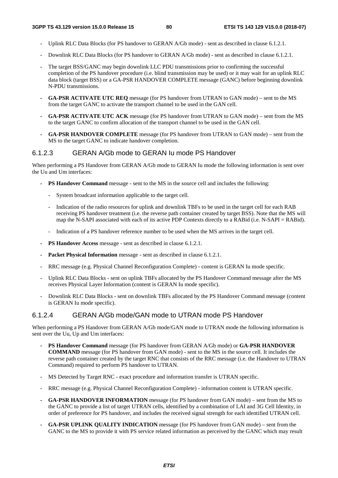- Uplink RLC Data Blocks (for PS handover to GERAN A/Gb mode) sent as described in clause 6.1.2.1.
- Downlink RLC Data Blocks (for PS handover to GERAN A/Gb mode) sent as described in clause 6.1.2.1.
- The target BSS/GANC may begin downlink LLC PDU transmissions prior to confirming the successful completion of the PS handover procedure (i.e. blind transmission may be used) or it may wait for an uplink RLC data block (target BSS) or a GA-PSR HANDOVER COMPLETE message (GANC) before beginning downlink N-PDU transmissions.
- **GA-PSR ACTIVATE UTC REQ** message (for PS handover from UTRAN to GAN mode) sent to the MS from the target GANC to activate the transport channel to be used in the GAN cell.
- **GA-PSR ACTIVATE UTC ACK** message (for PS handover from UTRAN to GAN mode) sent from the MS to the target GANC to confirm allocation of the transport channel to be used in the GAN cell.
- **GA-PSR HANDOVER COMPLETE** message (for PS handover from UTRAN to GAN mode) sent from the MS to the target GANC to indicate handover completion.

#### 6.1.2.3 GERAN A/Gb mode to GERAN Iu mode PS Handover

When performing a PS Handover from GERAN A/Gb mode to GERAN Iu mode the following information is sent over the Uu and Um interfaces:

- **PS Handover Command** message sent to the MS in the source cell and includes the following:
	- System broadcast information applicable to the target cell.
	- Indication of the radio resources for uplink and downlink TBFs to be used in the target cell for each RAB receiving PS handover treatment (i.e. the reverse path container created by target BSS). Note that the MS will map the N-SAPI associated with each of its active PDP Contexts directly to a RABid (i.e. N-SAPI = RABid).
	- Indication of a PS handover reference number to be used when the MS arrives in the target cell.
- **PS Handover Access** message sent as described in clause 6.1.2.1.
- **Packet Physical Information** message sent as described in clause 6.1.2.1.
- RRC message (e.g. Physical Channel Reconfiguration Complete) content is GERAN Iu mode specific.
- Uplink RLC Data Blocks sent on uplink TBFs allocated by the PS Handover Command message after the MS receives Physical Layer Information (content is GERAN Iu mode specific).
- Downlink RLC Data Blocks sent on downlink TBFs allocated by the PS Handover Command message (content is GERAN Iu mode specific).

#### 6.1.2.4 GERAN A/Gb mode/GAN mode to UTRAN mode PS Handover

When performing a PS Handover from GERAN A/Gb mode/GAN mode to UTRAN mode the following information is sent over the Uu, Up and Um interfaces:

- **PS Handover Command** message (for PS handover from GERAN A/Gb mode) or **GA-PSR HANDOVER COMMAND** message (for PS handover from GAN mode) - sent to the MS in the source cell. It includes the reverse path container created by the target RNC that consists of the RRC message (i.e. the Handover to UTRAN Command) required to perform PS handover to UTRAN.
- MS Detected by Target RNC exact procedure and information transfer is UTRAN specific.
- RRC message (e.g. Physical Channel Reconfiguration Complete) information content is UTRAN specific.
- **GA-PSR HANDOVER INFORMATION** message (for PS handover from GAN mode) sent from the MS to the GANC to provide a list of target UTRAN cells, identified by a combination of LAI and 3G Cell Identity, in order of preference for PS handover, and includes the received signal strength for each identified UTRAN cell.
- **GA-PSR UPLINK QUALITY INDICATION** message (for PS handover from GAN mode) sent from the GANC to the MS to provide it with PS service related information as perceived by the GANC which may result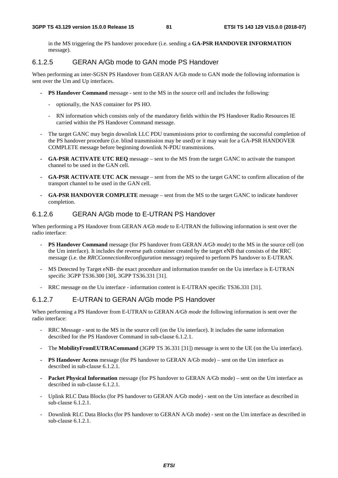in the MS triggering the PS handover procedure (i.e. sending a **GA-PSR HANDOVER INFORMATION** message).

#### 6.1.2.5 GERAN A/Gb mode to GAN mode PS Handover

When performing an inter-SGSN PS Handover from GERAN A/Gb mode to GAN mode the following information is sent over the Um and Up interfaces.

- **PS Handover Command** message sent to the MS in the source cell and includes the following:
	- optionally, the NAS container for PS HO.
	- RN information which consists only of the mandatory fields within the PS Handover Radio Resources IE carried within the PS Handover Command message.
- The target GANC may begin downlink LLC PDU transmissions prior to confirming the successful completion of the PS handover procedure (i.e. blind transmission may be used) or it may wait for a GA-PSR HANDOVER COMPLETE message before beginning downlink N-PDU transmissions.
- **GA-PSR ACTIVATE UTC REQ** message sent to the MS from the target GANC to activate the transport channel to be used in the GAN cell.
- **GA-PSR ACTIVATE UTC ACK** message sent from the MS to the target GANC to confirm allocation of the transport channel to be used in the GAN cell.
- GA-PSR HANDOVER COMPLETE message sent from the MS to the target GANC to indicate handover completion.

#### 6.1.2.6 GERAN A/Gb mode to E-UTRAN PS Handover

When performing a PS Handover from GERAN *A/Gb mode* to E-UTRAN the following information is sent over the radio interface:

- **PS Handover Command** message (for PS handover from GERAN *A/Gb mode*) to the MS in the source cell (on the Um interface). It includes the reverse path container created by the target eNB that consists of the RRC message (i.e. the *RRCConnectionReconfiguration* message) required to perform PS handover to E-UTRAN.
- MS Detected by Target eNB- the exact procedure and information transfer on the Uu interface is E-UTRAN specific 3GPP TS36.300 [30], 3GPP TS36.331 [31].
- RRC message on the Uu interface information content is E-UTRAN specific TS36.331 [31].

#### 6.1.2.7 E-UTRAN to GERAN A/Gb mode PS Handover

When performing a PS Handover from E-UTRAN to GERAN *A/Gb mode* the following information is sent over the radio interface:

- RRC Message sent to the MS in the source cell (on the Uu interface). It includes the same information described for the PS Handover Command in sub-clause 6.1.2.1.
- The **MobilityFromEUTRACommand** (3GPP TS 36.331 [31]) message is sent to the UE (on the Uu interface).
- **PS Handover Access** message (for PS handover to GERAN A/Gb mode) sent on the Um interface as described in sub-clause 6.1.2.1.
- **Packet Physical Information** message (for PS handover to GERAN A/Gb mode) sent on the Um interface as described in sub-clause 6.1.2.1.
- Uplink RLC Data Blocks (for PS handover to GERAN A/Gb mode) sent on the Um interface as described in sub-clause 6.1.2.1.
- Downlink RLC Data Blocks (for PS handover to GERAN A/Gb mode) sent on the Um interface as described in sub-clause 6.1.2.1.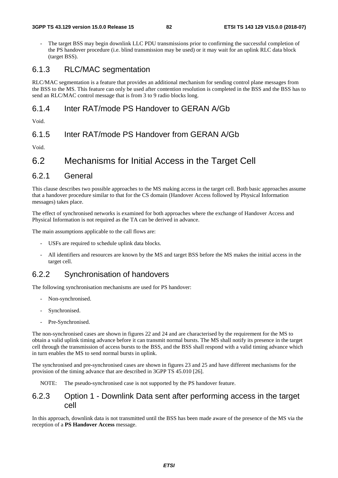The target BSS may begin downlink LLC PDU transmissions prior to confirming the successful completion of the PS handover procedure (i.e. blind transmission may be used) or it may wait for an uplink RLC data block (target BSS).

## 6.1.3 RLC/MAC segmentation

RLC/MAC segmentation is a feature that provides an additional mechanism for sending control plane messages from the BSS to the MS. This feature can only be used after contention resolution is completed in the BSS and the BSS has to send an RLC/MAC control message that is from 3 to 9 radio blocks long.

## 6.1.4 Inter RAT/mode PS Handover to GERAN A/Gb

Void.

### 6.1.5 Inter RAT/mode PS Handover from GERAN A/Gb

Void.

## 6.2 Mechanisms for Initial Access in the Target Cell

### 6.2.1 General

This clause describes two possible approaches to the MS making access in the target cell. Both basic approaches assume that a handover procedure similar to that for the CS domain (Handover Access followed by Physical Information messages) takes place.

The effect of synchronised networks is examined for both approaches where the exchange of Handover Access and Physical Information is not required as the TA can be derived in advance.

The main assumptions applicable to the call flows are:

- USFs are required to schedule uplink data blocks.
- All identifiers and resources are known by the MS and target BSS before the MS makes the initial access in the target cell.

### 6.2.2 Synchronisation of handovers

The following synchronisation mechanisms are used for PS handover:

- Non-synchronised.
- Synchronised.
- Pre-Synchronised.

The non-synchronised cases are shown in figures 22 and 24 and are characterised by the requirement for the MS to obtain a valid uplink timing advance before it can transmit normal bursts. The MS shall notify its presence in the target cell through the transmission of access bursts to the BSS, and the BSS shall respond with a valid timing advance which in turn enables the MS to send normal bursts in uplink.

The synchronised and pre-synchronised cases are shown in figures 23 and 25 and have different mechanisms for the provision of the timing advance that are described in 3GPP TS 45.010 [26].

NOTE: The pseudo-synchronised case is not supported by the PS handover feature.

### 6.2.3 Option 1 - Downlink Data sent after performing access in the target cell

In this approach, downlink data is not transmitted until the BSS has been made aware of the presence of the MS via the reception of a **PS Handover Access** message.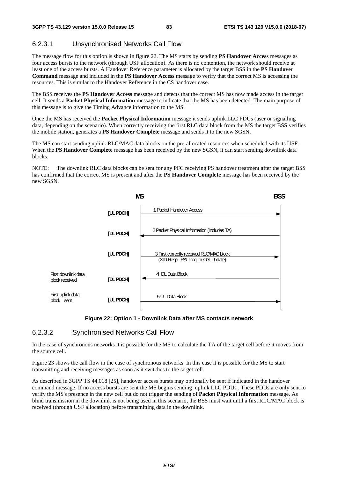#### 6.2.3.1 Unsynchronised Networks Call Flow

The message flow for this option is shown in figure 22. The MS starts by sending **PS Handover Access** messages as four access bursts to the network (through USF allocation). As there is no contention, the network should receive at least one of the access bursts. A Handover Reference parameter is allocated by the target BSS in the **PS Handover Command** message and included in the **PS Handover Access** message to verify that the correct MS is accessing the resources. This is similar to the Handover Reference in the CS handover case.

The BSS receives the **PS Handover Access** message and detects that the correct MS has now made access in the target cell. It sends a **Packet Physical Information** message to indicate that the MS has been detected. The main purpose of this message is to give the Timing Advance information to the MS.

Once the MS has received the **Packet Physical Information** message it sends uplink LLC PDUs (user or signalling data, depending on the scenario). When correctly receiving the first RLC data block from the MS the target BSS verifies the mobile station, generates a **PS Handover Complete** message and sends it to the new SGSN.

The MS can start sending uplink RLC/MAC data blocks on the pre-allocated resources when scheduled with its USF. When the **PS Handover Complete** message has been received by the new SGSN, it can start sending downlink data blocks.

NOTE: The downlink RLC data blocks can be sent for any PFC receiving PS handover treatment after the target BSS has confirmed that the correct MS is present and after the **PS Handover Complete** message has been received by the new SGSN.



#### **Figure 22: Option 1 - Downlink Data after MS contacts network**

#### 6.2.3.2 Synchronised Networks Call Flow

In the case of synchronous networks it is possible for the MS to calculate the TA of the target cell before it moves from the source cell.

Figure 23 shows the call flow in the case of synchronous networks. In this case it is possible for the MS to start transmitting and receiving messages as soon as it switches to the target cell.

As described in 3GPP TS 44.018 [25], handover access bursts may optionally be sent if indicated in the handover command message. If no access bursts are sent the MS begins sending uplink LLC PDUs . These PDUs are only sent to verify the MS's presence in the new cell but do not trigger the sending of **Packet Physical Information** message. As blind transmission in the downlink is not being used in this scenario, the BSS must wait until a first RLC/MAC block is received (through USF allocation) before transmitting data in the downlink.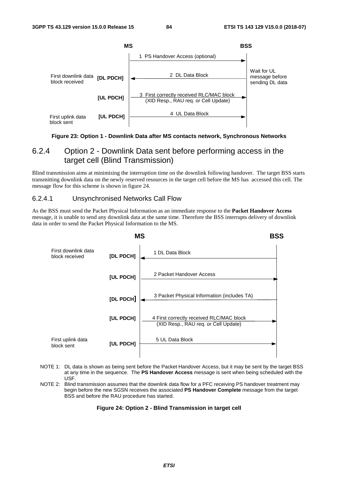

#### **Figure 23: Option 1 - Downlink Data after MS contacts network, Synchronous Networks**

## 6.2.4 Option 2 - Downlink Data sent before performing access in the target cell (Blind Transmission)

Blind transmission aims at minimising the interruption time on the downlink following handover. The target BSS starts transmitting downlink data on the newly reserved resources in the target cell before the MS has accessed this cell. The message flow for this scheme is shown in figure 24.

#### 6.2.4.1 Unsynchronised Networks Call Flow

As the BSS must send the Packet Physical Information as an immediate response to the **Packet Handover Access** message, it is unable to send any downlink data at the same time. Therefore the BSS interrupts delivery of downlink data in order to send the Packet Physical Information to the MS.



- NOTE 1: DL data is shown as being sent before the Packet Handover Access, but it may be sent by the target BSS at any time in the sequence. The **PS Handover Access** message is sent when being scheduled with the USF.
- NOTE 2: Blind transmission assumes that the downlink data flow for a PFC receiving PS handover treatment may begin before the new SGSN receives the associated **PS Handover Complete** message from the target BSS and before the RAU procedure has started.

#### **Figure 24: Option 2 - Blind Transmission in target cell**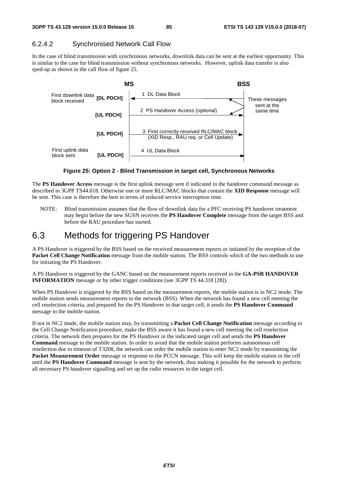## 6.2.4.2 Synchronised Network Call Flow

In the case of blind transmission with synchronous networks, downlink data can be sent at the earliest opportunity. This is similar to the case for blind transmission without synchronous networks. However, uplink data transfer is also sped-up as shown in the call flow of figure 25.



**Figure 25: Option 2 - Blind Transmission in target cell, Synchronous Networks** 

The **PS Handover Access** message is the first uplink message sent if indicated in the handover command message as described in 3GPP TS44.018. Otherwise one or more RLC/MAC blocks that contain the **XID Response** message will be sent. This case is therefore the best in terms of reduced service interruption time.

NOTE: Blind transmission assumes that the flow of downlink data for a PFC receiving PS handover treatment may begin before the new SGSN receives the **PS Handover Complete** message from the target BSS and before the RAU procedure has started.

## 6.3 Methods for triggering PS Handover

A PS Handover is triggered by the BSS based on the received measurement reports or initiated by the reception of the **Packet Cell Change Notification** message from the mobile station. The BSS controls which of the two methods to use for initiating the PS Handover.

A PS Handover is triggered by the GANC based on the measurement reports received in the **GA-PSR HANDOVER INFORMATION** message or by other trigger conditions (see 3GPP TS 44.318 [28]).

When PS Handover is triggered by the BSS based on the measurement reports, the mobile station is in NC2 mode. The mobile station sends measurement reports to the network (BSS). When the network has found a new cell meeting the cell reselection criteria, and prepared for the PS Handover in that target cell, it sends the **PS Handover Command** message to the mobile station.

If not in NC2 mode, the mobile station may, by transmitting a **Packet Cell Change Notification** message according to the Cell Change Notification procedure, make the BSS aware it has found a new cell meeting the cell reselection criteria. The network then prepares for the PS Handover in the indicated target cell and sends the **PS Handover Command** message to the mobile station. In order to avoid that the mobile station performs autonomous cell reselection due to timeout of T3208, the network can order the mobile station to enter NC2 mode by transmitting the **Packet Measurement Order** message in response to the PCCN message. This will keep the mobile station in the cell until the **PS Handover Command** message is sent by the network, thus making it possible for the network to perform all necessary PS handover signalling and set up the radio resources in the target cell.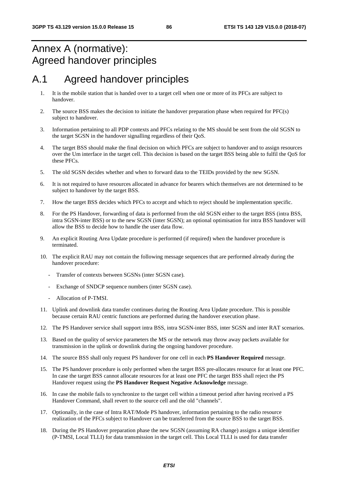## Annex A (normative): Agreed handover principles

## A.1 Agreed handover principles

- 1. It is the mobile station that is handed over to a target cell when one or more of its PFCs are subject to handover.
- 2. The source BSS makes the decision to initiate the handover preparation phase when required for PFC(s) subject to handover.
- 3. Information pertaining to all PDP contexts and PFCs relating to the MS should be sent from the old SGSN to the target SGSN in the handover signalling regardless of their QoS.
- 4. The target BSS should make the final decision on which PFCs are subject to handover and to assign resources over the Um interface in the target cell. This decision is based on the target BSS being able to fulfil the QoS for these PFCs.
- 5. The old SGSN decides whether and when to forward data to the TEIDs provided by the new SGSN.
- 6. It is not required to have resources allocated in advance for bearers which themselves are not determined to be subject to handover by the target BSS.
- 7. How the target BSS decides which PFCs to accept and which to reject should be implementation specific.
- 8. For the PS Handover, forwarding of data is performed from the old SGSN either to the target BSS (intra BSS, intra SGSN-inter BSS) or to the new SGSN (inter SGSN); an optional optimisation for intra BSS handover will allow the BSS to decide how to handle the user data flow.
- 9. An explicit Routing Area Update procedure is performed (if required) when the handover procedure is terminated.
- 10. The explicit RAU may not contain the following message sequences that are performed already during the handover procedure:
	- Transfer of contexts between SGSNs (inter SGSN case).
	- Exchange of SNDCP sequence numbers (inter SGSN case).
	- Allocation of P-TMSI.
- 11. Uplink and downlink data transfer continues during the Routing Area Update procedure. This is possible because certain RAU centric functions are performed during the handover execution phase.
- 12. The PS Handover service shall support intra BSS, intra SGSN-inter BSS, inter SGSN and inter RAT scenarios.
- 13. Based on the quality of service parameters the MS or the network may throw away packets available for transmission in the uplink or downlink during the ongoing handover procedure.
- 14. The source BSS shall only request PS handover for one cell in each **PS Handover Required** message.
- 15. The PS handover procedure is only performed when the target BSS pre-allocates resource for at least one PFC. In case the target BSS cannot allocate resources for at least one PFC the target BSS shall reject the PS Handover request using the **PS Handover Request Negative Acknowledge** message.
- 16. In case the mobile fails to synchronize to the target cell within a timeout period after having received a PS Handover Command, shall revert to the source cell and the old "channels".
- 17. Optionally, in the case of Intra RAT/Mode PS handover, information pertaining to the radio resource realization of the PFCs subject to Handover can be transferred from the source BSS to the target BSS.
- 18. During the PS Handover preparation phase the new SGSN (assuming RA change) assigns a unique identifier (P-TMSI, Local TLLI) for data transmission in the target cell. This Local TLLI is used for data transfer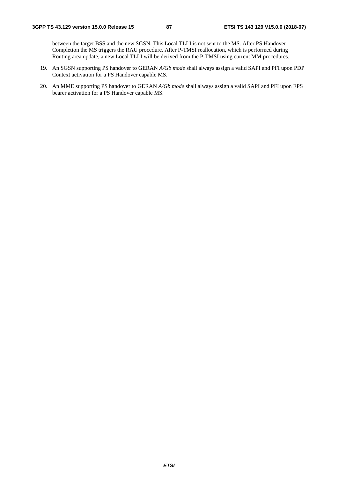between the target BSS and the new SGSN. This Local TLLI is not sent to the MS. After PS Handover Completion the MS triggers the RAU procedure. After P-TMSI reallocation, which is performed during Routing area update, a new Local TLLI will be derived from the P-TMSI using current MM procedures.

- 19. An SGSN supporting PS handover to GERAN *A/Gb mode* shall always assign a valid SAPI and PFI upon PDP Context activation for a PS Handover capable MS.
- 20. An MME supporting PS handover to GERAN *A/Gb mode* shall always assign a valid SAPI and PFI upon EPS bearer activation for a PS Handover capable MS.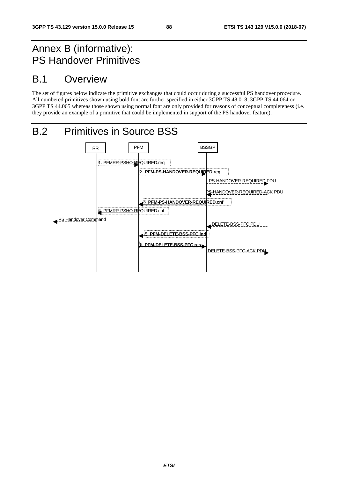## Annex B (informative): PS Handover Primitives

## B.1 Overview

The set of figures below indicate the primitive exchanges that could occur during a successful PS handover procedure. All numbered primitives shown using bold font are further specified in either 3GPP TS 48.018, 3GPP TS 44.064 or 3GPP TS 44.065 whereas those shown using normal font are only provided for reasons of conceptual completeness (i.e. they provide an example of a primitive that could be implemented in support of the PS handover feature).

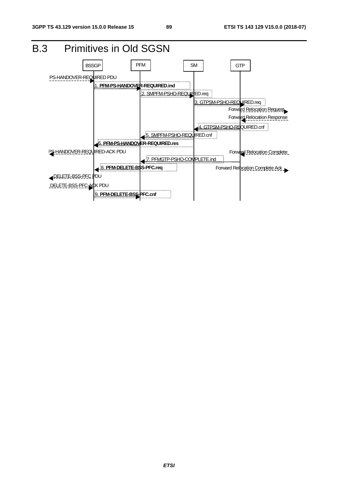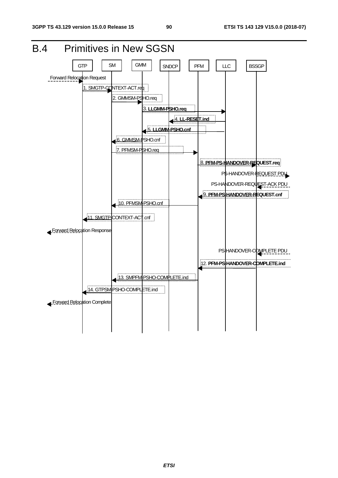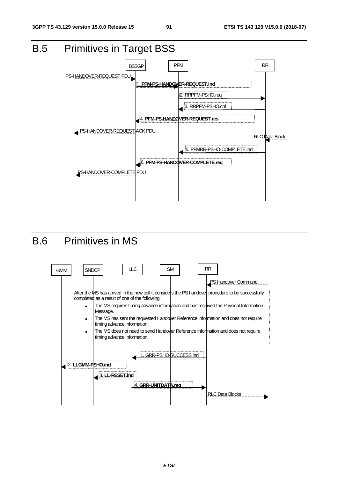

## B.6 Primitives in MS

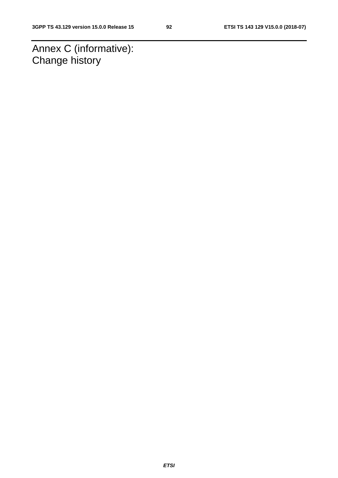Annex C (informative): Change history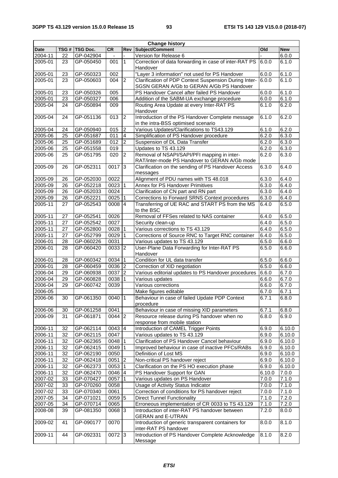| <b>Change history</b> |       |           |            |                |                                                                                                    |                    |            |
|-----------------------|-------|-----------|------------|----------------|----------------------------------------------------------------------------------------------------|--------------------|------------|
| <b>Date</b>           | TSG # | TSG Doc.  | <b>CR</b>  | Rev            | Subject/Comment                                                                                    | Old                | <b>New</b> |
| 2004-11               | 22    | GP-042904 |            |                | Version for Release 6                                                                              |                    | 6.0.0      |
| 2005-01               | 23    | GP-050450 | 001        | 1              | Correction of data forwarding in case of inter-RAT PS<br>6.0.0                                     |                    | 6.1.0      |
|                       |       |           |            |                | Handover                                                                                           |                    |            |
| 2005-01               | 23    | GP-050323 | 002        |                | "Layer 3 information" not used for PS Handover                                                     | 6.0.0              | 6.1.0      |
| 2005-01               | 23    | GP-050603 | 004        | $\overline{2}$ | Clarification of PDP Context Suspension During Inter-<br>SGSN GERAN A/Gb to GERAN A/Gb PS Handover | 6.0.0              | 6.1.0      |
| 2005-01               | 23    | GP-050326 | 005        |                | PS Handover Cancel after failed PS Handover                                                        | 6.0.0              | 6.1.0      |
| 2005-01               | 23    | GP-050327 | 006        |                | Addition of the SABM-UA exchange procedure                                                         | 6.0.0              | 6.1.0      |
| 2005-04               | 24    | GP-050894 | 009        |                | Routing Area Update at every Inter-RAT PS                                                          | 6.1.0              | 6.2.0      |
|                       |       |           |            |                | Handover                                                                                           |                    |            |
| 2005-04               | 24    | GP-051136 | 013        | $\overline{2}$ | Introduction of the PS Handover Complete message<br>in the intra-BSS optimised scenario            | 6.1.0              | 6.2.0      |
| 2005-04               | 24    | GP-050940 | 015        | $\overline{2}$ | Various Updates/Clarifications to TS43.129                                                         | 6.1.0              | 6.2.0      |
| 2005-06               | 25    | GP-051687 | 011        | $\overline{4}$ | Simplification of PS Handover procedure                                                            | 6.2.0              | 6.3.0      |
| 2005-06               | 25    | GP-051689 | 012        | c              | Suspension of DL Data Transfer                                                                     | 6.2.0              | 6.3.0      |
| 2005-06               | 25    | GP-051558 | 019        |                | Updates to TS 43.129                                                                               | 6.2.0              | 6.3.0      |
| 2005-06               | 25    | GP-051795 | 020        | $\overline{2}$ | Removal of NSAPI/SAPI/PFI mapping in inter-                                                        | 6.2.0              | 6.3.0      |
|                       |       |           |            |                | RAT/inter-mode PS Handover to GERAN A/Gb mode                                                      |                    |            |
| 2005-09               | 26    | GP-052311 | 0017       | $\overline{3}$ | Clarification on the sending of PS Handover Access<br>messages                                     | 6.3.0              | 6.4.0      |
| 2005-09               | 26    | GP-052030 | 0022       |                | Alignment of PDU names with TS 48.018                                                              | 6.3.0              | 6.4.0      |
| 2005-09               | 26    | GP-052218 | $0023$   1 |                | Annex for PS Handover Primitives                                                                   | 6.3.0              | 6.4.0      |
| 2005-09               | 26    | GP-052033 | 0024       |                | Clarification of CN part and RN part                                                               | 6.3.0              | 6.4.0      |
| 2005-09               | 26    | GP-052221 | $0025$   1 |                | Corrections to Forward SRNS Context procedures                                                     | 6.3.0              | 6.4.0      |
| 2005-11               | 27    | GP-052543 | $0008$ 4   |                | Transferring of UE RAC and START PS from the MS                                                    | 6.4.0              | 6.5.0      |
|                       |       |           |            |                | to the BSC                                                                                         |                    |            |
| 2005-11               | 27    | GP-052541 | 0026       |                | Removal of FFSes related to NAS container                                                          | 6.4.0              | 6.5.0      |
| 2005-11               | 27    | GP-052542 | 0027       |                | Security clean-up                                                                                  | 6.4.0              | 6.5.0      |
| 2005-11               | 27    | GP-052800 | $0028$   1 |                | Various corrections to TS 43.129                                                                   | 6.4.0              | 6.5.0      |
| 2005-11               | 27    | GP-052799 | 0029 1     |                | Corrections of Source RNC to Target RNC container                                                  | 6.4.0              | 6.5.0      |
| 2006-01               | 28    | GP-060226 | 0031       |                | Various updates to TS 43.129                                                                       | 6.5.0              | 6.6.0      |
| 2006-01               | 28    | GP-060420 | $0033$ 2   |                | User-Plane Data Forwarding for Inter-RAT PS<br>Handover                                            | 6.5.0              | 6.6.0      |
| 2006-01               |       |           | 0034   1   |                | Condition for UL data transfer                                                                     | 6.5.0              | 6.6.0      |
|                       | 28    | GP-060342 | 0036 2     |                |                                                                                                    | 6.5.0              |            |
| 2006-01               | 28    | GP-060459 |            |                | Correction of XID negotiation                                                                      |                    | 6.6.0      |
| 2006-04               | 29    | GP-060938 | 0037   2   |                | Various editorial updates to PS Handover procedures                                                | 6.6.0              | 6.7.0      |
| 2006-04               | 29    | GP-060828 | 0038   1   |                | Various updates                                                                                    | 6.6.0              | 6.7.0      |
| 2006-04               | 29    | GP-060742 | 0039       |                | Various corrections                                                                                | 6.6.0              | 6.7.0      |
| 2006-05               |       |           |            |                | Make figures editable                                                                              | 6.7.0              | 6.7.1      |
| 2006-06               | 30    | GP-061350 | $0040$   1 |                | Behaviour in case of failed Update PDP Context<br>procedure                                        | 6.7.1              | 6.8.0      |
| 2006-06               | 30    | GP-061258 | 0041       |                | Behaviour in case of missing XID parameters                                                        | 6.7.1              | 6.8.0      |
| 2006-09               | 31    | GP-061871 | $0044$ 2   |                | Resource release during PS handover when no                                                        | 6.8.0              | 6.9.0      |
|                       |       |           |            |                | response from mobile station                                                                       |                    |            |
| 2006-11               | 32    | GP-062114 | 0043 4     |                | Introduction of CAMEL Trigger Points                                                               | 6.9.0              | 6.10.0     |
| 2006-11               | 32    | GP-062115 | 0047       |                | Various updates to TS 43.129                                                                       | 6.9.0              | 6.10.0     |
| 2006-11               | 32    | GP-062365 | $0048$   1 |                | Clarification of PS Handover Cancel behaviour                                                      | 6.9.0              | 6.10.0     |
| 2006-11               | 32    | GP-062415 | $0049$ 1   |                | Improved behaviour in case of inactive PFCs/RABs                                                   | 6.9.0              | 6.10.0     |
| 2006-11               | 32    | GP-062190 | 0050       |                | Definition of Lost MS                                                                              | 6.9.0              | 6.10.0     |
| 2006-11               | 32    | GP-062418 | $0051$ 2   |                | Non-critical PS handover reject                                                                    | 6.9.0              | 6.10.0     |
| 2006-11               | 32    | GP-062373 | 0053 1     |                | Clarification on the PS HO execution phase                                                         | 6.9.0              | 6.10.0     |
| 2006-11               | 32    | GP-062470 | 0046 4     |                | PS Handover Support for GAN                                                                        | 6.10.0             | 7.0.0      |
| 2007-02               | 33    | GP-070427 | $0057$   1 |                | Various updates on PS Handover                                                                     | 7.0.0              | 7.1.0      |
| 2007-02               | 33    | GP-070260 | 0058       |                | Usage of Activity Status Indicator                                                                 | 7.0.0              | 7.1.0      |
| 2007-02               | 33    | GP-070340 | 0061       |                | Correction of conditions for PS handover reject                                                    | 7.0.0              | 7.1.0      |
| 2007-05               | 34    | GP-071021 | 0059 5     |                | <b>Direct Tunnel Functionality</b>                                                                 | 7.1.0              | 7.2.0      |
| 2007-05               | 34    | GP-070714 | 0065       |                | Erroneous implementation of CR 0033 to TS 43.129                                                   | 7.1.0              | 7.2.0      |
| 2008-08               | 39    | GP-081350 | $0068$ 3   |                | Introduction of inter-RAT PS handover between                                                      | $\overline{7}.2.0$ | 8.0.0      |
|                       |       |           |            |                | <b>GERAN and E-UTRAN</b>                                                                           |                    |            |
| 2009-02               | 41    | GP-090177 | 0070       |                | Introduction of generic transparent containers for<br>inter-RAT PS handover                        | 8.0.0              | 8.1.0      |
| 2009-11               | 44    | GP-092331 | 0072 3     |                | Introduction of PS Handover Complete Acknowledge<br>Message                                        | 8.1.0              | 8.2.0      |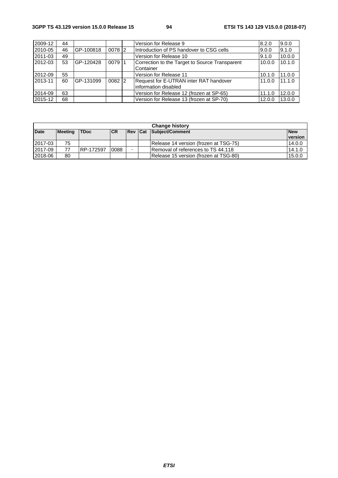| 2009-12 | 44 |            |          | Version for Release 9                          | 8.2.0  | 9.0.0  |
|---------|----|------------|----------|------------------------------------------------|--------|--------|
| 2010-05 | 46 | GP-100818  | 0078 2   | Introduction of PS handover to CSG cells       | 9.0.0  | 9.1.0  |
| 2011-03 | 49 |            |          | Version for Release 10                         | 9.1.0  | 10.0.0 |
| 2012-03 | 53 | GP-120428  | 0079 1   | Correction to the Target to Source Transparent | 10.0.0 | 10.1.0 |
|         |    |            |          | Container                                      |        |        |
| 2012-09 | 55 |            |          | Version for Release 11                         | 10.1.0 | 11.0.0 |
| 2013-11 | 60 | IGP-131099 | $0082$ 2 | Request for E-UTRAN inter RAT handover         | 11.0.0 | 11.1.0 |
|         |    |            |          | linformation disabled                          |        |        |
| 2014-09 | 63 |            |          | Version for Release 12 (frozen at SP-65)       | 11.1.0 | 12.0.0 |
| 2015-12 | 68 |            |          | Version for Release 13 (frozen at SP-70)       | 12.0.0 | 13.0.0 |

| <b>Change history</b> |                |              |            |                |  |                                       |                       |
|-----------------------|----------------|--------------|------------|----------------|--|---------------------------------------|-----------------------|
| <b>Date</b>           | <b>Meeting</b> | <b>ITDoc</b> | <b>ICR</b> | <b>Rev Cat</b> |  | Subject/Comment                       | <b>New</b><br>version |
| 2017-03               | 75             |              |            |                |  | Release 14 version (frozen at TSG-75) | 14.0.0                |
| 2017-09               | 77             | RP-172597    | 0088       |                |  | Removal of references to TS 44.118    | 14.1.0                |
| 2018-06               | 80             |              |            |                |  | Release 15 version (frozen at TSG-80) | 15.0.0                |